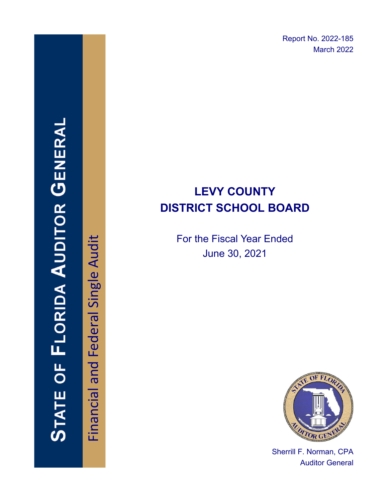Report No. 2022-185 March 2022

# STATE OF FLORIDA AUDITOR GENERAI

Financial and Federal Single Audit Financial and Federal Single Audit

# **LEVY COUNTY DISTRICT SCHOOL BOARD**

For the Fiscal Year Ended June 30, 2021



Sherrill F. Norman, CPA Auditor General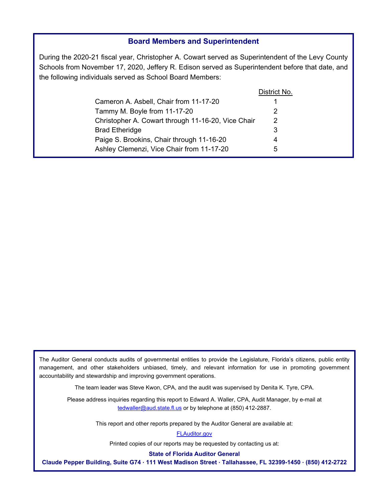### **Board Members and Superintendent**

During the 2020-21 fiscal year, Christopher A. Cowart served as Superintendent of the Levy County Schools from November 17, 2020, Jeffery R. Edison served as Superintendent before that date, and the following individuals served as School Board Members:

|                                                    | District No. |  |
|----------------------------------------------------|--------------|--|
| Cameron A. Asbell, Chair from 11-17-20             |              |  |
| Tammy M. Boyle from 11-17-20                       | 2            |  |
| Christopher A. Cowart through 11-16-20, Vice Chair | 2            |  |
| <b>Brad Etheridge</b>                              | 3            |  |
| Paige S. Brookins, Chair through 11-16-20          | 4            |  |
| Ashley Clemenzi, Vice Chair from 11-17-20          | 5            |  |

The Auditor General conducts audits of governmental entities to provide the Legislature, Florida's citizens, public entity management, and other stakeholders unbiased, timely, and relevant information for use in promoting government accountability and stewardship and improving government operations.

The team leader was Steve Kwon, CPA, and the audit was supervised by Denita K. Tyre, CPA.

Please address inquiries regarding this report to Edward A. Waller, CPA, Audit Manager, by e-mail at tedwaller@aud.state.fl.us or by telephone at (850) 412-2887.

This report and other reports prepared by the Auditor General are available at:

[FLAuditor.gov](http://flauditor.gov/)

Printed copies of our reports may be requested by contacting us at:

**State of Florida Auditor General** 

**Claude Pepper Building, Suite G74 · 111 West Madison Street · Tallahassee, FL 32399-1450 · (850) 412-2722**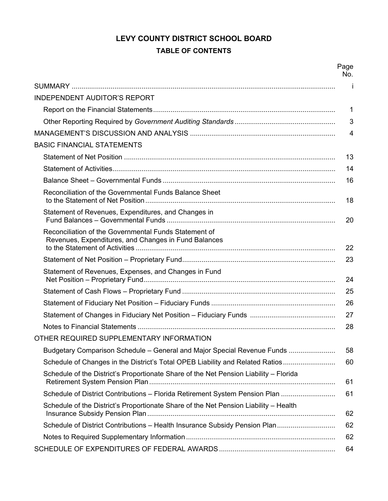# **LEVY COUNTY DISTRICT SCHOOL BOARD TABLE OF CONTENTS**

|                                                                                                               | Page<br>No. |
|---------------------------------------------------------------------------------------------------------------|-------------|
|                                                                                                               | Ť           |
| <b>INDEPENDENT AUDITOR'S REPORT</b>                                                                           |             |
|                                                                                                               | $\mathbf 1$ |
|                                                                                                               | 3           |
|                                                                                                               | 4           |
| <b>BASIC FINANCIAL STATEMENTS</b>                                                                             |             |
|                                                                                                               | 13          |
|                                                                                                               | 14          |
|                                                                                                               | 16          |
| Reconciliation of the Governmental Funds Balance Sheet                                                        | 18          |
| Statement of Revenues, Expenditures, and Changes in                                                           | 20          |
| Reconciliation of the Governmental Funds Statement of<br>Revenues, Expenditures, and Changes in Fund Balances | 22          |
|                                                                                                               | 23          |
| Statement of Revenues, Expenses, and Changes in Fund                                                          | 24          |
|                                                                                                               | 25          |
|                                                                                                               | 26          |
|                                                                                                               | 27          |
|                                                                                                               | 28          |
| OTHER REQUIRED SUPPLEMENTARY INFORMATION                                                                      |             |
| Budgetary Comparison Schedule - General and Major Special Revenue Funds                                       | 58          |
| Schedule of Changes in the District's Total OPEB Liability and Related Ratios                                 | 60          |
| Schedule of the District's Proportionate Share of the Net Pension Liability - Florida                         | 61          |
| Schedule of District Contributions - Florida Retirement System Pension Plan                                   | 61          |
| Schedule of the District's Proportionate Share of the Net Pension Liability – Health                          | 62          |
| Schedule of District Contributions - Health Insurance Subsidy Pension Plan                                    | 62          |
|                                                                                                               | 62          |
|                                                                                                               | 64          |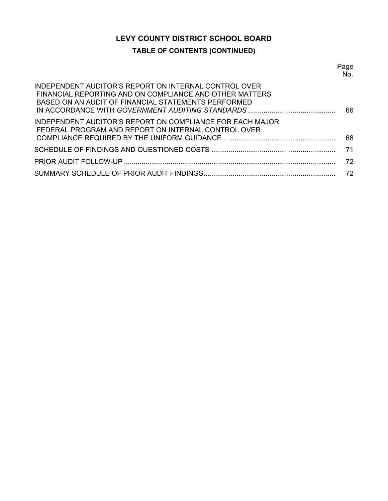## **LEVY COUNTY DISTRICT SCHOOL BOARD**

# **TABLE OF CONTENTS (CONTINUED)**

| ag<br>ı |
|---------|
| N<br>٢٦ |

| INDEPENDENT AUDITOR'S REPORT ON INTERNAL CONTROL OVER<br>FINANCIAL REPORTING AND ON COMPLIANCE AND OTHER MATTERS<br>BASED ON AN AUDIT OF FINANCIAL STATEMENTS PERFORMED | 66 |
|-------------------------------------------------------------------------------------------------------------------------------------------------------------------------|----|
| INDEPENDENT AUDITOR'S REPORT ON COMPLIANCE FOR EACH MAJOR<br>FEDERAL PROGRAM AND REPORT ON INTERNAL CONTROL OVER                                                        | 68 |
|                                                                                                                                                                         | 71 |
|                                                                                                                                                                         | 72 |
|                                                                                                                                                                         | 72 |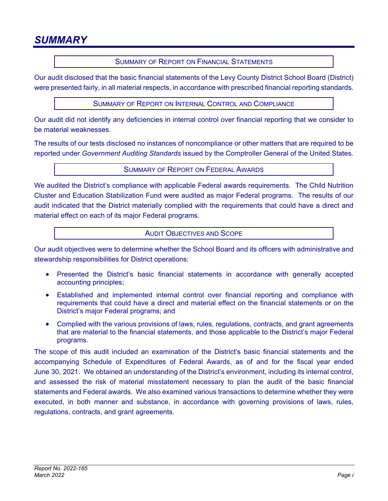### SUMMARY OF REPORT ON FINANCIAL STATEMENTS

<span id="page-4-0"></span>Our audit disclosed that the basic financial statements of the Levy County District School Board (District) were presented fairly, in all material respects, in accordance with prescribed financial reporting standards.

### SUMMARY OF REPORT ON INTERNAL CONTROL AND COMPLIANCE

Our audit did not identify any deficiencies in internal control over financial reporting that we consider to be material weaknesses.

The results of our tests disclosed no instances of noncompliance or other matters that are required to be reported under *Government Auditing Standards* issued by the Comptroller General of the United States*.* 

### SUMMARY OF REPORT ON FEDERAL AWARDS

We audited the District's compliance with applicable Federal awards requirements. The Child Nutrition Cluster and Education Stabilization Fund were audited as major Federal programs. The results of our audit indicated that the District materially complied with the requirements that could have a direct and material effect on each of its major Federal programs.

### AUDIT OBJECTIVES AND SCOPE

Our audit objectives were to determine whether the School Board and its officers with administrative and stewardship responsibilities for District operations:

- Presented the District's basic financial statements in accordance with generally accepted accounting principles;
- Established and implemented internal control over financial reporting and compliance with requirements that could have a direct and material effect on the financial statements or on the District's major Federal programs; and
- Complied with the various provisions of laws, rules, regulations, contracts, and grant agreements that are material to the financial statements, and those applicable to the District's major Federal programs.

The scope of this audit included an examination of the District's basic financial statements and the accompanying Schedule of Expenditures of Federal Awards, as of and for the fiscal year ended June 30, 2021. We obtained an understanding of the District's environment, including its internal control, and assessed the risk of material misstatement necessary to plan the audit of the basic financial statements and Federal awards. We also examined various transactions to determine whether they were executed, in both manner and substance, in accordance with governing provisions of laws, rules, regulations, contracts, and grant agreements.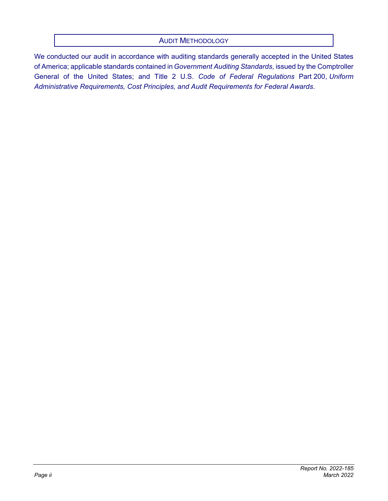### AUDIT METHODOLOGY

We conducted our audit in accordance with auditing standards generally accepted in the United States of America; applicable standards contained in *Government Auditing Standards*, issued by the Comptroller General of the United States; and Title 2 U.S. *Code of Federal Regulations* Part 200, *Uniform Administrative Requirements, Cost Principles, and Audit Requirements for Federal Awards*.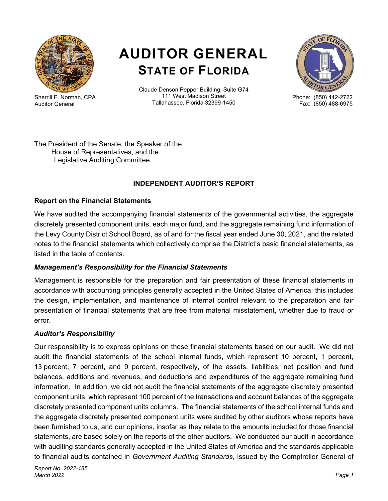<span id="page-6-0"></span>

Sherrill F. Norman, CPA Auditor General

# **AUDITOR GENERAL STATE OF FLORIDA**

Claude Denson Pepper Building, Suite G74 111 West Madison Street Tallahassee, Florida 32399-1450



Phone: (850) 412-2722 Fax: (850) 488-6975

The President of the Senate, the Speaker of the House of Representatives, and the Legislative Auditing Committee

### **INDEPENDENT AUDITOR'S REPORT**

### **Report on the Financial Statements**

We have audited the accompanying financial statements of the governmental activities, the aggregate discretely presented component units, each major fund, and the aggregate remaining fund information of the Levy County District School Board, as of and for the fiscal year ended June 30, 2021, and the related notes to the financial statements which collectively comprise the District's basic financial statements, as listed in the table of contents.

### *Management's Responsibility for the Financial Statements*

Management is responsible for the preparation and fair presentation of these financial statements in accordance with accounting principles generally accepted in the United States of America; this includes the design, implementation, and maintenance of internal control relevant to the preparation and fair presentation of financial statements that are free from material misstatement, whether due to fraud or error.

### *Auditor's Responsibility*

Our responsibility is to express opinions on these financial statements based on our audit. We did not audit the financial statements of the school internal funds, which represent 10 percent, 1 percent, 13 percent, 7 percent, and 9 percent, respectively, of the assets, liabilities, net position and fund balances, additions and revenues, and deductions and expenditures of the aggregate remaining fund information. In addition, we did not audit the financial statements of the aggregate discretely presented component units, which represent 100 percent of the transactions and account balances of the aggregate discretely presented component units columns. The financial statements of the school internal funds and the aggregate discretely presented component units were audited by other auditors whose reports have been furnished to us, and our opinions, insofar as they relate to the amounts included for those financial statements, are based solely on the reports of the other auditors. We conducted our audit in accordance with auditing standards generally accepted in the United States of America and the standards applicable to financial audits contained in *Government Auditing Standards*, issued by the Comptroller General of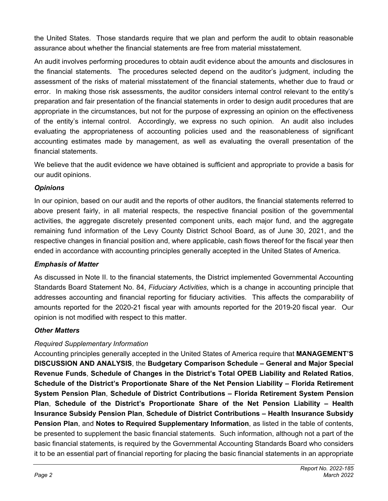the United States. Those standards require that we plan and perform the audit to obtain reasonable assurance about whether the financial statements are free from material misstatement.

An audit involves performing procedures to obtain audit evidence about the amounts and disclosures in the financial statements. The procedures selected depend on the auditor's judgment, including the assessment of the risks of material misstatement of the financial statements, whether due to fraud or error. In making those risk assessments, the auditor considers internal control relevant to the entity's preparation and fair presentation of the financial statements in order to design audit procedures that are appropriate in the circumstances, but not for the purpose of expressing an opinion on the effectiveness of the entity's internal control. Accordingly, we express no such opinion. An audit also includes evaluating the appropriateness of accounting policies used and the reasonableness of significant accounting estimates made by management, as well as evaluating the overall presentation of the financial statements.

We believe that the audit evidence we have obtained is sufficient and appropriate to provide a basis for our audit opinions.

### *Opinions*

In our opinion, based on our audit and the reports of other auditors, the financial statements referred to above present fairly, in all material respects, the respective financial position of the governmental activities, the aggregate discretely presented component units, each major fund, and the aggregate remaining fund information of the Levy County District School Board, as of June 30, 2021, and the respective changes in financial position and, where applicable, cash flows thereof for the fiscal year then ended in accordance with accounting principles generally accepted in the United States of America.

### *Emphasis of Matter*

As discussed in Note II. to the financial statements, the District implemented Governmental Accounting Standards Board Statement No. 84, *Fiduciary Activities*, which is a change in accounting principle that addresses accounting and financial reporting for fiduciary activities. This affects the comparability of amounts reported for the 2020-21 fiscal year with amounts reported for the 2019-20 fiscal year. Our opinion is not modified with respect to this matter.

### *Other Matters*

### *Required Supplementary Information*

Accounting principles generally accepted in the United States of America require that **MANAGEMENT'S DISCUSSION AND ANALYSIS**, the **Budgetary Comparison Schedule – General and Major Special Revenue Funds**, **Schedule of Changes in the District's Total OPEB Liability and Related Ratios**, **Schedule of the District's Proportionate Share of the Net Pension Liability – Florida Retirement System Pension Plan**, **Schedule of District Contributions – Florida Retirement System Pension Plan**, **Schedule of the District's Proportionate Share of the Net Pension Liability – Health Insurance Subsidy Pension Plan**, **Schedule of District Contributions – Health Insurance Subsidy Pension Plan**, and **Notes to Required Supplementary Information**, as listed in the table of contents, be presented to supplement the basic financial statements. Such information, although not a part of the basic financial statements, is required by the Governmental Accounting Standards Board who considers it to be an essential part of financial reporting for placing the basic financial statements in an appropriate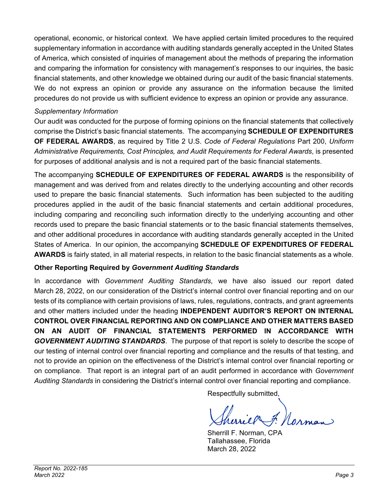<span id="page-8-0"></span>operational, economic, or historical context. We have applied certain limited procedures to the required supplementary information in accordance with auditing standards generally accepted in the United States of America, which consisted of inquiries of management about the methods of preparing the information and comparing the information for consistency with management's responses to our inquiries, the basic financial statements, and other knowledge we obtained during our audit of the basic financial statements. We do not express an opinion or provide any assurance on the information because the limited procedures do not provide us with sufficient evidence to express an opinion or provide any assurance.

### *Supplementary Information*

Our audit was conducted for the purpose of forming opinions on the financial statements that collectively comprise the District's basic financial statements. The accompanying **SCHEDULE OF EXPENDITURES OF FEDERAL AWARDS**, as required by Title 2 U.S. *Code of Federal Regulations* Part 200, *Uniform Administrative Requirements, Cost Principles, and Audit Requirements for Federal Awards*, is presented for purposes of additional analysis and is not a required part of the basic financial statements.

The accompanying **SCHEDULE OF EXPENDITURES OF FEDERAL AWARDS** is the responsibility of management and was derived from and relates directly to the underlying accounting and other records used to prepare the basic financial statements. Such information has been subjected to the auditing procedures applied in the audit of the basic financial statements and certain additional procedures, including comparing and reconciling such information directly to the underlying accounting and other records used to prepare the basic financial statements or to the basic financial statements themselves, and other additional procedures in accordance with auditing standards generally accepted in the United States of America. In our opinion, the accompanying **SCHEDULE OF EXPENDITURES OF FEDERAL AWARDS** is fairly stated, in all material respects, in relation to the basic financial statements as a whole.

### **Other Reporting Required by** *Government Auditing Standards*

In accordance with *Government Auditing Standards*, we have also issued our report dated March 28, 2022, on our consideration of the District's internal control over financial reporting and on our tests of its compliance with certain provisions of laws, rules, regulations, contracts, and grant agreements and other matters included under the heading **INDEPENDENT AUDITOR'S REPORT ON INTERNAL CONTROL OVER FINANCIAL REPORTING AND ON COMPLIANCE AND OTHER MATTERS BASED ON AN AUDIT OF FINANCIAL STATEMENTS PERFORMED IN ACCORDANCE WITH**  *GOVERNMENT AUDITING STANDARDS*. The purpose of that report is solely to describe the scope of our testing of internal control over financial reporting and compliance and the results of that testing, and not to provide an opinion on the effectiveness of the District's internal control over financial reporting or on compliance. That report is an integral part of an audit performed in accordance with *Government Auditing Standards* in considering the District's internal control over financial reporting and compliance.

Respectfully submitted,

Lorman

Sherrill F. Norman, CPA Tallahassee, Florida March 28, 2022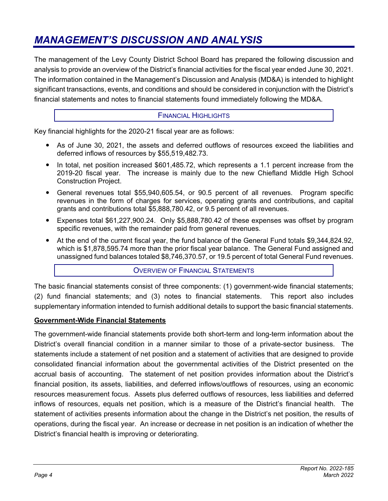# <span id="page-9-0"></span>*MANAGEMENT'S DISCUSSION AND ANALYSIS*

The management of the Levy County District School Board has prepared the following discussion and analysis to provide an overview of the District's financial activities for the fiscal year ended June 30, 2021. The information contained in the Management's Discussion and Analysis (MD&A) is intended to highlight significant transactions, events, and conditions and should be considered in conjunction with the District's financial statements and notes to financial statements found immediately following the MD&A.

### FINANCIAL HIGHLIGHTS

Key financial highlights for the 2020-21 fiscal year are as follows:

- As of June 30, 2021, the assets and deferred outflows of resources exceed the liabilities and deferred inflows of resources by \$55,519,482.73.
- In total, net position increased \$601,485.72, which represents a 1.1 percent increase from the 2019-20 fiscal year. The increase is mainly due to the new Chiefland Middle High School Construction Project.
- General revenues total \$55,940,605.54, or 90.5 percent of all revenues. Program specific revenues in the form of charges for services, operating grants and contributions, and capital grants and contributions total \$5,888,780.42, or 9.5 percent of all revenues.
- Expenses total \$61,227,900.24. Only \$5,888,780.42 of these expenses was offset by program specific revenues, with the remainder paid from general revenues.
- At the end of the current fiscal year, the fund balance of the General Fund totals \$9,344,824.92, which is \$1,878,595.74 more than the prior fiscal year balance. The General Fund assigned and unassigned fund balances totaled \$8,746,370.57, or 19.5 percent of total General Fund revenues.

### OVERVIEW OF FINANCIAL STATEMENTS

The basic financial statements consist of three components: (1) government-wide financial statements; (2) fund financial statements; and (3) notes to financial statements. This report also includes supplementary information intended to furnish additional details to support the basic financial statements.

### **Government-Wide Financial Statements**

The government-wide financial statements provide both short-term and long-term information about the District's overall financial condition in a manner similar to those of a private-sector business. The statements include a statement of net position and a statement of activities that are designed to provide consolidated financial information about the governmental activities of the District presented on the accrual basis of accounting. The statement of net position provides information about the District's financial position, its assets, liabilities, and deferred inflows/outflows of resources, using an economic resources measurement focus. Assets plus deferred outflows of resources, less liabilities and deferred inflows of resources, equals net position, which is a measure of the District's financial health. The statement of activities presents information about the change in the District's net position, the results of operations, during the fiscal year. An increase or decrease in net position is an indication of whether the District's financial health is improving or deteriorating.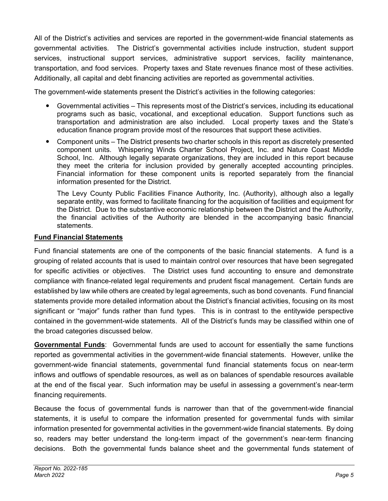All of the District's activities and services are reported in the government-wide financial statements as governmental activities. The District's governmental activities include instruction, student support services, instructional support services, administrative support services, facility maintenance, transportation, and food services. Property taxes and State revenues finance most of these activities. Additionally, all capital and debt financing activities are reported as governmental activities.

The government-wide statements present the District's activities in the following categories:

- Governmental activities This represents most of the District's services, including its educational programs such as basic, vocational, and exceptional education. Support functions such as transportation and administration are also included. Local property taxes and the State's education finance program provide most of the resources that support these activities.
- Component units The District presents two charter schools in this report as discretely presented component units. Whispering Winds Charter School Project, Inc. and Nature Coast Middle School, Inc. Although legally separate organizations, they are included in this report because they meet the criteria for inclusion provided by generally accepted accounting principles. Financial information for these component units is reported separately from the financial information presented for the District.

The Levy County Public Facilities Finance Authority, Inc. (Authority), although also a legally separate entity, was formed to facilitate financing for the acquisition of facilities and equipment for the District. Due to the substantive economic relationship between the District and the Authority, the financial activities of the Authority are blended in the accompanying basic financial statements.

### **Fund Financial Statements**

Fund financial statements are one of the components of the basic financial statements. A fund is a grouping of related accounts that is used to maintain control over resources that have been segregated for specific activities or objectives. The District uses fund accounting to ensure and demonstrate compliance with finance-related legal requirements and prudent fiscal management. Certain funds are established by law while others are created by legal agreements, such as bond covenants. Fund financial statements provide more detailed information about the District's financial activities, focusing on its most significant or "major" funds rather than fund types. This is in contrast to the entitywide perspective contained in the government-wide statements. All of the District's funds may be classified within one of the broad categories discussed below.

**Governmental Funds**: Governmental funds are used to account for essentially the same functions reported as governmental activities in the government-wide financial statements. However, unlike the government-wide financial statements, governmental fund financial statements focus on near-term inflows and outflows of spendable resources, as well as on balances of spendable resources available at the end of the fiscal year. Such information may be useful in assessing a government's near-term financing requirements.

Because the focus of governmental funds is narrower than that of the government-wide financial statements, it is useful to compare the information presented for governmental funds with similar information presented for governmental activities in the government-wide financial statements. By doing so, readers may better understand the long-term impact of the government's near-term financing decisions. Both the governmental funds balance sheet and the governmental funds statement of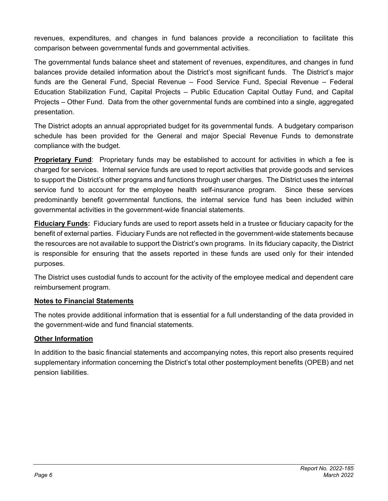revenues, expenditures, and changes in fund balances provide a reconciliation to facilitate this comparison between governmental funds and governmental activities.

The governmental funds balance sheet and statement of revenues, expenditures, and changes in fund balances provide detailed information about the District's most significant funds. The District's major funds are the General Fund, Special Revenue – Food Service Fund, Special Revenue – Federal Education Stabilization Fund, Capital Projects – Public Education Capital Outlay Fund, and Capital Projects – Other Fund. Data from the other governmental funds are combined into a single, aggregated presentation.

The District adopts an annual appropriated budget for its governmental funds. A budgetary comparison schedule has been provided for the General and major Special Revenue Funds to demonstrate compliance with the budget.

**Proprietary Fund**: Proprietary funds may be established to account for activities in which a fee is charged for services. Internal service funds are used to report activities that provide goods and services to support the District's other programs and functions through user charges. The District uses the internal service fund to account for the employee health self-insurance program. Since these services predominantly benefit governmental functions, the internal service fund has been included within governmental activities in the government-wide financial statements.

**Fiduciary Funds:** Fiduciary funds are used to report assets held in a trustee or fiduciary capacity for the benefit of external parties.Fiduciary Funds are not reflected in the government-wide statements because the resources are not available to support the District's own programs. In its fiduciary capacity, the District is responsible for ensuring that the assets reported in these funds are used only for their intended purposes.

The District uses custodial funds to account for the activity of the employee medical and dependent care reimbursement program.

### **Notes to Financial Statements**

The notes provide additional information that is essential for a full understanding of the data provided in the government-wide and fund financial statements.

### **Other Information**

In addition to the basic financial statements and accompanying notes, this report also presents required supplementary information concerning the District's total other postemployment benefits (OPEB) and net pension liabilities.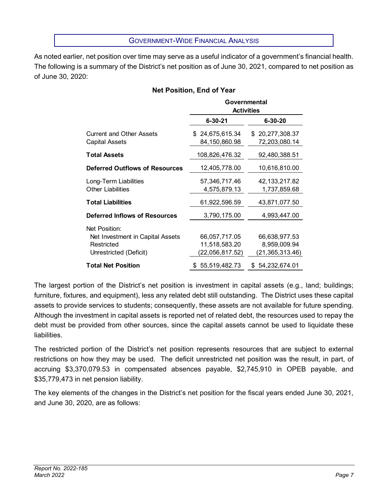### GOVERNMENT-WIDE FINANCIAL ANALYSIS

As noted earlier, net position over time may serve as a useful indicator of a government's financial health. The following is a summary of the District's net position as of June 30, 2021, compared to net position as of June 30, 2020:

### **Net Position, End of Year**

|                                                                                           | Governmental<br><b>Activities</b>                 |                                                    |  |  |  |  |
|-------------------------------------------------------------------------------------------|---------------------------------------------------|----------------------------------------------------|--|--|--|--|
|                                                                                           | $6 - 30 - 21$                                     | $6 - 30 - 20$                                      |  |  |  |  |
| <b>Current and Other Assets</b><br><b>Capital Assets</b>                                  | \$24,675,615.34<br>84,150,860.98                  | \$20,277,308.37<br>72,203,080.14                   |  |  |  |  |
| <b>Total Assets</b>                                                                       | 108,826,476.32                                    | 92,480,388.51                                      |  |  |  |  |
| <b>Deferred Outflows of Resources</b>                                                     | 12,405,778.00                                     | 10,616,810.00                                      |  |  |  |  |
| Long-Term Liabilities<br><b>Other Liabilities</b>                                         | 57,346,717.46<br>4,575,879.13                     | 42,133,217.82<br>1,737,859.68                      |  |  |  |  |
| <b>Total Liabilities</b>                                                                  | 61,922,596.59                                     | 43,871,077.50                                      |  |  |  |  |
| <b>Deferred Inflows of Resources</b>                                                      | 3,790,175.00                                      | 4,993,447.00                                       |  |  |  |  |
| Net Position:<br>Net Investment in Capital Assets<br>Restricted<br>Unrestricted (Deficit) | 66,057,717.05<br>11,518,583.20<br>(22,056,817.52) | 66,638,977.53<br>8,959,009.94<br>(21, 365, 313.46) |  |  |  |  |
| <b>Total Net Position</b>                                                                 | 55,519,482.73<br>\$54,232,674.01<br>S.            |                                                    |  |  |  |  |

The largest portion of the District's net position is investment in capital assets (e.g., land; buildings; furniture, fixtures, and equipment), less any related debt still outstanding. The District uses these capital assets to provide services to students; consequently, these assets are not available for future spending. Although the investment in capital assets is reported net of related debt, the resources used to repay the debt must be provided from other sources, since the capital assets cannot be used to liquidate these liabilities.

The restricted portion of the District's net position represents resources that are subject to external restrictions on how they may be used. The deficit unrestricted net position was the result, in part, of accruing \$3,370,079.53 in compensated absences payable, \$2,745,910 in OPEB payable, and \$35,779,473 in net pension liability.

The key elements of the changes in the District's net position for the fiscal years ended June 30, 2021, and June 30, 2020, are as follows: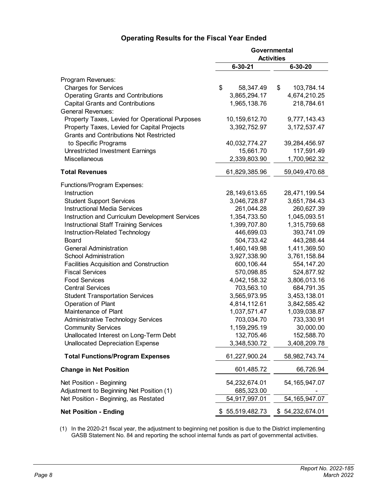### **Operating Results for the Fiscal Year Ended**

|                                                 | Governmental        |                     |  |  |
|-------------------------------------------------|---------------------|---------------------|--|--|
|                                                 | <b>Activities</b>   |                     |  |  |
|                                                 | $6 - 30 - 21$       | 6-30-20             |  |  |
|                                                 |                     |                     |  |  |
| Program Revenues:                               | \$                  | \$<br>103,784.14    |  |  |
| <b>Charges for Services</b>                     | 58,347.49           |                     |  |  |
| <b>Operating Grants and Contributions</b>       | 3,865,294.17        | 4,674,210.25        |  |  |
| <b>Capital Grants and Contributions</b>         | 1,965,138.76        | 218,784.61          |  |  |
| <b>General Revenues:</b>                        |                     |                     |  |  |
| Property Taxes, Levied for Operational Purposes | 10,159,612.70       | 9,777,143.43        |  |  |
| Property Taxes, Levied for Capital Projects     | 3,392,752.97        | 3, 172, 537. 47     |  |  |
| <b>Grants and Contributions Not Restricted</b>  |                     |                     |  |  |
| to Specific Programs                            | 40,032,774.27       | 39,284,456.97       |  |  |
| <b>Unrestricted Investment Earnings</b>         | 15,661.70           | 117,591.49          |  |  |
| Miscellaneous                                   | 2,339,803.90        | 1,700,962.32        |  |  |
| <b>Total Revenues</b>                           | 61,829,385.96       | 59,049,470.68       |  |  |
| Functions/Program Expenses:                     |                     |                     |  |  |
| Instruction                                     | 28,149,613.65       | 28,471,199.54       |  |  |
| <b>Student Support Services</b>                 | 3,046,728.87        | 3,651,784.43        |  |  |
| <b>Instructional Media Services</b>             | 261,044.28          | 260,627.39          |  |  |
| Instruction and Curriculum Development Services | 1,354,733.50        | 1,045,093.51        |  |  |
| <b>Instructional Staff Training Services</b>    | 1,399,707.80        | 1,315,759.68        |  |  |
| Instruction-Related Technology                  | 446,699.03          | 393,741.09          |  |  |
| <b>Board</b>                                    | 504,733.42          | 443,288.44          |  |  |
| <b>General Administration</b>                   | 1,460,149.98        | 1,411,369.50        |  |  |
| <b>School Administration</b>                    | 3,927,338.90        | 3,761,158.84        |  |  |
| <b>Facilities Acquisition and Construction</b>  | 600,106.44          | 554, 147.20         |  |  |
| <b>Fiscal Services</b>                          | 570,098.85          | 524,877.92          |  |  |
| <b>Food Services</b>                            | 4,042,158.32        | 3,806,013.16        |  |  |
| <b>Central Services</b>                         | 703,563.10          | 684,791.35          |  |  |
| <b>Student Transportation Services</b>          | 3,565,973.95        | 3,453,138.01        |  |  |
| Operation of Plant                              | 4,814,112.61        | 3,842,585.42        |  |  |
| Maintenance of Plant                            | 1,037,571.47        | 1,039,038.87        |  |  |
| Administrative Technology Services              | 703,034.70          | 733,330.91          |  |  |
| <b>Community Services</b>                       | 1,159,295.19        | 30,000.00           |  |  |
| Unallocated Interest on Long-Term Debt          | 132,705.46          | 152,588.70          |  |  |
| <b>Unallocated Depreciation Expense</b>         | 3,348,530.72        | 3,408,209.78        |  |  |
|                                                 |                     |                     |  |  |
| <b>Total Functions/Program Expenses</b>         | 61,227,900.24       | 58,982,743.74       |  |  |
| <b>Change in Net Position</b>                   | 601,485.72          | 66,726.94           |  |  |
| Net Position - Beginning                        | 54,232,674.01       | 54, 165, 947.07     |  |  |
| Adjustment to Beginning Net Position (1)        | 685,323.00          |                     |  |  |
| Net Position - Beginning, as Restated           | 54,917,997.01       | 54, 165, 947.07     |  |  |
| <b>Net Position - Ending</b>                    | 55,519,482.73<br>S. | \$<br>54,232,674.01 |  |  |
|                                                 |                     |                     |  |  |

(1) In the 2020-21 fiscal year, the adjustment to beginning net position is due to the District implementing GASB Statement No. 84 and reporting the school internal funds as part of governmental activities.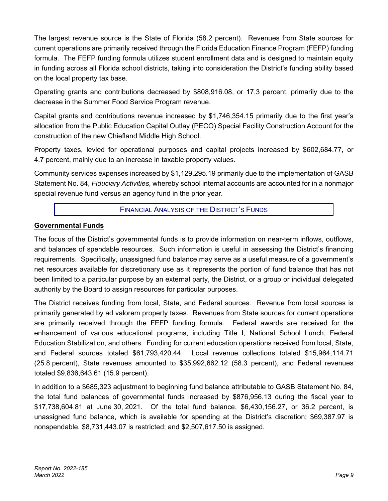The largest revenue source is the State of Florida (58.2 percent). Revenues from State sources for current operations are primarily received through the Florida Education Finance Program (FEFP) funding formula. The FEFP funding formula utilizes student enrollment data and is designed to maintain equity in funding across all Florida school districts, taking into consideration the District's funding ability based on the local property tax base.

Operating grants and contributions decreased by \$808,916.08, or 17.3 percent, primarily due to the decrease in the Summer Food Service Program revenue.

Capital grants and contributions revenue increased by \$1,746,354.15 primarily due to the first year's allocation from the Public Education Capital Outlay (PECO) Special Facility Construction Account for the construction of the new Chiefland Middle High School.

Property taxes, levied for operational purposes and capital projects increased by \$602,684.77, or 4.7 percent, mainly due to an increase in taxable property values.

Community services expenses increased by \$1,129,295.19 primarily due to the implementation of GASB Statement No. 84, *Fiduciary Activities*, whereby school internal accounts are accounted for in a nonmajor special revenue fund versus an agency fund in the prior year.

FINANCIAL ANALYSIS OF THE DISTRICT'S FUNDS

### **Governmental Funds**

The focus of the District's governmental funds is to provide information on near-term inflows, outflows, and balances of spendable resources. Such information is useful in assessing the District's financing requirements. Specifically, unassigned fund balance may serve as a useful measure of a government's net resources available for discretionary use as it represents the portion of fund balance that has not been limited to a particular purpose by an external party, the District, or a group or individual delegated authority by the Board to assign resources for particular purposes.

The District receives funding from local, State, and Federal sources. Revenue from local sources is primarily generated by ad valorem property taxes. Revenues from State sources for current operations are primarily received through the FEFP funding formula. Federal awards are received for the enhancement of various educational programs, including Title I, National School Lunch, Federal Education Stabilization, and others. Funding for current education operations received from local, State, and Federal sources totaled \$61,793,420.44. Local revenue collections totaled \$15,964,114.71 (25.8 percent), State revenues amounted to \$35,992,662.12 (58.3 percent), and Federal revenues totaled \$9,836,643.61 (15.9 percent).

In addition to a \$685,323 adjustment to beginning fund balance attributable to GASB Statement No. 84, the total fund balances of governmental funds increased by \$876,956.13 during the fiscal year to \$17,738,604.81 at June 30, 2021. Of the total fund balance, \$6,430,156.27, or 36.2 percent, is unassigned fund balance, which is available for spending at the District's discretion; \$69,387.97 is nonspendable, \$8,731,443.07 is restricted; and \$2,507,617.50 is assigned.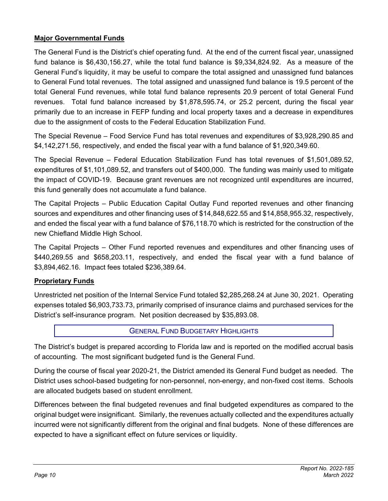### **Major Governmental Funds**

The General Fund is the District's chief operating fund. At the end of the current fiscal year, unassigned fund balance is \$6,430,156.27, while the total fund balance is \$9,334,824.92. As a measure of the General Fund's liquidity, it may be useful to compare the total assigned and unassigned fund balances to General Fund total revenues. The total assigned and unassigned fund balance is 19.5 percent of the total General Fund revenues, while total fund balance represents 20.9 percent of total General Fund revenues. Total fund balance increased by \$1,878,595.74, or 25.2 percent, during the fiscal year primarily due to an increase in FEFP funding and local property taxes and a decrease in expenditures due to the assignment of costs to the Federal Education Stabilization Fund.

The Special Revenue – Food Service Fund has total revenues and expenditures of \$3,928,290.85 and \$4,142,271.56, respectively, and ended the fiscal year with a fund balance of \$1,920,349.60.

The Special Revenue – Federal Education Stabilization Fund has total revenues of \$1,501,089.52, expenditures of \$1,101,089.52, and transfers out of \$400,000. The funding was mainly used to mitigate the impact of COVID-19. Because grant revenues are not recognized until expenditures are incurred, this fund generally does not accumulate a fund balance.

The Capital Projects – Public Education Capital Outlay Fund reported revenues and other financing sources and expenditures and other financing uses of \$14,848,622.55 and \$14,858,955.32, respectively, and ended the fiscal year with a fund balance of \$76,118.70 which is restricted for the construction of the new Chiefland Middle High School.

The Capital Projects – Other Fund reported revenues and expenditures and other financing uses of \$440,269.55 and \$658,203.11, respectively, and ended the fiscal year with a fund balance of \$3,894,462.16. Impact fees totaled \$236,389.64.

### **Proprietary Funds**

Unrestricted net position of the Internal Service Fund totaled \$2,285,268.24 at June 30, 2021. Operating expenses totaled \$6,903,733.73, primarily comprised of insurance claims and purchased services for the District's self-insurance program. Net position decreased by \$35,893.08.

### GENERAL FUND BUDGETARY HIGHLIGHTS

The District's budget is prepared according to Florida law and is reported on the modified accrual basis of accounting. The most significant budgeted fund is the General Fund.

During the course of fiscal year 2020-21, the District amended its General Fund budget as needed. The District uses school-based budgeting for non-personnel, non-energy, and non-fixed cost items. Schools are allocated budgets based on student enrollment.

Differences between the final budgeted revenues and final budgeted expenditures as compared to the original budget were insignificant. Similarly, the revenues actually collected and the expenditures actually incurred were not significantly different from the original and final budgets. None of these differences are expected to have a significant effect on future services or liquidity.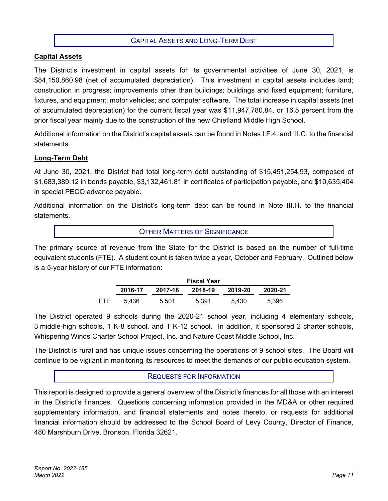### CAPITAL ASSETS AND LONG-TERM DEBT

### **Capital Assets**

The District's investment in capital assets for its governmental activities of June 30, 2021, is \$84,150,860.98 (net of accumulated depreciation). This investment in capital assets includes land; construction in progress; improvements other than buildings; buildings and fixed equipment; furniture, fixtures, and equipment; motor vehicles; and computer software. The total increase in capital assets (net of accumulated depreciation) for the current fiscal year was \$11,947,780.84, or 16.5 percent from the prior fiscal year mainly due to the construction of the new Chiefland Middle High School.

Additional information on the District's capital assets can be found in Notes I.F.4. and III.C. to the financial statements.

### **Long-Term Debt**

At June 30, 2021, the District had total long-term debt outstanding of \$15,451,254.93, composed of \$1,683,389.12 in bonds payable, \$3,132,461.81 in certificates of participation payable, and \$10,635,404 in special PECO advance payable.

Additional information on the District's long-term debt can be found in Note III.H. to the financial statements.

### OTHER MATTERS OF SIGNIFICANCE

The primary source of revenue from the State for the District is based on the number of full-time equivalent students (FTE). A student count is taken twice a year, October and February. Outlined below is a 5-year history of our FTE information:

|      |         |         | <b>Fiscal Year</b> |         |         |
|------|---------|---------|--------------------|---------|---------|
|      | 2016-17 | 2017-18 | 2018-19            | 2019-20 | 2020-21 |
| FTE. | 5.436   | 5.501   | 5.391              | 5.430   | 5.396   |

The District operated 9 schools during the 2020-21 school year, including 4 elementary schools, 3 middle-high schools, 1 K-8 school, and 1 K-12 school. In addition, it sponsored 2 charter schools, Whispering Winds Charter School Project, Inc. and Nature Coast Middle School, Inc.

The District is rural and has unique issues concerning the operations of 9 school sites. The Board will continue to be vigilant in monitoring its resources to meet the demands of our public education system.

### REQUESTS FOR INFORMATION

This report is designed to provide a general overview of the District's finances for all those with an interest in the District's finances. Questions concerning information provided in the MD&A or other required supplementary information, and financial statements and notes thereto, or requests for additional financial information should be addressed to the School Board of Levy County, Director of Finance, 480 Marshburn Drive, Bronson, Florida 32621.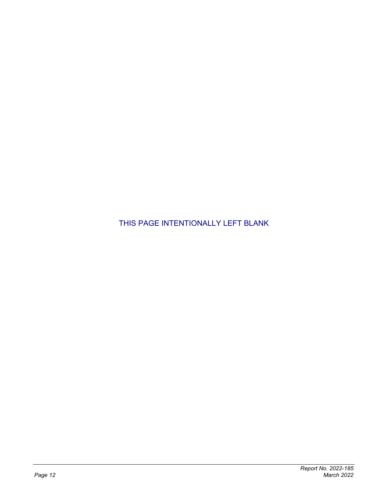THIS PAGE INTENTIONALLY LEFT BLANK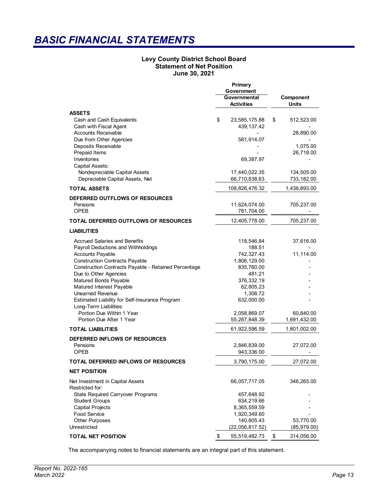# <span id="page-18-0"></span>*BASIC FINANCIAL STATEMENTS*

### **Levy County District School Board Statement of Net Position June 30, 2021**

| Government<br>Governmental<br>Component<br><b>Units</b><br><b>Activities</b><br><b>ASSETS</b><br>\$<br>Cash and Cash Equivalents<br>23,585,175.88<br>\$<br>512,523.00<br>Cash with Fiscal Agent<br>439, 137.42<br><b>Accounts Receivable</b><br>28,890.00<br>Due from Other Agencies<br>581,914.07<br>Deposits Receivable<br>1,075.00<br><b>Prepaid Items</b><br>26,718.00<br>Inventories<br>69,387.97<br>Capital Assets:<br>Nondepreciable Capital Assets<br>17,440,022.35<br>134,505.00<br>Depreciable Capital Assets, Net<br>66,710,838.63<br>733,182.00<br><b>TOTAL ASSETS</b><br>108,826,476.32<br>1,436,893.00<br>DEFERRED OUTFLOWS OF RESOURCES<br>11,624,074.00<br>705,237.00<br>Pensions<br>OPEB<br>781,704.00<br>705,237.00<br>TOTAL DEFERRED OUTFLOWS OF RESOURCES<br>12,405,778.00<br><b>LIABILITIES</b><br><b>Accrued Salaries and Benefits</b><br>118,546.84<br>37,616.00<br>Payroll Deductions and Withholdings<br>188.51<br>Accounts Payable<br>742,327.43<br>11,114.00<br><b>Construction Contracts Payable</b><br>1,806,129.00<br>Construction Contracts Payable - Retained Percentage<br>835,760.00<br>Due to Other Agencies<br>481.21<br>Matured Bonds Payable<br>376,332.19<br>Matured Interest Payable<br>62,805.23<br>Unearned Revenue<br>1,308.72<br>Estimated Liability for Self-Insurance Program<br>632,000.00<br>Long-Term Liabilities:<br>Portion Due Within 1 Year<br>60,840.00<br>2,058,869.07<br>Portion Due After 1 Year<br>55,287,848.39<br>1,691,432.00<br><b>TOTAL LIABILITIES</b><br>61,922,596.59<br>1,801,002.00<br>DEFERRED INFLOWS OF RESOURCES<br>Pensions<br>2,846,839.00<br>27,072.00<br>OPEB<br>943,336.00<br>TOTAL DEFERRED INFLOWS OF RESOURCES<br>27,072.00<br>3,790,175.00<br><b>NET POSITION</b><br>Net Investment in Capital Assets<br>66,057,717.05<br>346,265.00<br>Restricted for:<br><b>State Required Carryover Programs</b><br>457,648.92<br><b>Student Groups</b><br>634,219.66<br>8,365,559.59<br><b>Capital Projects</b><br><b>Food Service</b><br>1,920,349.60<br><b>Other Purposes</b><br>140,805.43<br>53,770.00<br>Unrestricted<br>(22,056,817.52)<br>(85,979.00) |                           | Primary |               |    |            |
|-----------------------------------------------------------------------------------------------------------------------------------------------------------------------------------------------------------------------------------------------------------------------------------------------------------------------------------------------------------------------------------------------------------------------------------------------------------------------------------------------------------------------------------------------------------------------------------------------------------------------------------------------------------------------------------------------------------------------------------------------------------------------------------------------------------------------------------------------------------------------------------------------------------------------------------------------------------------------------------------------------------------------------------------------------------------------------------------------------------------------------------------------------------------------------------------------------------------------------------------------------------------------------------------------------------------------------------------------------------------------------------------------------------------------------------------------------------------------------------------------------------------------------------------------------------------------------------------------------------------------------------------------------------------------------------------------------------------------------------------------------------------------------------------------------------------------------------------------------------------------------------------------------------------------------------------------------------------------------------------------------------------------------------------------------------------------------------------------------------------------------------|---------------------------|---------|---------------|----|------------|
|                                                                                                                                                                                                                                                                                                                                                                                                                                                                                                                                                                                                                                                                                                                                                                                                                                                                                                                                                                                                                                                                                                                                                                                                                                                                                                                                                                                                                                                                                                                                                                                                                                                                                                                                                                                                                                                                                                                                                                                                                                                                                                                                   |                           |         |               |    |            |
|                                                                                                                                                                                                                                                                                                                                                                                                                                                                                                                                                                                                                                                                                                                                                                                                                                                                                                                                                                                                                                                                                                                                                                                                                                                                                                                                                                                                                                                                                                                                                                                                                                                                                                                                                                                                                                                                                                                                                                                                                                                                                                                                   |                           |         |               |    |            |
|                                                                                                                                                                                                                                                                                                                                                                                                                                                                                                                                                                                                                                                                                                                                                                                                                                                                                                                                                                                                                                                                                                                                                                                                                                                                                                                                                                                                                                                                                                                                                                                                                                                                                                                                                                                                                                                                                                                                                                                                                                                                                                                                   |                           |         |               |    |            |
|                                                                                                                                                                                                                                                                                                                                                                                                                                                                                                                                                                                                                                                                                                                                                                                                                                                                                                                                                                                                                                                                                                                                                                                                                                                                                                                                                                                                                                                                                                                                                                                                                                                                                                                                                                                                                                                                                                                                                                                                                                                                                                                                   |                           |         |               |    |            |
|                                                                                                                                                                                                                                                                                                                                                                                                                                                                                                                                                                                                                                                                                                                                                                                                                                                                                                                                                                                                                                                                                                                                                                                                                                                                                                                                                                                                                                                                                                                                                                                                                                                                                                                                                                                                                                                                                                                                                                                                                                                                                                                                   |                           |         |               |    |            |
|                                                                                                                                                                                                                                                                                                                                                                                                                                                                                                                                                                                                                                                                                                                                                                                                                                                                                                                                                                                                                                                                                                                                                                                                                                                                                                                                                                                                                                                                                                                                                                                                                                                                                                                                                                                                                                                                                                                                                                                                                                                                                                                                   |                           |         |               |    |            |
|                                                                                                                                                                                                                                                                                                                                                                                                                                                                                                                                                                                                                                                                                                                                                                                                                                                                                                                                                                                                                                                                                                                                                                                                                                                                                                                                                                                                                                                                                                                                                                                                                                                                                                                                                                                                                                                                                                                                                                                                                                                                                                                                   |                           |         |               |    |            |
|                                                                                                                                                                                                                                                                                                                                                                                                                                                                                                                                                                                                                                                                                                                                                                                                                                                                                                                                                                                                                                                                                                                                                                                                                                                                                                                                                                                                                                                                                                                                                                                                                                                                                                                                                                                                                                                                                                                                                                                                                                                                                                                                   |                           |         |               |    |            |
|                                                                                                                                                                                                                                                                                                                                                                                                                                                                                                                                                                                                                                                                                                                                                                                                                                                                                                                                                                                                                                                                                                                                                                                                                                                                                                                                                                                                                                                                                                                                                                                                                                                                                                                                                                                                                                                                                                                                                                                                                                                                                                                                   |                           |         |               |    |            |
|                                                                                                                                                                                                                                                                                                                                                                                                                                                                                                                                                                                                                                                                                                                                                                                                                                                                                                                                                                                                                                                                                                                                                                                                                                                                                                                                                                                                                                                                                                                                                                                                                                                                                                                                                                                                                                                                                                                                                                                                                                                                                                                                   |                           |         |               |    |            |
|                                                                                                                                                                                                                                                                                                                                                                                                                                                                                                                                                                                                                                                                                                                                                                                                                                                                                                                                                                                                                                                                                                                                                                                                                                                                                                                                                                                                                                                                                                                                                                                                                                                                                                                                                                                                                                                                                                                                                                                                                                                                                                                                   |                           |         |               |    |            |
|                                                                                                                                                                                                                                                                                                                                                                                                                                                                                                                                                                                                                                                                                                                                                                                                                                                                                                                                                                                                                                                                                                                                                                                                                                                                                                                                                                                                                                                                                                                                                                                                                                                                                                                                                                                                                                                                                                                                                                                                                                                                                                                                   |                           |         |               |    |            |
|                                                                                                                                                                                                                                                                                                                                                                                                                                                                                                                                                                                                                                                                                                                                                                                                                                                                                                                                                                                                                                                                                                                                                                                                                                                                                                                                                                                                                                                                                                                                                                                                                                                                                                                                                                                                                                                                                                                                                                                                                                                                                                                                   |                           |         |               |    |            |
|                                                                                                                                                                                                                                                                                                                                                                                                                                                                                                                                                                                                                                                                                                                                                                                                                                                                                                                                                                                                                                                                                                                                                                                                                                                                                                                                                                                                                                                                                                                                                                                                                                                                                                                                                                                                                                                                                                                                                                                                                                                                                                                                   |                           |         |               |    |            |
|                                                                                                                                                                                                                                                                                                                                                                                                                                                                                                                                                                                                                                                                                                                                                                                                                                                                                                                                                                                                                                                                                                                                                                                                                                                                                                                                                                                                                                                                                                                                                                                                                                                                                                                                                                                                                                                                                                                                                                                                                                                                                                                                   |                           |         |               |    |            |
|                                                                                                                                                                                                                                                                                                                                                                                                                                                                                                                                                                                                                                                                                                                                                                                                                                                                                                                                                                                                                                                                                                                                                                                                                                                                                                                                                                                                                                                                                                                                                                                                                                                                                                                                                                                                                                                                                                                                                                                                                                                                                                                                   |                           |         |               |    |            |
|                                                                                                                                                                                                                                                                                                                                                                                                                                                                                                                                                                                                                                                                                                                                                                                                                                                                                                                                                                                                                                                                                                                                                                                                                                                                                                                                                                                                                                                                                                                                                                                                                                                                                                                                                                                                                                                                                                                                                                                                                                                                                                                                   |                           |         |               |    |            |
|                                                                                                                                                                                                                                                                                                                                                                                                                                                                                                                                                                                                                                                                                                                                                                                                                                                                                                                                                                                                                                                                                                                                                                                                                                                                                                                                                                                                                                                                                                                                                                                                                                                                                                                                                                                                                                                                                                                                                                                                                                                                                                                                   |                           |         |               |    |            |
|                                                                                                                                                                                                                                                                                                                                                                                                                                                                                                                                                                                                                                                                                                                                                                                                                                                                                                                                                                                                                                                                                                                                                                                                                                                                                                                                                                                                                                                                                                                                                                                                                                                                                                                                                                                                                                                                                                                                                                                                                                                                                                                                   |                           |         |               |    |            |
|                                                                                                                                                                                                                                                                                                                                                                                                                                                                                                                                                                                                                                                                                                                                                                                                                                                                                                                                                                                                                                                                                                                                                                                                                                                                                                                                                                                                                                                                                                                                                                                                                                                                                                                                                                                                                                                                                                                                                                                                                                                                                                                                   |                           |         |               |    |            |
|                                                                                                                                                                                                                                                                                                                                                                                                                                                                                                                                                                                                                                                                                                                                                                                                                                                                                                                                                                                                                                                                                                                                                                                                                                                                                                                                                                                                                                                                                                                                                                                                                                                                                                                                                                                                                                                                                                                                                                                                                                                                                                                                   |                           |         |               |    |            |
|                                                                                                                                                                                                                                                                                                                                                                                                                                                                                                                                                                                                                                                                                                                                                                                                                                                                                                                                                                                                                                                                                                                                                                                                                                                                                                                                                                                                                                                                                                                                                                                                                                                                                                                                                                                                                                                                                                                                                                                                                                                                                                                                   |                           |         |               |    |            |
|                                                                                                                                                                                                                                                                                                                                                                                                                                                                                                                                                                                                                                                                                                                                                                                                                                                                                                                                                                                                                                                                                                                                                                                                                                                                                                                                                                                                                                                                                                                                                                                                                                                                                                                                                                                                                                                                                                                                                                                                                                                                                                                                   |                           |         |               |    |            |
|                                                                                                                                                                                                                                                                                                                                                                                                                                                                                                                                                                                                                                                                                                                                                                                                                                                                                                                                                                                                                                                                                                                                                                                                                                                                                                                                                                                                                                                                                                                                                                                                                                                                                                                                                                                                                                                                                                                                                                                                                                                                                                                                   |                           |         |               |    |            |
|                                                                                                                                                                                                                                                                                                                                                                                                                                                                                                                                                                                                                                                                                                                                                                                                                                                                                                                                                                                                                                                                                                                                                                                                                                                                                                                                                                                                                                                                                                                                                                                                                                                                                                                                                                                                                                                                                                                                                                                                                                                                                                                                   |                           |         |               |    |            |
|                                                                                                                                                                                                                                                                                                                                                                                                                                                                                                                                                                                                                                                                                                                                                                                                                                                                                                                                                                                                                                                                                                                                                                                                                                                                                                                                                                                                                                                                                                                                                                                                                                                                                                                                                                                                                                                                                                                                                                                                                                                                                                                                   |                           |         |               |    |            |
|                                                                                                                                                                                                                                                                                                                                                                                                                                                                                                                                                                                                                                                                                                                                                                                                                                                                                                                                                                                                                                                                                                                                                                                                                                                                                                                                                                                                                                                                                                                                                                                                                                                                                                                                                                                                                                                                                                                                                                                                                                                                                                                                   |                           |         |               |    |            |
|                                                                                                                                                                                                                                                                                                                                                                                                                                                                                                                                                                                                                                                                                                                                                                                                                                                                                                                                                                                                                                                                                                                                                                                                                                                                                                                                                                                                                                                                                                                                                                                                                                                                                                                                                                                                                                                                                                                                                                                                                                                                                                                                   |                           |         |               |    |            |
|                                                                                                                                                                                                                                                                                                                                                                                                                                                                                                                                                                                                                                                                                                                                                                                                                                                                                                                                                                                                                                                                                                                                                                                                                                                                                                                                                                                                                                                                                                                                                                                                                                                                                                                                                                                                                                                                                                                                                                                                                                                                                                                                   |                           |         |               |    |            |
|                                                                                                                                                                                                                                                                                                                                                                                                                                                                                                                                                                                                                                                                                                                                                                                                                                                                                                                                                                                                                                                                                                                                                                                                                                                                                                                                                                                                                                                                                                                                                                                                                                                                                                                                                                                                                                                                                                                                                                                                                                                                                                                                   |                           |         |               |    |            |
|                                                                                                                                                                                                                                                                                                                                                                                                                                                                                                                                                                                                                                                                                                                                                                                                                                                                                                                                                                                                                                                                                                                                                                                                                                                                                                                                                                                                                                                                                                                                                                                                                                                                                                                                                                                                                                                                                                                                                                                                                                                                                                                                   |                           |         |               |    |            |
|                                                                                                                                                                                                                                                                                                                                                                                                                                                                                                                                                                                                                                                                                                                                                                                                                                                                                                                                                                                                                                                                                                                                                                                                                                                                                                                                                                                                                                                                                                                                                                                                                                                                                                                                                                                                                                                                                                                                                                                                                                                                                                                                   |                           |         |               |    |            |
|                                                                                                                                                                                                                                                                                                                                                                                                                                                                                                                                                                                                                                                                                                                                                                                                                                                                                                                                                                                                                                                                                                                                                                                                                                                                                                                                                                                                                                                                                                                                                                                                                                                                                                                                                                                                                                                                                                                                                                                                                                                                                                                                   |                           |         |               |    |            |
|                                                                                                                                                                                                                                                                                                                                                                                                                                                                                                                                                                                                                                                                                                                                                                                                                                                                                                                                                                                                                                                                                                                                                                                                                                                                                                                                                                                                                                                                                                                                                                                                                                                                                                                                                                                                                                                                                                                                                                                                                                                                                                                                   |                           |         |               |    |            |
|                                                                                                                                                                                                                                                                                                                                                                                                                                                                                                                                                                                                                                                                                                                                                                                                                                                                                                                                                                                                                                                                                                                                                                                                                                                                                                                                                                                                                                                                                                                                                                                                                                                                                                                                                                                                                                                                                                                                                                                                                                                                                                                                   |                           |         |               |    |            |
|                                                                                                                                                                                                                                                                                                                                                                                                                                                                                                                                                                                                                                                                                                                                                                                                                                                                                                                                                                                                                                                                                                                                                                                                                                                                                                                                                                                                                                                                                                                                                                                                                                                                                                                                                                                                                                                                                                                                                                                                                                                                                                                                   |                           |         |               |    |            |
|                                                                                                                                                                                                                                                                                                                                                                                                                                                                                                                                                                                                                                                                                                                                                                                                                                                                                                                                                                                                                                                                                                                                                                                                                                                                                                                                                                                                                                                                                                                                                                                                                                                                                                                                                                                                                                                                                                                                                                                                                                                                                                                                   |                           |         |               |    |            |
|                                                                                                                                                                                                                                                                                                                                                                                                                                                                                                                                                                                                                                                                                                                                                                                                                                                                                                                                                                                                                                                                                                                                                                                                                                                                                                                                                                                                                                                                                                                                                                                                                                                                                                                                                                                                                                                                                                                                                                                                                                                                                                                                   |                           |         |               |    |            |
|                                                                                                                                                                                                                                                                                                                                                                                                                                                                                                                                                                                                                                                                                                                                                                                                                                                                                                                                                                                                                                                                                                                                                                                                                                                                                                                                                                                                                                                                                                                                                                                                                                                                                                                                                                                                                                                                                                                                                                                                                                                                                                                                   |                           |         |               |    |            |
|                                                                                                                                                                                                                                                                                                                                                                                                                                                                                                                                                                                                                                                                                                                                                                                                                                                                                                                                                                                                                                                                                                                                                                                                                                                                                                                                                                                                                                                                                                                                                                                                                                                                                                                                                                                                                                                                                                                                                                                                                                                                                                                                   |                           |         |               |    |            |
|                                                                                                                                                                                                                                                                                                                                                                                                                                                                                                                                                                                                                                                                                                                                                                                                                                                                                                                                                                                                                                                                                                                                                                                                                                                                                                                                                                                                                                                                                                                                                                                                                                                                                                                                                                                                                                                                                                                                                                                                                                                                                                                                   |                           |         |               |    |            |
|                                                                                                                                                                                                                                                                                                                                                                                                                                                                                                                                                                                                                                                                                                                                                                                                                                                                                                                                                                                                                                                                                                                                                                                                                                                                                                                                                                                                                                                                                                                                                                                                                                                                                                                                                                                                                                                                                                                                                                                                                                                                                                                                   |                           |         |               |    |            |
|                                                                                                                                                                                                                                                                                                                                                                                                                                                                                                                                                                                                                                                                                                                                                                                                                                                                                                                                                                                                                                                                                                                                                                                                                                                                                                                                                                                                                                                                                                                                                                                                                                                                                                                                                                                                                                                                                                                                                                                                                                                                                                                                   |                           |         |               |    |            |
|                                                                                                                                                                                                                                                                                                                                                                                                                                                                                                                                                                                                                                                                                                                                                                                                                                                                                                                                                                                                                                                                                                                                                                                                                                                                                                                                                                                                                                                                                                                                                                                                                                                                                                                                                                                                                                                                                                                                                                                                                                                                                                                                   |                           |         |               |    |            |
|                                                                                                                                                                                                                                                                                                                                                                                                                                                                                                                                                                                                                                                                                                                                                                                                                                                                                                                                                                                                                                                                                                                                                                                                                                                                                                                                                                                                                                                                                                                                                                                                                                                                                                                                                                                                                                                                                                                                                                                                                                                                                                                                   |                           |         |               |    |            |
|                                                                                                                                                                                                                                                                                                                                                                                                                                                                                                                                                                                                                                                                                                                                                                                                                                                                                                                                                                                                                                                                                                                                                                                                                                                                                                                                                                                                                                                                                                                                                                                                                                                                                                                                                                                                                                                                                                                                                                                                                                                                                                                                   |                           |         |               |    |            |
|                                                                                                                                                                                                                                                                                                                                                                                                                                                                                                                                                                                                                                                                                                                                                                                                                                                                                                                                                                                                                                                                                                                                                                                                                                                                                                                                                                                                                                                                                                                                                                                                                                                                                                                                                                                                                                                                                                                                                                                                                                                                                                                                   | <b>TOTAL NET POSITION</b> | \$      | 55,519,482.73 | \$ | 314,056.00 |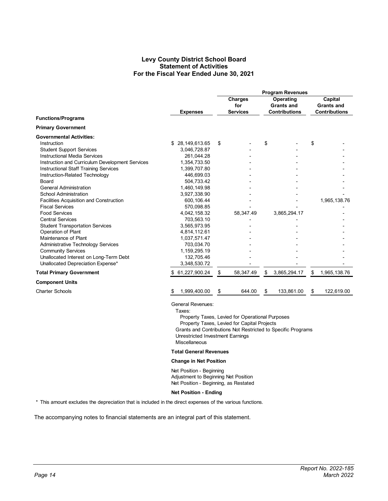### **Levy County District School Board Statement of Activities For the Fiscal Year Ended June 30, 2021**

<span id="page-19-0"></span>

|                                                 |                                                                                                                                                         | <b>Program Revenues</b> |                                                                                                                      |    |                                                        |    |                                                      |
|-------------------------------------------------|---------------------------------------------------------------------------------------------------------------------------------------------------------|-------------------------|----------------------------------------------------------------------------------------------------------------------|----|--------------------------------------------------------|----|------------------------------------------------------|
|                                                 | <b>Expenses</b>                                                                                                                                         |                         | <b>Charges</b><br>for<br><b>Services</b>                                                                             |    | Operating<br><b>Grants and</b><br><b>Contributions</b> |    | Capital<br><b>Grants and</b><br><b>Contributions</b> |
| <b>Functions/Programs</b>                       |                                                                                                                                                         |                         |                                                                                                                      |    |                                                        |    |                                                      |
| <b>Primary Government</b>                       |                                                                                                                                                         |                         |                                                                                                                      |    |                                                        |    |                                                      |
| <b>Governmental Activities:</b>                 |                                                                                                                                                         |                         |                                                                                                                      |    |                                                        |    |                                                      |
| Instruction                                     | 28,149,613.65<br>\$                                                                                                                                     | \$                      |                                                                                                                      | \$ |                                                        | \$ |                                                      |
| <b>Student Support Services</b>                 | 3,046,728.87                                                                                                                                            |                         |                                                                                                                      |    |                                                        |    |                                                      |
| <b>Instructional Media Services</b>             | 261,044.28                                                                                                                                              |                         |                                                                                                                      |    |                                                        |    |                                                      |
| Instruction and Curriculum Development Services | 1,354,733.50                                                                                                                                            |                         |                                                                                                                      |    |                                                        |    |                                                      |
| <b>Instructional Staff Training Services</b>    | 1,399,707.80                                                                                                                                            |                         |                                                                                                                      |    |                                                        |    |                                                      |
| Instruction-Related Technology                  | 446,699.03                                                                                                                                              |                         |                                                                                                                      |    |                                                        |    |                                                      |
| Board                                           | 504,733.42                                                                                                                                              |                         |                                                                                                                      |    |                                                        |    |                                                      |
| <b>General Administration</b>                   | 1,460,149.98                                                                                                                                            |                         |                                                                                                                      |    |                                                        |    |                                                      |
| <b>School Administration</b>                    | 3,927,338.90                                                                                                                                            |                         |                                                                                                                      |    |                                                        |    |                                                      |
| <b>Facilities Acquisition and Construction</b>  | 600,106.44                                                                                                                                              |                         |                                                                                                                      |    |                                                        |    | 1,965,138.76                                         |
| <b>Fiscal Services</b>                          | 570,098.85                                                                                                                                              |                         |                                                                                                                      |    |                                                        |    |                                                      |
| <b>Food Services</b>                            | 4,042,158.32                                                                                                                                            |                         | 58,347.49                                                                                                            |    | 3,865,294.17                                           |    |                                                      |
| <b>Central Services</b>                         | 703,563.10                                                                                                                                              |                         |                                                                                                                      |    |                                                        |    |                                                      |
| <b>Student Transportation Services</b>          | 3,565,973.95                                                                                                                                            |                         |                                                                                                                      |    |                                                        |    |                                                      |
| Operation of Plant                              | 4,814,112.61                                                                                                                                            |                         |                                                                                                                      |    |                                                        |    |                                                      |
| Maintenance of Plant                            | 1,037,571.47                                                                                                                                            |                         |                                                                                                                      |    |                                                        |    |                                                      |
| <b>Administrative Technology Services</b>       | 703,034.70                                                                                                                                              |                         |                                                                                                                      |    |                                                        |    |                                                      |
| <b>Community Services</b>                       | 1,159,295.19                                                                                                                                            |                         |                                                                                                                      |    |                                                        |    |                                                      |
| Unallocated Interest on Long-Term Debt          | 132,705.46                                                                                                                                              |                         |                                                                                                                      |    |                                                        |    |                                                      |
| Unallocated Depreciation Expense*               | 3,348,530.72                                                                                                                                            |                         |                                                                                                                      |    |                                                        |    |                                                      |
| <b>Total Primary Government</b>                 | 61,227,900.24<br>S                                                                                                                                      | \$                      | 58,347.49                                                                                                            | \$ | 3,865,294.17                                           | \$ | 1,965,138.76                                         |
| <b>Component Units</b>                          |                                                                                                                                                         |                         |                                                                                                                      |    |                                                        |    |                                                      |
| <b>Charter Schools</b>                          | 1,999,400.00<br>S                                                                                                                                       | \$                      | 644.00                                                                                                               | \$ | 133,861.00                                             | \$ | 122,619.00                                           |
|                                                 | <b>General Revenues:</b><br>Taxes:<br>Grants and Contributions Not Restricted to Specific Programs<br>Unrestricted Investment Earnings<br>Miscellaneous |                         | Property Taxes, Levied for Operational Purposes<br>Property Taxes, Levied for Capital Projects                       |    |                                                        |    |                                                      |
|                                                 | <b>Total General Revenues</b>                                                                                                                           |                         |                                                                                                                      |    |                                                        |    |                                                      |
|                                                 | <b>Change in Net Position</b>                                                                                                                           |                         |                                                                                                                      |    |                                                        |    |                                                      |
|                                                 | Net Position - Beginning<br>And the set of second the $\mathbf{D}$ such as the set of $\mathbf{D}$                                                      |                         | $\mathbf{A}$ $\mathbf{A}$ $\mathbf{B}$ $\mathbf{A}$ $\mathbf{B}$ $\mathbf{A}$ $\mathbf{B}$ $\mathbf{A}$ $\mathbf{B}$ |    |                                                        |    |                                                      |

Adjustment to Beginning Net Position Net Position - Beginning, as Restated

### **Net Position - Ending**

\* This amount excludes the depreciation that is included in the direct expenses of the various functions.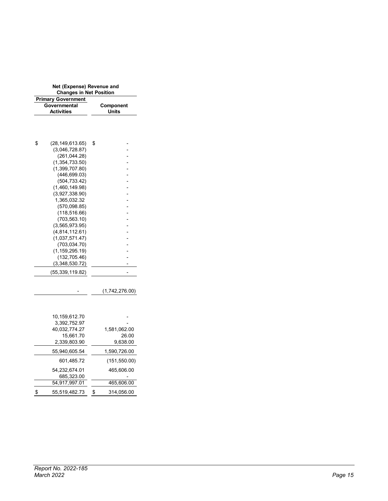|                                                         | Net (Expense) Revenue and<br><b>Changes in Net Position</b> |    |                       |  |  |  |  |
|---------------------------------------------------------|-------------------------------------------------------------|----|-----------------------|--|--|--|--|
| <b>Primary Government</b><br>Governmental<br>Activities |                                                             |    | Component<br>Units    |  |  |  |  |
|                                                         |                                                             |    |                       |  |  |  |  |
| \$                                                      | (28, 149, 613.65)                                           | \$ |                       |  |  |  |  |
|                                                         | (3,046,728.87)                                              |    |                       |  |  |  |  |
|                                                         | (261,044.28)                                                |    |                       |  |  |  |  |
|                                                         | (1,354,733.50)<br>(1,399,707.80)                            |    |                       |  |  |  |  |
|                                                         | (446, 699.03)                                               |    |                       |  |  |  |  |
|                                                         | (504, 733.42)                                               |    |                       |  |  |  |  |
|                                                         | (1,460,149.98)                                              |    |                       |  |  |  |  |
|                                                         | (3,927,338.90)                                              |    |                       |  |  |  |  |
|                                                         | 1,365,032.32                                                |    |                       |  |  |  |  |
|                                                         | (570,098.85)                                                |    |                       |  |  |  |  |
|                                                         | (118, 516.66)<br>(703,563.10)                               |    |                       |  |  |  |  |
|                                                         | (3,565,973.95)                                              |    |                       |  |  |  |  |
|                                                         | (4,814,112.61)                                              |    |                       |  |  |  |  |
|                                                         | (1,037,571.47)                                              |    |                       |  |  |  |  |
|                                                         | (703, 034.70)                                               |    |                       |  |  |  |  |
|                                                         | (1,159,295.19)                                              |    |                       |  |  |  |  |
|                                                         | (132, 705.46)                                               |    |                       |  |  |  |  |
|                                                         | (3,348,530.72)                                              |    |                       |  |  |  |  |
|                                                         | (55,339,119.82)                                             |    |                       |  |  |  |  |
|                                                         |                                                             |    | (1,742,276.00)        |  |  |  |  |
|                                                         |                                                             |    |                       |  |  |  |  |
|                                                         | 10,159,612.70                                               |    |                       |  |  |  |  |
|                                                         | 3,392,752.97                                                |    |                       |  |  |  |  |
|                                                         | 40,032,774.27<br>15,661.70                                  |    | 1,581,062.00<br>26.00 |  |  |  |  |
|                                                         | 2,339,803.90                                                |    | 9,638.00              |  |  |  |  |
|                                                         | 55,940,605.54                                               |    | 1,590,726.00          |  |  |  |  |
|                                                         | 601,485.72                                                  |    | (151, 550.00)         |  |  |  |  |
|                                                         | 54,232,674.01                                               |    | 465,606.00            |  |  |  |  |
|                                                         | 685,323.00                                                  |    |                       |  |  |  |  |
|                                                         | 54,917,997.01                                               |    | 465,606.00            |  |  |  |  |
| \$                                                      | 55,519,482.73                                               | \$ | 314,056.00            |  |  |  |  |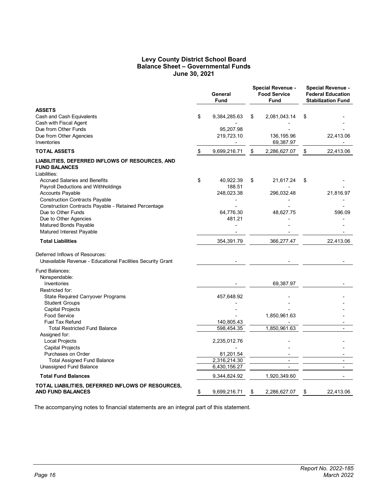### **Levy County District School Board Balance Sheet – Governmental Funds June 30, 2021**

<span id="page-21-0"></span>

|                                                                                                                                                                                                                                                                                                                                                                                                               | General<br><b>Fund</b>                                                           | <b>Special Revenue -</b><br><b>Food Service</b><br>Fund | <b>Special Revenue -</b><br><b>Federal Education</b><br><b>Stabilization Fund</b> |
|---------------------------------------------------------------------------------------------------------------------------------------------------------------------------------------------------------------------------------------------------------------------------------------------------------------------------------------------------------------------------------------------------------------|----------------------------------------------------------------------------------|---------------------------------------------------------|-----------------------------------------------------------------------------------|
| <b>ASSETS</b><br>Cash and Cash Equivalents<br>Cash with Fiscal Agent<br>Due from Other Funds<br>Due from Other Agencies<br>Inventories                                                                                                                                                                                                                                                                        | \$<br>9,384,285.63<br>95,207.98<br>219,723.10                                    | \$<br>2,081,043.14<br>136, 195.96<br>69,387.97          | \$<br>22,413.06                                                                   |
| <b>TOTAL ASSETS</b>                                                                                                                                                                                                                                                                                                                                                                                           | \$<br>9,699,216.71                                                               | \$<br>2,286,627.07                                      | \$<br>22,413.06                                                                   |
| LIABILITIES, DEFERRED INFLOWS OF RESOURCES, AND<br><b>FUND BALANCES</b><br>Liabilities:<br><b>Accrued Salaries and Benefits</b><br>Payroll Deductions and Withholdings<br><b>Accounts Payable</b><br><b>Construction Contracts Payable</b><br>Construction Contracts Payable - Retained Percentage<br>Due to Other Funds<br>Due to Other Agencies<br><b>Matured Bonds Payable</b><br>Matured Interest Payable | \$<br>40,922.39<br>188.51<br>248,023.38<br>64,776.30<br>481.21<br>$\blacksquare$ | \$<br>21,617.24<br>296,032.48<br>48,627.75              | \$<br>21,816.97<br>596.09                                                         |
| <b>Total Liabilities</b>                                                                                                                                                                                                                                                                                                                                                                                      | 354,391.79                                                                       | 366,277.47                                              | 22,413.06                                                                         |
| Deferred Inflows of Resources:<br>Unavailable Revenue - Educational Facilities Security Grant                                                                                                                                                                                                                                                                                                                 |                                                                                  |                                                         |                                                                                   |
| Fund Balances:<br>Nonspendable:<br>Inventories<br>Restricted for:                                                                                                                                                                                                                                                                                                                                             |                                                                                  | 69,387.97                                               |                                                                                   |
| State Required Carryover Programs<br><b>Student Groups</b><br><b>Capital Projects</b><br><b>Food Service</b>                                                                                                                                                                                                                                                                                                  | 457,648.92                                                                       | 1,850,961.63                                            |                                                                                   |
| <b>Fuel Tax Refund</b><br><b>Total Restricted Fund Balance</b>                                                                                                                                                                                                                                                                                                                                                | 140,805.43<br>598,454.35                                                         | 1,850,961.63                                            |                                                                                   |
| Assigned for:<br>Local Projects<br><b>Capital Projects</b><br>Purchases on Order<br><b>Total Assigned Fund Balance</b><br><b>Unassigned Fund Balance</b>                                                                                                                                                                                                                                                      | 2,235,012.76<br>81,201.54<br>2,316,214.30<br>6,430,156.27                        | $\overline{\phantom{a}}$                                | ä,                                                                                |
| <b>Total Fund Balances</b>                                                                                                                                                                                                                                                                                                                                                                                    | 9,344,824.92                                                                     | 1,920,349.60                                            |                                                                                   |
| TOTAL LIABILITIES, DEFERRED INFLOWS OF RESOURCES,<br><b>AND FUND BALANCES</b>                                                                                                                                                                                                                                                                                                                                 | \$<br>9,699,216.71                                                               | \$<br>2,286,627.07                                      | \$<br>22,413.06                                                                   |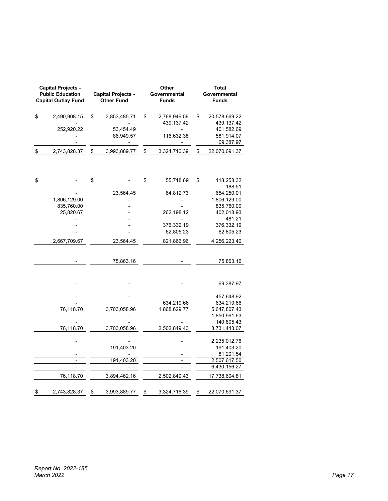| <b>Capital Projects -</b><br><b>Public Education</b><br><b>Capital Outlay Fund</b> | <b>Capital Projects -</b><br><b>Other Fund</b> | Other<br>Governmental<br><b>Funds</b> | Total<br>Governmental<br><b>Funds</b>      |  |  |
|------------------------------------------------------------------------------------|------------------------------------------------|---------------------------------------|--------------------------------------------|--|--|
| \$<br>2,490,908.15                                                                 | \$<br>3,853,485.71                             | \$<br>2,768,946.59<br>439, 137.42     | \$<br>20,578,669.22<br>439, 137.42         |  |  |
| 252,920.22                                                                         | 53,454.49<br>86,949.57                         | 116,632.38                            | 401,582.69<br>581,914.07<br>69,387.97      |  |  |
| \$<br>2,743,828.37                                                                 | \$<br>3,993,889.77                             | \$<br>3,324,716.39                    | \$<br>22,070,691.37                        |  |  |
| \$                                                                                 | \$                                             | \$<br>55,718.69                       | \$<br>118,258.32                           |  |  |
| 1,806,129.00                                                                       | 23,564.45                                      | 64,812.73                             | 188.51<br>654,250.01<br>1,806,129.00       |  |  |
| 835,760.00<br>25,820.67                                                            |                                                | 262,198.12                            | 835,760.00<br>402,018.93                   |  |  |
|                                                                                    |                                                | 376,332.19<br>62,805.23               | 481.21<br>376,332.19<br>62,805.23          |  |  |
| 2,667,709.67                                                                       | 23,564.45                                      | 821,866.96                            | 4,256,223.40                               |  |  |
|                                                                                    | 75,863.16                                      |                                       | 75,863.16                                  |  |  |
|                                                                                    |                                                |                                       | 69,387.97                                  |  |  |
|                                                                                    |                                                | 634,219.66                            | 457,648.92<br>634,219.66                   |  |  |
| 76,118.70                                                                          | 3,703,058.96                                   | 1,868,629.77                          | 5,647,807.43<br>1,850,961.63<br>140,805.43 |  |  |
| 76,118.70                                                                          | 3,703,058.96                                   | 2,502,849.43                          | 8,731,443.07                               |  |  |
|                                                                                    | 191,403.20                                     |                                       | 2,235,012.76<br>191,403.20<br>81,201.54    |  |  |
|                                                                                    | 191,403.20                                     |                                       | 2,507,617.50<br>6,430,156.27               |  |  |
| 76,118.70<br>2,743,828.37<br>\$                                                    | \$<br>3,894,462.16<br>3,993,889.77             | \$<br>2,502,849.43<br>3,324,716.39    | \$<br>17,738,604.81<br>22,070,691.37       |  |  |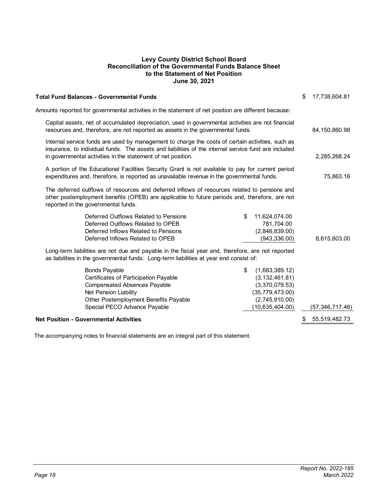### **Levy County District School Board Reconciliation of the Governmental Funds Balance Sheet to the Statement of Net Position June 30, 2021**

<span id="page-23-0"></span>

| Amounts reported for governmental activities in the statement of net position are different because:<br>Capital assets, net of accumulated depreciation, used in governmental activities are not financial<br>resources and, therefore, are not reported as assets in the governmental funds.<br>84,150,860.98<br>Internal service funds are used by management to charge the costs of certain activities, such as<br>insurance, to individual funds. The assets and liabilities of the internal service fund are included<br>in governmental activities in the statement of net position.<br>2,285,268.24<br>A portion of the Educational Facilities Security Grant is not available to pay for current period<br>expenditures and, therefore, is reported as unavailable revenue in the governmental funds.<br>75,863.16<br>The deferred outflows of resources and deferred inflows of resources related to pensions and<br>other postemployment benefits (OPEB) are applicable to future periods and, therefore, are not<br>reported in the governmental funds.<br>Deferred Outflows Related to Pensions<br>\$<br>11,624,074.00<br>781,704.00<br>Deferred Outflows Related to OPEB<br>Deferred Inflows Related to Pensions<br>(2,846,839.00)<br>Deferred Inflows Related to OPEB<br>(943, 336.00)<br>8,615,603.00<br>Long-term liabilities are not due and payable in the fiscal year and, therefore, are not reported<br>as liabilities in the governmental funds. Long-term liabilities at year end consist of:<br><b>Bonds Payable</b><br>(1,683,389.12)<br>\$<br>Certificates of Participation Payable<br>(3, 132, 461.81)<br>(3,370,079.53)<br><b>Compensated Absences Payable</b><br>(35,779,473.00)<br>Net Pension Liability<br>Other Postemployment Benefits Payable<br>(2,745,910.00)<br>Special PECO Advance Payable<br>(10, 635, 404.00)<br>(57,346,717.46)<br>55,519,482.73 | <b>Total Fund Balances - Governmental Funds</b> | \$ | 17,738,604.81 |
|--------------------------------------------------------------------------------------------------------------------------------------------------------------------------------------------------------------------------------------------------------------------------------------------------------------------------------------------------------------------------------------------------------------------------------------------------------------------------------------------------------------------------------------------------------------------------------------------------------------------------------------------------------------------------------------------------------------------------------------------------------------------------------------------------------------------------------------------------------------------------------------------------------------------------------------------------------------------------------------------------------------------------------------------------------------------------------------------------------------------------------------------------------------------------------------------------------------------------------------------------------------------------------------------------------------------------------------------------------------------------------------------------------------------------------------------------------------------------------------------------------------------------------------------------------------------------------------------------------------------------------------------------------------------------------------------------------------------------------------------------------------------------------------------------------------------------------------------------------------------------------------------|-------------------------------------------------|----|---------------|
|                                                                                                                                                                                                                                                                                                                                                                                                                                                                                                                                                                                                                                                                                                                                                                                                                                                                                                                                                                                                                                                                                                                                                                                                                                                                                                                                                                                                                                                                                                                                                                                                                                                                                                                                                                                                                                                                                            |                                                 |    |               |
|                                                                                                                                                                                                                                                                                                                                                                                                                                                                                                                                                                                                                                                                                                                                                                                                                                                                                                                                                                                                                                                                                                                                                                                                                                                                                                                                                                                                                                                                                                                                                                                                                                                                                                                                                                                                                                                                                            |                                                 |    |               |
|                                                                                                                                                                                                                                                                                                                                                                                                                                                                                                                                                                                                                                                                                                                                                                                                                                                                                                                                                                                                                                                                                                                                                                                                                                                                                                                                                                                                                                                                                                                                                                                                                                                                                                                                                                                                                                                                                            |                                                 |    |               |
|                                                                                                                                                                                                                                                                                                                                                                                                                                                                                                                                                                                                                                                                                                                                                                                                                                                                                                                                                                                                                                                                                                                                                                                                                                                                                                                                                                                                                                                                                                                                                                                                                                                                                                                                                                                                                                                                                            |                                                 |    |               |
|                                                                                                                                                                                                                                                                                                                                                                                                                                                                                                                                                                                                                                                                                                                                                                                                                                                                                                                                                                                                                                                                                                                                                                                                                                                                                                                                                                                                                                                                                                                                                                                                                                                                                                                                                                                                                                                                                            |                                                 |    |               |
|                                                                                                                                                                                                                                                                                                                                                                                                                                                                                                                                                                                                                                                                                                                                                                                                                                                                                                                                                                                                                                                                                                                                                                                                                                                                                                                                                                                                                                                                                                                                                                                                                                                                                                                                                                                                                                                                                            |                                                 |    |               |
|                                                                                                                                                                                                                                                                                                                                                                                                                                                                                                                                                                                                                                                                                                                                                                                                                                                                                                                                                                                                                                                                                                                                                                                                                                                                                                                                                                                                                                                                                                                                                                                                                                                                                                                                                                                                                                                                                            |                                                 |    |               |
|                                                                                                                                                                                                                                                                                                                                                                                                                                                                                                                                                                                                                                                                                                                                                                                                                                                                                                                                                                                                                                                                                                                                                                                                                                                                                                                                                                                                                                                                                                                                                                                                                                                                                                                                                                                                                                                                                            |                                                 |    |               |
|                                                                                                                                                                                                                                                                                                                                                                                                                                                                                                                                                                                                                                                                                                                                                                                                                                                                                                                                                                                                                                                                                                                                                                                                                                                                                                                                                                                                                                                                                                                                                                                                                                                                                                                                                                                                                                                                                            | <b>Net Position - Governmental Activities</b>   |    |               |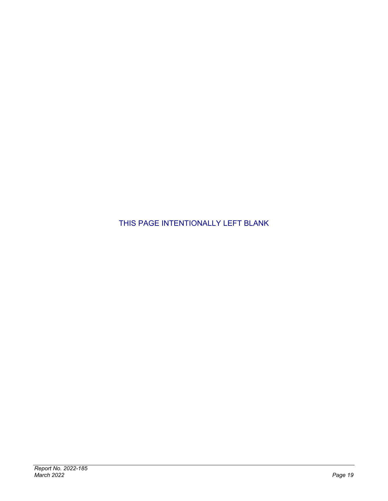THIS PAGE INTENTIONALLY LEFT BLANK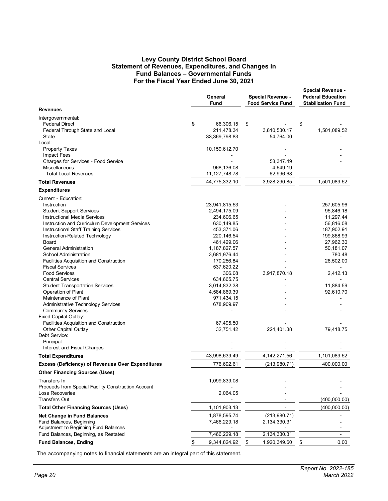### **Levy County District School Board Statement of Revenues, Expenditures, and Changes in Fund Balances – Governmental Funds For the Fiscal Year Ended June 30, 2021**

<span id="page-25-0"></span>

|                                                          |    | General<br><b>Special Revenue -</b><br><b>Fund</b><br><b>Food Service Fund</b> |    | <b>Special Revenue -</b><br><b>Federal Education</b><br><b>Stabilization Fund</b> |    |              |
|----------------------------------------------------------|----|--------------------------------------------------------------------------------|----|-----------------------------------------------------------------------------------|----|--------------|
| <b>Revenues</b>                                          |    |                                                                                |    |                                                                                   |    |              |
| Intergovernmental:                                       |    |                                                                                |    |                                                                                   |    |              |
| <b>Federal Direct</b>                                    | \$ | 66,306.15                                                                      | \$ |                                                                                   | \$ |              |
| Federal Through State and Local                          |    | 211,478.34                                                                     |    | 3,810,530.17                                                                      |    | 1,501,089.52 |
| State                                                    |    | 33,369,798.83                                                                  |    | 54,764.00                                                                         |    |              |
| Local:                                                   |    |                                                                                |    |                                                                                   |    |              |
| <b>Property Taxes</b>                                    |    | 10,159,612.70                                                                  |    |                                                                                   |    |              |
| <b>Impact Fees</b>                                       |    |                                                                                |    |                                                                                   |    |              |
| Charges for Services - Food Service                      |    |                                                                                |    | 58,347.49                                                                         |    |              |
| Miscellaneous                                            |    | 968,136.08                                                                     |    | 4,649.19<br>62,996.68                                                             |    |              |
| <b>Total Local Revenues</b>                              |    | 11, 127, 748. 78                                                               |    |                                                                                   |    |              |
| <b>Total Revenues</b>                                    |    | 44,775,332.10                                                                  |    | 3,928,290.85                                                                      |    | 1,501,089.52 |
| <b>Expenditures</b>                                      |    |                                                                                |    |                                                                                   |    |              |
| Current - Education:                                     |    |                                                                                |    |                                                                                   |    |              |
| Instruction                                              |    | 23,941,815.53                                                                  |    |                                                                                   |    | 257,605.96   |
| <b>Student Support Services</b>                          |    | 2,494,175.09                                                                   |    |                                                                                   |    | 95,846.18    |
| <b>Instructional Media Services</b>                      |    | 234,606.65                                                                     |    |                                                                                   |    | 11,297.44    |
| Instruction and Curriculum Development Services          |    | 630, 149.85                                                                    |    |                                                                                   |    | 56,816.08    |
| <b>Instructional Staff Training Services</b>             |    | 453,371.06                                                                     |    |                                                                                   |    | 187,902.91   |
| Instruction-Related Technology                           |    | 220,146.54                                                                     |    |                                                                                   |    | 199,868.93   |
| Board                                                    |    | 461,429.06                                                                     |    |                                                                                   |    | 27,962.30    |
| <b>General Administration</b>                            |    | 1,187,827.57                                                                   |    |                                                                                   |    | 50,181.07    |
| <b>School Administration</b>                             |    | 3,681,976.44                                                                   |    |                                                                                   |    | 780.48       |
| <b>Facilities Acquisition and Construction</b>           |    | 170,256.84                                                                     |    |                                                                                   |    | 26,502.00    |
| <b>Fiscal Services</b><br><b>Food Services</b>           |    | 537,620.22<br>306.08                                                           |    | 3,917,870.18                                                                      |    |              |
| <b>Central Services</b>                                  |    | 634,665.75                                                                     |    |                                                                                   |    | 2,412.13     |
| <b>Student Transportation Services</b>                   |    | 3,014,832.38                                                                   |    |                                                                                   |    | 11,884.59    |
| Operation of Plant                                       |    | 4,584,869.39                                                                   |    |                                                                                   |    | 92,610.70    |
| Maintenance of Plant                                     |    | 971,434.15                                                                     |    |                                                                                   |    |              |
| <b>Administrative Technology Services</b>                |    | 678,909.97                                                                     |    |                                                                                   |    |              |
| <b>Community Services</b>                                |    |                                                                                |    |                                                                                   |    |              |
| Fixed Capital Outlay:                                    |    |                                                                                |    |                                                                                   |    |              |
| Facilities Acquisition and Construction                  |    | 67,495.50                                                                      |    |                                                                                   |    |              |
| Other Capital Outlay                                     |    | 32,751.42                                                                      |    | 224,401.38                                                                        |    | 79,418.75    |
| Debt Service:                                            |    |                                                                                |    |                                                                                   |    |              |
| Principal                                                |    |                                                                                |    |                                                                                   |    |              |
| Interest and Fiscal Charges                              |    |                                                                                |    |                                                                                   |    |              |
| <b>Total Expenditures</b>                                |    | 43,998,639.49                                                                  |    | 4, 142, 271.56                                                                    |    | 1,101,089.52 |
| <b>Excess (Deficiency) of Revenues Over Expenditures</b> |    | 776,692.61                                                                     |    | (213,980.71)                                                                      |    | 400.000.00   |
| <b>Other Financing Sources (Uses)</b>                    |    |                                                                                |    |                                                                                   |    |              |
| Transfers In                                             |    | 1,099,839.08                                                                   |    |                                                                                   |    |              |
| Proceeds from Special Facility Construction Account      |    |                                                                                |    |                                                                                   |    |              |
| <b>Loss Recoveries</b>                                   |    | 2,064.05                                                                       |    |                                                                                   |    |              |
| <b>Transfers Out</b>                                     |    |                                                                                |    |                                                                                   |    | (400,000.00) |
| <b>Total Other Financing Sources (Uses)</b>              |    | 1,101,903.13                                                                   |    |                                                                                   |    | (400,000.00) |
| <b>Net Change in Fund Balances</b>                       |    | 1,878,595.74                                                                   |    | (213,980.71)                                                                      |    |              |
| Fund Balances, Beginning                                 |    | 7,466,229.18                                                                   |    | 2,134,330.31                                                                      |    |              |
| Adjustment to Beginning Fund Balances                    |    |                                                                                |    |                                                                                   |    |              |
| Fund Balances, Beginning, as Restated                    |    | 7,466,229.18                                                                   |    | 2,134,330.31                                                                      |    |              |
| <b>Fund Balances, Ending</b>                             | \$ | 9,344,824.92                                                                   | \$ | 1,920,349.60                                                                      | \$ | 0.00         |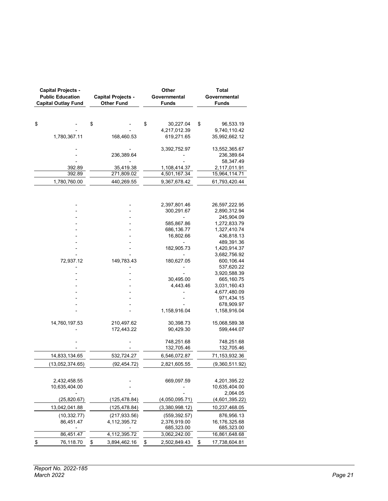| <b>Capital Projects -</b><br><b>Public Education</b><br><b>Capital Outlay Fund</b> |                          | <b>Capital Projects -</b><br><b>Other Fund</b> |               | Other<br>Governmental<br><b>Funds</b> |               | Total<br>Governmental<br><b>Funds</b> |
|------------------------------------------------------------------------------------|--------------------------|------------------------------------------------|---------------|---------------------------------------|---------------|---------------------------------------|
|                                                                                    |                          |                                                |               |                                       |               |                                       |
| \$                                                                                 | \$                       |                                                | \$            | 30,227.04<br>4,217,012.39             | \$            | 96,533.19<br>9,740,110.42             |
| 1,780,367.11                                                                       |                          | 168,460.53                                     |               | 619,271.65                            |               | 35,992,662.12                         |
|                                                                                    |                          |                                                |               | 3,392,752.97                          |               | 13,552,365.67                         |
|                                                                                    |                          | 236,389.64                                     |               |                                       |               | 236,389.64                            |
| 392.89                                                                             |                          | 35,419.38                                      |               | 1,108,414.37                          |               | 58,347.49<br>2,117,011.91             |
| 392.89                                                                             |                          | 271,809.02                                     |               | 4,501,167.34                          |               | 15,964,114.71                         |
| 1,780,760.00                                                                       |                          | 440,269.55                                     |               | 9,367,678.42                          |               | 61,793,420.44                         |
|                                                                                    |                          |                                                |               |                                       |               |                                       |
|                                                                                    |                          |                                                |               | 2,397,801.46                          |               | 26,597,222.95                         |
|                                                                                    |                          |                                                |               | 300,291.67                            |               | 2,890,312.94                          |
|                                                                                    |                          |                                                |               |                                       |               | 245,904.09                            |
|                                                                                    |                          |                                                |               | 585,867.86                            |               | 1,272,833.79                          |
|                                                                                    |                          |                                                |               | 686,136.77                            |               | 1,327,410.74                          |
|                                                                                    |                          |                                                |               | 16,802.66                             |               | 436,818.13                            |
|                                                                                    |                          |                                                |               |                                       |               | 489,391.36                            |
|                                                                                    |                          |                                                |               | 182,905.73                            |               | 1,420,914.37<br>3,682,756.92          |
| 72,937.12                                                                          |                          | 149,783.43                                     |               | 180,627.05                            |               | 600,106.44                            |
|                                                                                    |                          |                                                |               |                                       |               | 537,620.22                            |
|                                                                                    |                          |                                                |               |                                       |               | 3,920,588.39                          |
|                                                                                    |                          |                                                |               | 30,495.00                             |               | 665,160.75                            |
|                                                                                    |                          |                                                |               | 4,443.46                              |               | 3,031,160.43                          |
|                                                                                    |                          |                                                |               |                                       |               | 4,677,480.09                          |
|                                                                                    |                          |                                                |               |                                       |               | 971,434.15                            |
|                                                                                    |                          |                                                |               |                                       |               | 678,909.97                            |
|                                                                                    |                          |                                                |               | 1,158,916.04                          |               | 1,158,916.04                          |
| 14,760,197.53                                                                      |                          | 210,497.62                                     |               | 30,398.73                             |               | 15,068,589.38                         |
|                                                                                    |                          | 172,443.22                                     |               | 90,429.30                             |               | 599,444.07                            |
|                                                                                    |                          |                                                |               | 748,251.68                            |               | 748,251.68                            |
|                                                                                    |                          |                                                |               | 132,705.46                            |               | 132,705.46                            |
| 14,833,134.65                                                                      |                          | 532,724.27                                     |               | 6,546,072.87                          |               | 71,153,932.36                         |
| (13,052,374.65)                                                                    |                          | (92, 454.72)                                   |               | 2,821,605.55                          |               | (9,360,511.92)                        |
|                                                                                    |                          |                                                |               |                                       |               |                                       |
| 2,432,458.55                                                                       |                          |                                                |               | 669,097.59                            |               | 4,201,395.22                          |
| 10,635,404.00                                                                      |                          |                                                |               |                                       |               | 10,635,404.00                         |
|                                                                                    |                          |                                                |               |                                       |               | 2,064.05                              |
| (25, 820.67)                                                                       |                          | (125,478.84)                                   |               | (4,050,095.71)                        |               | (4,601,395.22)                        |
| 13,042,041.88                                                                      |                          | (125,478.84)                                   |               | (3,380,998.12)                        |               | 10,237,468.05                         |
| (10, 332.77)                                                                       |                          | (217, 933.56)                                  |               | (559, 392.57)                         |               | 876,956.13                            |
| 86,451.47                                                                          |                          | 4,112,395.72                                   |               | 2,376,919.00<br>685,323.00            |               | 16,176,325.68<br>685,323.00           |
| 86,451.47                                                                          |                          | 4,112,395.72                                   |               | 3,062,242.00                          |               | 16,861,648.68                         |
|                                                                                    |                          |                                                |               |                                       |               |                                       |
| \$<br>76,118.70                                                                    | $\overline{\mathcal{F}}$ | 3,894,462.16                                   | $\frac{3}{2}$ | 2,502,849.43                          | $\frac{3}{2}$ | 17,738,604.81                         |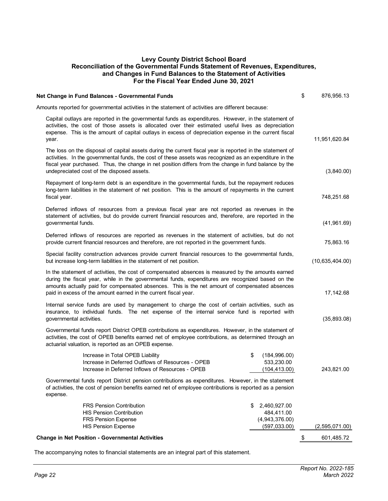### <span id="page-27-0"></span>**Levy County District School Board Reconciliation of the Governmental Funds Statement of Revenues, Expenditures, and Changes in Fund Balances to the Statement of Activities For the Fiscal Year Ended June 30, 2021**

| Net Change in Fund Balances - Governmental Funds                                                                                                                                                                                                                                                                                                                             | \$<br>876,956.13 |
|------------------------------------------------------------------------------------------------------------------------------------------------------------------------------------------------------------------------------------------------------------------------------------------------------------------------------------------------------------------------------|------------------|
| Amounts reported for governmental activities in the statement of activities are different because:                                                                                                                                                                                                                                                                           |                  |
| Capital outlays are reported in the governmental funds as expenditures. However, in the statement of<br>activities, the cost of those assets is allocated over their estimated useful lives as depreciation<br>expense. This is the amount of capital outlays in excess of depreciation expense in the current fiscal<br>year.                                               | 11,951,620.84    |
| The loss on the disposal of capital assets during the current fiscal year is reported in the statement of<br>activities. In the governmental funds, the cost of these assets was recognized as an expenditure in the<br>fiscal year purchased. Thus, the change in net position differs from the change in fund balance by the<br>undepreciated cost of the disposed assets. | (3,840.00)       |
| Repayment of long-term debt is an expenditure in the governmental funds, but the repayment reduces<br>long-term liabilities in the statement of net position. This is the amount of repayments in the current<br>fiscal year.                                                                                                                                                | 748,251.68       |
| Deferred inflows of resources from a previous fiscal year are not reported as revenues in the<br>statement of activities, but do provide current financial resources and, therefore, are reported in the<br>governmental funds.                                                                                                                                              | (41,961.69)      |
| Deferred inflows of resources are reported as revenues in the statement of activities, but do not<br>provide current financial resources and therefore, are not reported in the government funds.                                                                                                                                                                            | 75,863.16        |
| Special facility construction advances provide current financial resources to the governmental funds,<br>but increase long-term liabilities in the statement of net position.                                                                                                                                                                                                | (10,635,404.00)  |
| In the statement of activities, the cost of compensated absences is measured by the amounts earned<br>during the fiscal year, while in the governmental funds, expenditures are recognized based on the<br>amounts actually paid for compensated absences. This is the net amount of compensated absences<br>paid in excess of the amount earned in the current fiscal year. | 17, 142.68       |
| Internal service funds are used by management to charge the cost of certain activities, such as<br>insurance, to individual funds. The net expense of the internal service fund is reported with<br>governmental activities.                                                                                                                                                 | (35,893.08)      |
| Governmental funds report District OPEB contributions as expenditures. However, in the statement of<br>activities, the cost of OPEB benefits earned net of employee contributions, as determined through an<br>actuarial valuation, is reported as an OPEB expense.                                                                                                          |                  |
| (184, 996.00)<br>Increase in Total OPEB Liability<br>\$<br>Increase in Deferred Outflows of Resources - OPEB<br>533,230.00<br>Increase in Deferred Inflows of Resources - OPEB<br>(104, 413.00)                                                                                                                                                                              | 243,821.00       |
| Governmental funds report District pension contributions as expenditures. However, in the statement<br>of activities, the cost of pension benefits earned net of employee contributions is reported as a pension<br>expense.                                                                                                                                                 |                  |
| <b>FRS Pension Contribution</b><br>2,460,927.00<br>\$<br><b>HIS Pension Contribution</b><br>484,411.00<br>(4,943,376.00)<br><b>FRS Pension Expense</b><br>(597, 033.00)<br><b>HIS Pension Expense</b>                                                                                                                                                                        | (2,595,071.00)   |
| <b>Change in Net Position - Governmental Activities</b>                                                                                                                                                                                                                                                                                                                      | \$<br>601,485.72 |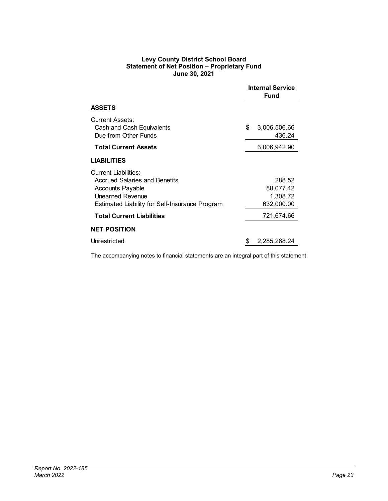### **Levy County District School Board Statement of Net Position – Proprietary Fund June 30, 2021**

<span id="page-28-0"></span>

|                                                                                                                                                                      | <b>Internal Service</b><br><b>Fund</b>        |  |  |
|----------------------------------------------------------------------------------------------------------------------------------------------------------------------|-----------------------------------------------|--|--|
| <b>ASSETS</b>                                                                                                                                                        |                                               |  |  |
| Current Assets:<br>Cash and Cash Equivalents<br>Due from Other Funds                                                                                                 | \$<br>3,006,506.66<br>436.24                  |  |  |
| <b>Total Current Assets</b>                                                                                                                                          | 3,006,942.90                                  |  |  |
| <b>LIABILITIES</b>                                                                                                                                                   |                                               |  |  |
| <b>Current Liabilities:</b><br><b>Accrued Salaries and Benefits</b><br><b>Accounts Payable</b><br>Unearned Revenue<br>Estimated Liability for Self-Insurance Program | 288.52<br>88,077.42<br>1,308.72<br>632,000.00 |  |  |
| <b>Total Current Liabilities</b>                                                                                                                                     | 721,674.66                                    |  |  |
| <b>NET POSITION</b>                                                                                                                                                  |                                               |  |  |
| Unrestricted                                                                                                                                                         | 2,285,268.24                                  |  |  |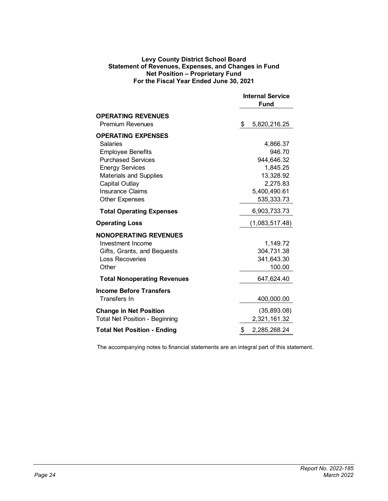### <span id="page-29-0"></span>**Levy County District School Board Statement of Revenues, Expenses, and Changes in Fund Net Position – Proprietary Fund For the Fiscal Year Ended June 30, 2021**

|                                                                                                                                                                                                                                        | <b>Internal Service</b><br><b>Fund</b>                                                              |
|----------------------------------------------------------------------------------------------------------------------------------------------------------------------------------------------------------------------------------------|-----------------------------------------------------------------------------------------------------|
| <b>OPERATING REVENUES</b><br><b>Premium Revenues</b>                                                                                                                                                                                   | \$<br>5,820,216.25                                                                                  |
| <b>OPERATING EXPENSES</b><br><b>Salaries</b><br><b>Employee Benefits</b><br><b>Purchased Services</b><br><b>Energy Services</b><br><b>Materials and Supplies</b><br>Capital Outlay<br><b>Insurance Claims</b><br><b>Other Expenses</b> | 4,866.37<br>946.70<br>944,646.32<br>1,845.25<br>13,328.92<br>2,275.83<br>5,400,490.61<br>535,333.73 |
| <b>Total Operating Expenses</b>                                                                                                                                                                                                        | 6,903,733.73                                                                                        |
| <b>Operating Loss</b>                                                                                                                                                                                                                  | (1,083,517.48)                                                                                      |
| <b>NONOPERATING REVENUES</b><br><b>Investment Income</b><br>Gifts, Grants, and Bequests<br><b>Loss Recoveries</b><br>Other                                                                                                             | 1,149.72<br>304,731.38<br>341,643.30<br>100.00                                                      |
| <b>Total Nonoperating Revenues</b>                                                                                                                                                                                                     | 647,624.40                                                                                          |
| <b>Income Before Transfers</b><br>Transfers In                                                                                                                                                                                         | 400,000.00                                                                                          |
| <b>Change in Net Position</b><br><b>Total Net Position - Beginning</b>                                                                                                                                                                 | (35,893.08)<br>2,321,161.32                                                                         |
| <b>Total Net Position - Ending</b>                                                                                                                                                                                                     | \$<br>2,285,268.24                                                                                  |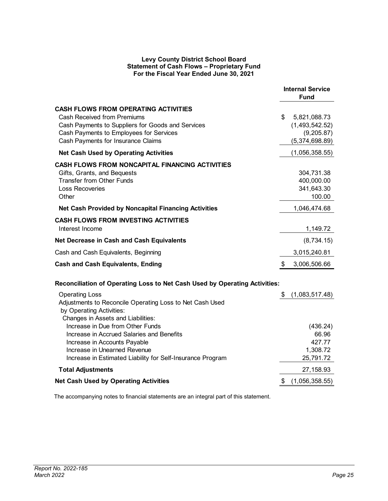### **Levy County District School Board Statement of Cash Flows – Proprietary Fund For the Fiscal Year Ended June 30, 2021**

<span id="page-30-0"></span>

|                                                                                                                                                                                                                         | <b>Internal Service</b><br><b>Fund</b>                               |
|-------------------------------------------------------------------------------------------------------------------------------------------------------------------------------------------------------------------------|----------------------------------------------------------------------|
| <b>CASH FLOWS FROM OPERATING ACTIVITIES</b><br><b>Cash Received from Premiums</b><br>Cash Payments to Suppliers for Goods and Services<br>Cash Payments to Employees for Services<br>Cash Payments for Insurance Claims | \$<br>5,821,088.73<br>(1,493,542.52)<br>(9,205.87)<br>(5,374,698.89) |
| <b>Net Cash Used by Operating Activities</b>                                                                                                                                                                            | (1,056,358.55)                                                       |
| <b>CASH FLOWS FROM NONCAPITAL FINANCING ACTIVITIES</b><br>Gifts, Grants, and Bequests<br><b>Transfer from Other Funds</b><br><b>Loss Recoveries</b><br>Other                                                            | 304,731.38<br>400,000.00<br>341,643.30<br>100.00                     |
| <b>Net Cash Provided by Noncapital Financing Activities</b>                                                                                                                                                             | 1,046,474.68                                                         |
| <b>CASH FLOWS FROM INVESTING ACTIVITIES</b><br>Interest Income                                                                                                                                                          | 1,149.72                                                             |
| Net Decrease in Cash and Cash Equivalents                                                                                                                                                                               | (8,734.15)                                                           |
| Cash and Cash Equivalents, Beginning                                                                                                                                                                                    | 3,015,240.81                                                         |
| <b>Cash and Cash Equivalents, Ending</b>                                                                                                                                                                                | 3,006,506.66<br>\$                                                   |
| Reconciliation of Operating Loss to Net Cash Used by Operating Activities:                                                                                                                                              |                                                                      |
| <b>Operating Loss</b><br>Adjustments to Reconcile Operating Loss to Net Cash Used<br>by Operating Activities:<br>Changes in Assets and Liabilities:                                                                     | (1,083,517.48)<br>\$                                                 |
| Increase in Due from Other Funds                                                                                                                                                                                        | (436.24)                                                             |
| Increase in Accrued Salaries and Benefits                                                                                                                                                                               | 66.96                                                                |
| Increase in Accounts Payable                                                                                                                                                                                            | 427.77                                                               |
| Increase in Unearned Revenue<br>Increase in Estimated Liability for Self-Insurance Program                                                                                                                              | 1,308.72<br>25,791.72                                                |
| <b>Total Adjustments</b>                                                                                                                                                                                                | 27,158.93                                                            |
| <b>Net Cash Used by Operating Activities</b>                                                                                                                                                                            | \$<br>(1,056,358.55)                                                 |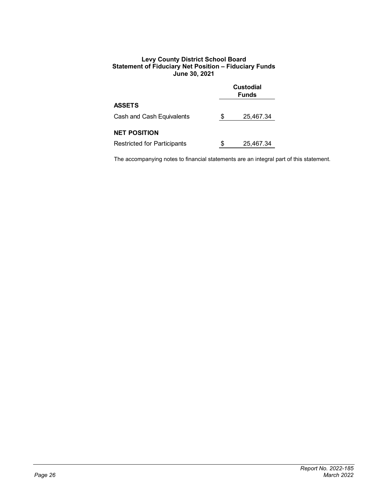### <span id="page-31-0"></span>**Levy County District School Board Statement of Fiduciary Net Position – Fiduciary Funds June 30, 2021**

|                             |    | <b>Custodial</b><br><b>Funds</b> |  |  |  |
|-----------------------------|----|----------------------------------|--|--|--|
| <b>ASSETS</b>               |    |                                  |  |  |  |
| Cash and Cash Equivalents   | S  | 25,467.34                        |  |  |  |
| <b>NET POSITION</b>         |    |                                  |  |  |  |
| Restricted for Participants | \$ | 25,467.34                        |  |  |  |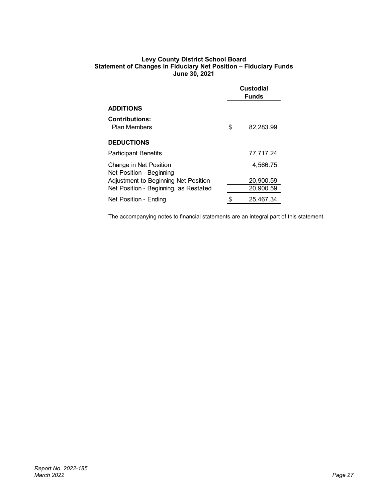### <span id="page-32-0"></span>**Levy County District School Board Statement of Changes in Fiduciary Net Position – Fiduciary Funds June 30, 2021**

|                                                                                                                                     | <b>Custodial</b><br><b>Funds</b> |                                    |  |
|-------------------------------------------------------------------------------------------------------------------------------------|----------------------------------|------------------------------------|--|
| <b>ADDITIONS</b><br><b>Contributions:</b><br><b>Plan Members</b>                                                                    | S                                | 82,283.99                          |  |
| <b>DEDUCTIONS</b><br><b>Participant Benefits</b>                                                                                    |                                  | 77,717.24                          |  |
| Change in Net Position<br>Net Position - Beginning<br>Adjustment to Beginning Net Position<br>Net Position - Beginning, as Restated |                                  | 4,566.75<br>20,900.59<br>20,900.59 |  |
| Net Position - Ending                                                                                                               |                                  | 25.467.34                          |  |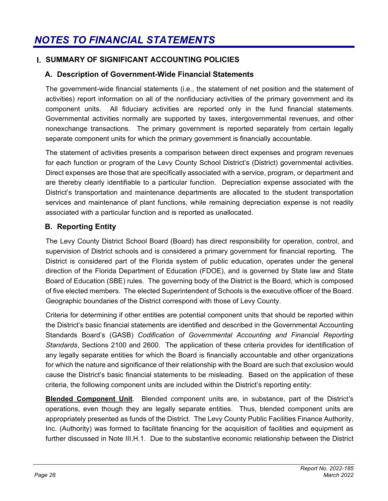### <span id="page-33-0"></span> **SUMMARY OF SIGNIFICANT ACCOUNTING POLICIES**

### **A. Description of Government-Wide Financial Statements**

The government-wide financial statements (i.e., the statement of net position and the statement of activities) report information on all of the nonfiduciary activities of the primary government and its component units. All fiduciary activities are reported only in the fund financial statements. Governmental activities normally are supported by taxes, intergovernmental revenues, and other nonexchange transactions. The primary government is reported separately from certain legally separate component units for which the primary government is financially accountable.

The statement of activities presents a comparison between direct expenses and program revenues for each function or program of the Levy County School District's (District) governmental activities. Direct expenses are those that are specifically associated with a service, program, or department and are thereby clearly identifiable to a particular function. Depreciation expense associated with the District's transportation and maintenance departments are allocated to the student transportation services and maintenance of plant functions, while remaining depreciation expense is not readily associated with a particular function and is reported as unallocated.

### **B. Reporting Entity**

The Levy County District School Board (Board) has direct responsibility for operation, control, and supervision of District schools and is considered a primary government for financial reporting. The District is considered part of the Florida system of public education, operates under the general direction of the Florida Department of Education (FDOE), and is governed by State law and State Board of Education (SBE) rules. The governing body of the District is the Board, which is composed of five elected members. The elected Superintendent of Schools is the executive officer of the Board. Geographic boundaries of the District correspond with those of Levy County.

Criteria for determining if other entities are potential component units that should be reported within the District's basic financial statements are identified and described in the Governmental Accounting Standards Board's (GASB) *Codification of Governmental Accounting and Financial Reporting Standards*, Sections 2100 and 2600. The application of these criteria provides for identification of any legally separate entities for which the Board is financially accountable and other organizations for which the nature and significance of their relationship with the Board are such that exclusion would cause the District's basic financial statements to be misleading. Based on the application of these criteria, the following component units are included within the District's reporting entity:

**Blended Component Unit**. Blended component units are, in substance, part of the District's operations, even though they are legally separate entities. Thus, blended component units are appropriately presented as funds of the District. The Levy County Public Facilities Finance Authority, Inc. (Authority) was formed to facilitate financing for the acquisition of facilities and equipment as further discussed in Note III.H.1. Due to the substantive economic relationship between the District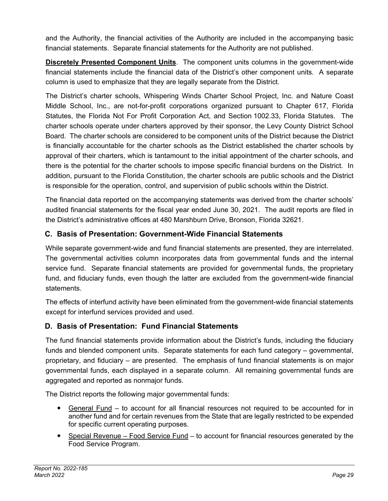and the Authority, the financial activities of the Authority are included in the accompanying basic financial statements. Separate financial statements for the Authority are not published.

**Discretely Presented Component Units**. The component units columns in the government-wide financial statements include the financial data of the District's other component units. A separate column is used to emphasize that they are legally separate from the District.

The District's charter schools, Whispering Winds Charter School Project, Inc. and Nature Coast Middle School, Inc., are not-for-profit corporations organized pursuant to Chapter 617, Florida Statutes, the Florida Not For Profit Corporation Act, and Section 1002.33, Florida Statutes. The charter schools operate under charters approved by their sponsor, the Levy County District School Board. The charter schools are considered to be component units of the District because the District is financially accountable for the charter schools as the District established the charter schools by approval of their charters, which is tantamount to the initial appointment of the charter schools, and there is the potential for the charter schools to impose specific financial burdens on the District. In addition, pursuant to the Florida Constitution, the charter schools are public schools and the District is responsible for the operation, control, and supervision of public schools within the District.

The financial data reported on the accompanying statements was derived from the charter schools' audited financial statements for the fiscal year ended June 30, 2021. The audit reports are filed in the District's administrative offices at 480 Marshburn Drive, Bronson, Florida 32621.

### **C. Basis of Presentation: Government-Wide Financial Statements**

While separate government-wide and fund financial statements are presented, they are interrelated. The governmental activities column incorporates data from governmental funds and the internal service fund. Separate financial statements are provided for governmental funds, the proprietary fund, and fiduciary funds, even though the latter are excluded from the government-wide financial statements.

The effects of interfund activity have been eliminated from the government-wide financial statements except for interfund services provided and used.

### **D. Basis of Presentation: Fund Financial Statements**

The fund financial statements provide information about the District's funds, including the fiduciary funds and blended component units. Separate statements for each fund category – governmental, proprietary, and fiduciary – are presented. The emphasis of fund financial statements is on major governmental funds, each displayed in a separate column. All remaining governmental funds are aggregated and reported as nonmajor funds.

The District reports the following major governmental funds:

- General Fund to account for all financial resources not required to be accounted for in another fund and for certain revenues from the State that are legally restricted to be expended for specific current operating purposes.
- Special Revenue Food Service Fund to account for financial resources generated by the Food Service Program.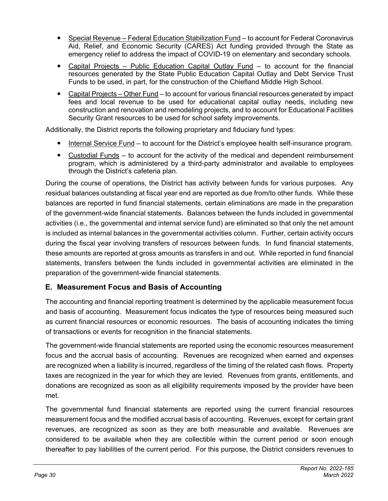- Special Revenue Federal Education Stabilization Fund to account for Federal Coronavirus Aid, Relief, and Economic Security (CARES) Act funding provided through the State as emergency relief to address the impact of COVID-19 on elementary and secondary schools.
- Capital Projects Public Education Capital Outlay Fund to account for the financial resources generated by the State Public Education Capital Outlay and Debt Service Trust Funds to be used, in part, for the construction of the Chiefland Middle High School.
- Capital Projects Other Fund to account for various financial resources generated by impact fees and local revenue to be used for educational capital outlay needs, including new construction and renovation and remodeling projects, and to account for Educational Facilities Security Grant resources to be used for school safety improvements.

Additionally, the District reports the following proprietary and fiduciary fund types:

- Internal Service Fund to account for the District's employee health self-insurance program.
- Custodial Funds to account for the activity of the medical and dependent reimbursement program, which is administered by a third-party administrator and available to employees through the District's cafeteria plan.

During the course of operations, the District has activity between funds for various purposes. Any residual balances outstanding at fiscal year end are reported as due from/to other funds. While these balances are reported in fund financial statements, certain eliminations are made in the preparation of the government-wide financial statements. Balances between the funds included in governmental activities (i.e., the governmental and internal service fund) are eliminated so that only the net amount is included as internal balances in the governmental activities column. Further, certain activity occurs during the fiscal year involving transfers of resources between funds. In fund financial statements, these amounts are reported at gross amounts as transfers in and out. While reported in fund financial statements, transfers between the funds included in governmental activities are eliminated in the preparation of the government-wide financial statements.

### **E. Measurement Focus and Basis of Accounting**

The accounting and financial reporting treatment is determined by the applicable measurement focus and basis of accounting. Measurement focus indicates the type of resources being measured such as current financial resources or economic resources. The basis of accounting indicates the timing of transactions or events for recognition in the financial statements.

The government-wide financial statements are reported using the economic resources measurement focus and the accrual basis of accounting. Revenues are recognized when earned and expenses are recognized when a liability is incurred, regardless of the timing of the related cash flows. Property taxes are recognized in the year for which they are levied. Revenues from grants, entitlements, and donations are recognized as soon as all eligibility requirements imposed by the provider have been met.

The governmental fund financial statements are reported using the current financial resources measurement focus and the modified accrual basis of accounting. Revenues, except for certain grant revenues, are recognized as soon as they are both measurable and available. Revenues are considered to be available when they are collectible within the current period or soon enough thereafter to pay liabilities of the current period. For this purpose, the District considers revenues to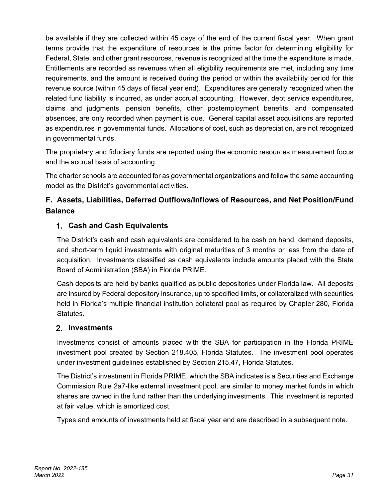be available if they are collected within 45 days of the end of the current fiscal year. When grant terms provide that the expenditure of resources is the prime factor for determining eligibility for Federal, State, and other grant resources, revenue is recognized at the time the expenditure is made. Entitlements are recorded as revenues when all eligibility requirements are met, including any time requirements, and the amount is received during the period or within the availability period for this revenue source (within 45 days of fiscal year end). Expenditures are generally recognized when the related fund liability is incurred, as under accrual accounting. However, debt service expenditures, claims and judgments, pension benefits, other postemployment benefits, and compensated absences, are only recorded when payment is due. General capital asset acquisitions are reported as expenditures in governmental funds. Allocations of cost, such as depreciation, are not recognized in governmental funds.

The proprietary and fiduciary funds are reported using the economic resources measurement focus and the accrual basis of accounting.

The charter schools are accounted for as governmental organizations and follow the same accounting model as the District's governmental activities.

## **F. Assets, Liabilities, Deferred Outflows/Inflows of Resources, and Net Position/Fund Balance**

#### **Cash and Cash Equivalents**

The District's cash and cash equivalents are considered to be cash on hand, demand deposits, and short-term liquid investments with original maturities of 3 months or less from the date of acquisition. Investments classified as cash equivalents include amounts placed with the State Board of Administration (SBA) in Florida PRIME.

Cash deposits are held by banks qualified as public depositories under Florida law. All deposits are insured by Federal depository insurance, up to specified limits, or collateralized with securities held in Florida's multiple financial institution collateral pool as required by Chapter 280, Florida Statutes.

#### **Investments**

Investments consist of amounts placed with the SBA for participation in the Florida PRIME investment pool created by Section 218.405, Florida Statutes. The investment pool operates under investment guidelines established by Section 215.47, Florida Statutes.

The District's investment in Florida PRIME, which the SBA indicates is a Securities and Exchange Commission Rule 2a7-like external investment pool, are similar to money market funds in which shares are owned in the fund rather than the underlying investments. This investment is reported at fair value, which is amortized cost.

Types and amounts of investments held at fiscal year end are described in a subsequent note.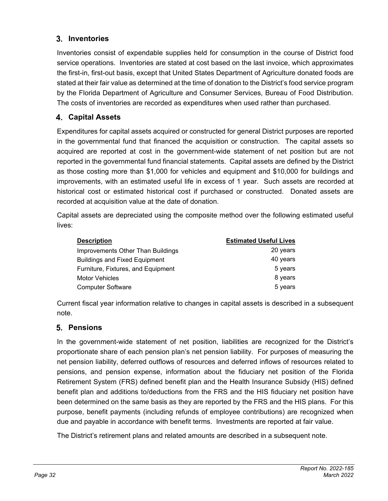#### **Inventories**

Inventories consist of expendable supplies held for consumption in the course of District food service operations. Inventories are stated at cost based on the last invoice, which approximates the first-in, first-out basis, except that United States Department of Agriculture donated foods are stated at their fair value as determined at the time of donation to the District's food service program by the Florida Department of Agriculture and Consumer Services, Bureau of Food Distribution. The costs of inventories are recorded as expenditures when used rather than purchased.

#### **Capital Assets**

Expenditures for capital assets acquired or constructed for general District purposes are reported in the governmental fund that financed the acquisition or construction. The capital assets so acquired are reported at cost in the government-wide statement of net position but are not reported in the governmental fund financial statements. Capital assets are defined by the District as those costing more than \$1,000 for vehicles and equipment and \$10,000 for buildings and improvements, with an estimated useful life in excess of 1 year. Such assets are recorded at historical cost or estimated historical cost if purchased or constructed. Donated assets are recorded at acquisition value at the date of donation.

Capital assets are depreciated using the composite method over the following estimated useful lives:

| <b>Description</b>                   | <b>Estimated Useful Lives</b> |
|--------------------------------------|-------------------------------|
| Improvements Other Than Buildings    | 20 years                      |
| <b>Buildings and Fixed Equipment</b> | 40 years                      |
| Furniture, Fixtures, and Equipment   | 5 years                       |
| <b>Motor Vehicles</b>                | 8 years                       |
| <b>Computer Software</b>             | 5 years                       |

Current fiscal year information relative to changes in capital assets is described in a subsequent note.

#### **Pensions**

In the government-wide statement of net position, liabilities are recognized for the District's proportionate share of each pension plan's net pension liability. For purposes of measuring the net pension liability, deferred outflows of resources and deferred inflows of resources related to pensions, and pension expense, information about the fiduciary net position of the Florida Retirement System (FRS) defined benefit plan and the Health Insurance Subsidy (HIS) defined benefit plan and additions to/deductions from the FRS and the HIS fiduciary net position have been determined on the same basis as they are reported by the FRS and the HIS plans. For this purpose, benefit payments (including refunds of employee contributions) are recognized when due and payable in accordance with benefit terms. Investments are reported at fair value.

The District's retirement plans and related amounts are described in a subsequent note.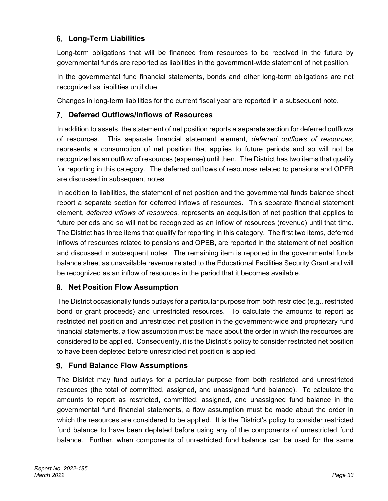## **Long-Term Liabilities**

Long-term obligations that will be financed from resources to be received in the future by governmental funds are reported as liabilities in the government-wide statement of net position.

In the governmental fund financial statements, bonds and other long-term obligations are not recognized as liabilities until due.

Changes in long-term liabilities for the current fiscal year are reported in a subsequent note.

## **Deferred Outflows/Inflows of Resources**

In addition to assets, the statement of net position reports a separate section for deferred outflows of resources. This separate financial statement element, *deferred outflows of resources*, represents a consumption of net position that applies to future periods and so will not be recognized as an outflow of resources (expense) until then. The District has two items that qualify for reporting in this category. The deferred outflows of resources related to pensions and OPEB are discussed in subsequent notes.

In addition to liabilities, the statement of net position and the governmental funds balance sheet report a separate section for deferred inflows of resources. This separate financial statement element, *deferred inflows of resources*, represents an acquisition of net position that applies to future periods and so will not be recognized as an inflow of resources (revenue) until that time. The District has three items that qualify for reporting in this category. The first two items, deferred inflows of resources related to pensions and OPEB, are reported in the statement of net position and discussed in subsequent notes. The remaining item is reported in the governmental funds balance sheet as unavailable revenue related to the Educational Facilities Security Grant and will be recognized as an inflow of resources in the period that it becomes available.

## **Net Position Flow Assumption**

The District occasionally funds outlays for a particular purpose from both restricted (e.g., restricted bond or grant proceeds) and unrestricted resources. To calculate the amounts to report as restricted net position and unrestricted net position in the government-wide and proprietary fund financial statements, a flow assumption must be made about the order in which the resources are considered to be applied. Consequently, it is the District's policy to consider restricted net position to have been depleted before unrestricted net position is applied.

## **Fund Balance Flow Assumptions**

The District may fund outlays for a particular purpose from both restricted and unrestricted resources (the total of committed, assigned, and unassigned fund balance). To calculate the amounts to report as restricted, committed, assigned, and unassigned fund balance in the governmental fund financial statements, a flow assumption must be made about the order in which the resources are considered to be applied. It is the District's policy to consider restricted fund balance to have been depleted before using any of the components of unrestricted fund balance. Further, when components of unrestricted fund balance can be used for the same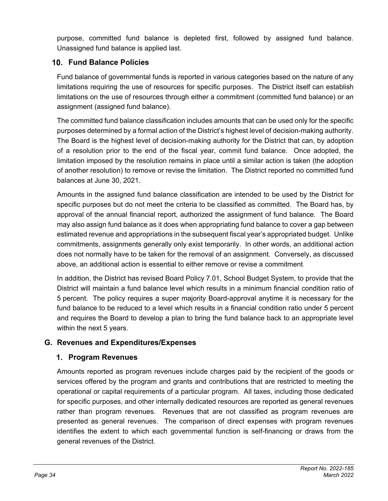purpose, committed fund balance is depleted first, followed by assigned fund balance. Unassigned fund balance is applied last.

#### **Fund Balance Policies**

Fund balance of governmental funds is reported in various categories based on the nature of any limitations requiring the use of resources for specific purposes. The District itself can establish limitations on the use of resources through either a commitment (committed fund balance) or an assignment (assigned fund balance).

The committed fund balance classification includes amounts that can be used only for the specific purposes determined by a formal action of the District's highest level of decision-making authority. The Board is the highest level of decision-making authority for the District that can, by adoption of a resolution prior to the end of the fiscal year, commit fund balance. Once adopted, the limitation imposed by the resolution remains in place until a similar action is taken (the adoption of another resolution) to remove or revise the limitation. The District reported no committed fund balances at June 30, 2021.

Amounts in the assigned fund balance classification are intended to be used by the District for specific purposes but do not meet the criteria to be classified as committed. The Board has, by approval of the annual financial report, authorized the assignment of fund balance. The Board may also assign fund balance as it does when appropriating fund balance to cover a gap between estimated revenue and appropriations in the subsequent fiscal year's appropriated budget. Unlike commitments, assignments generally only exist temporarily. In other words, an additional action does not normally have to be taken for the removal of an assignment. Conversely, as discussed above, an additional action is essential to either remove or revise a commitment.

In addition, the District has revised Board Policy 7.01, School Budget System, to provide that the District will maintain a fund balance level which results in a minimum financial condition ratio of 5 percent. The policy requires a super majority Board-approval anytime it is necessary for the fund balance to be reduced to a level which results in a financial condition ratio under 5 percent and requires the Board to develop a plan to bring the fund balance back to an appropriate level within the next 5 years.

#### **G. Revenues and Expenditures/Expenses**

## **Program Revenues**

Amounts reported as program revenues include charges paid by the recipient of the goods or services offered by the program and grants and contributions that are restricted to meeting the operational or capital requirements of a particular program. All taxes, including those dedicated for specific purposes, and other internally dedicated resources are reported as general revenues rather than program revenues. Revenues that are not classified as program revenues are presented as general revenues. The comparison of direct expenses with program revenues identifies the extent to which each governmental function is self-financing or draws from the general revenues of the District.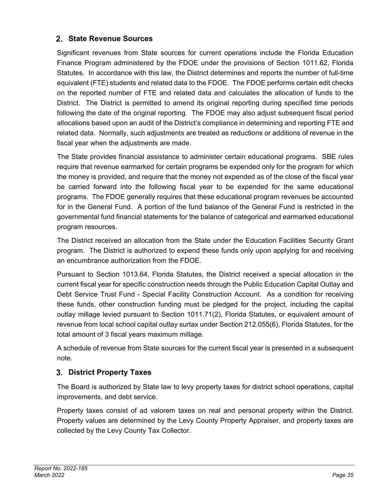## **State Revenue Sources**

Significant revenues from State sources for current operations include the Florida Education Finance Program administered by the FDOE under the provisions of Section 1011.62, Florida Statutes. In accordance with this law, the District determines and reports the number of full-time equivalent (FTE) students and related data to the FDOE. The FDOE performs certain edit checks on the reported number of FTE and related data and calculates the allocation of funds to the District. The District is permitted to amend its original reporting during specified time periods following the date of the original reporting. The FDOE may also adjust subsequent fiscal period allocations based upon an audit of the District's compliance in determining and reporting FTE and related data. Normally, such adjustments are treated as reductions or additions of revenue in the fiscal year when the adjustments are made.

The State provides financial assistance to administer certain educational programs. SBE rules require that revenue earmarked for certain programs be expended only for the program for which the money is provided, and require that the money not expended as of the close of the fiscal year be carried forward into the following fiscal year to be expended for the same educational programs. The FDOE generally requires that these educational program revenues be accounted for in the General Fund. A portion of the fund balance of the General Fund is restricted in the governmental fund financial statements for the balance of categorical and earmarked educational program resources.

The District received an allocation from the State under the Education Facilities Security Grant program. The District is authorized to expend these funds only upon applying for and receiving an encumbrance authorization from the FDOE.

Pursuant to Section 1013.64, Florida Statutes, the District received a special allocation in the current fiscal year for specific construction needs through the Public Education Capital Outlay and Debt Service Trust Fund - Special Facility Construction Account. As a condition for receiving these funds, other construction funding must be pledged for the project, including the capital outlay millage levied pursuant to Section 1011.71(2), Florida Statutes, or equivalent amount of revenue from local school capital outlay surtax under Section 212.055(6), Florida Statutes, for the total amount of 3 fiscal years maximum millage.

A schedule of revenue from State sources for the current fiscal year is presented in a subsequent note.

## **District Property Taxes**

The Board is authorized by State law to levy property taxes for district school operations, capital improvements, and debt service.

Property taxes consist of ad valorem taxes on real and personal property within the District. Property values are determined by the Levy County Property Appraiser, and property taxes are collected by the Levy County Tax Collector.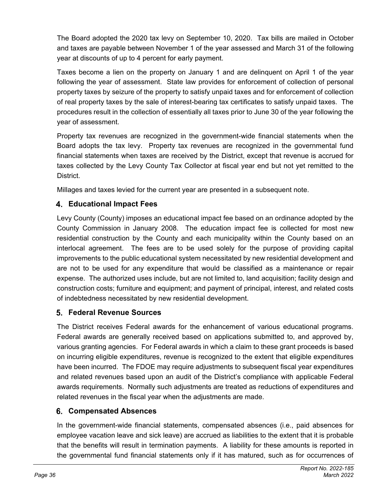The Board adopted the 2020 tax levy on September 10, 2020. Tax bills are mailed in October and taxes are payable between November 1 of the year assessed and March 31 of the following year at discounts of up to 4 percent for early payment.

Taxes become a lien on the property on January 1 and are delinquent on April 1 of the year following the year of assessment. State law provides for enforcement of collection of personal property taxes by seizure of the property to satisfy unpaid taxes and for enforcement of collection of real property taxes by the sale of interest-bearing tax certificates to satisfy unpaid taxes. The procedures result in the collection of essentially all taxes prior to June 30 of the year following the year of assessment.

Property tax revenues are recognized in the government-wide financial statements when the Board adopts the tax levy. Property tax revenues are recognized in the governmental fund financial statements when taxes are received by the District, except that revenue is accrued for taxes collected by the Levy County Tax Collector at fiscal year end but not yet remitted to the District.

Millages and taxes levied for the current year are presented in a subsequent note.

#### **Educational Impact Fees**

Levy County (County) imposes an educational impact fee based on an ordinance adopted by the County Commission in January 2008. The education impact fee is collected for most new residential construction by the County and each municipality within the County based on an interlocal agreement. The fees are to be used solely for the purpose of providing capital improvements to the public educational system necessitated by new residential development and are not to be used for any expenditure that would be classified as a maintenance or repair expense. The authorized uses include, but are not limited to, land acquisition; facility design and construction costs; furniture and equipment; and payment of principal, interest, and related costs of indebtedness necessitated by new residential development.

## **Federal Revenue Sources**

The District receives Federal awards for the enhancement of various educational programs. Federal awards are generally received based on applications submitted to, and approved by, various granting agencies. For Federal awards in which a claim to these grant proceeds is based on incurring eligible expenditures, revenue is recognized to the extent that eligible expenditures have been incurred. The FDOE may require adjustments to subsequent fiscal year expenditures and related revenues based upon an audit of the District's compliance with applicable Federal awards requirements. Normally such adjustments are treated as reductions of expenditures and related revenues in the fiscal year when the adjustments are made.

#### **Compensated Absences**

In the government-wide financial statements, compensated absences (i.e., paid absences for employee vacation leave and sick leave) are accrued as liabilities to the extent that it is probable that the benefits will result in termination payments. A liability for these amounts is reported in the governmental fund financial statements only if it has matured, such as for occurrences of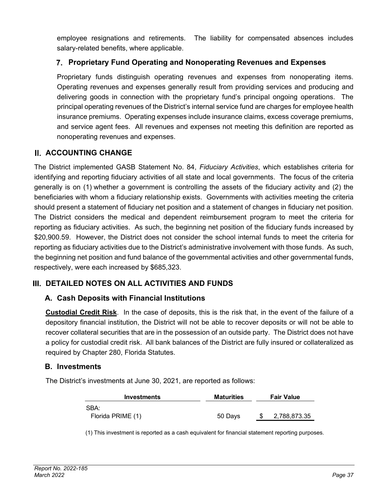employee resignations and retirements. The liability for compensated absences includes salary-related benefits, where applicable.

#### **Proprietary Fund Operating and Nonoperating Revenues and Expenses**

Proprietary funds distinguish operating revenues and expenses from nonoperating items. Operating revenues and expenses generally result from providing services and producing and delivering goods in connection with the proprietary fund's principal ongoing operations. The principal operating revenues of the District's internal service fund are charges for employee health insurance premiums. Operating expenses include insurance claims, excess coverage premiums, and service agent fees. All revenues and expenses not meeting this definition are reported as nonoperating revenues and expenses.

## **II. ACCOUNTING CHANGE**

The District implemented GASB Statement No. 84, *Fiduciary Activities*, which establishes criteria for identifying and reporting fiduciary activities of all state and local governments. The focus of the criteria generally is on (1) whether a government is controlling the assets of the fiduciary activity and (2) the beneficiaries with whom a fiduciary relationship exists. Governments with activities meeting the criteria should present a statement of fiduciary net position and a statement of changes in fiduciary net position. The District considers the medical and dependent reimbursement program to meet the criteria for reporting as fiduciary activities. As such, the beginning net position of the fiduciary funds increased by \$20,900.59. However, the District does not consider the school internal funds to meet the criteria for reporting as fiduciary activities due to the District's administrative involvement with those funds. As such, the beginning net position and fund balance of the governmental activities and other governmental funds, respectively, were each increased by \$685,323.

## **DETAILED NOTES ON ALL ACTIVITIES AND FUNDS**

#### **A. Cash Deposits with Financial Institutions**

**Custodial Credit Risk**. In the case of deposits, this is the risk that, in the event of the failure of a depository financial institution, the District will not be able to recover deposits or will not be able to recover collateral securities that are in the possession of an outside party. The District does not have a policy for custodial credit risk. All bank balances of the District are fully insured or collateralized as required by Chapter 280, Florida Statutes.

#### **B. Investments**

The District's investments at June 30, 2021, are reported as follows:

| Investments       | <b>Maturities</b> | <b>Fair Value</b> |  |  |
|-------------------|-------------------|-------------------|--|--|
| SBA:              |                   |                   |  |  |
| Florida PRIME (1) | 50 Days           | 2,788,873.35      |  |  |

(1) This investment is reported as a cash equivalent for financial statement reporting purposes.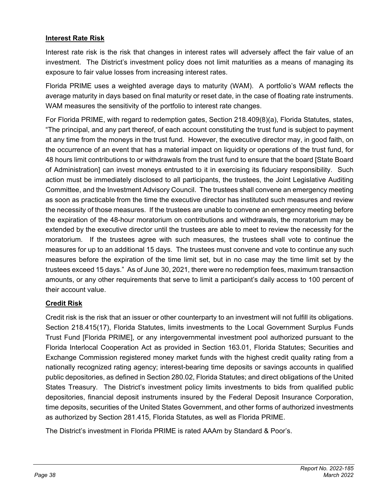#### **Interest Rate Risk**

Interest rate risk is the risk that changes in interest rates will adversely affect the fair value of an investment. The District's investment policy does not limit maturities as a means of managing its exposure to fair value losses from increasing interest rates.

Florida PRIME uses a weighted average days to maturity (WAM). A portfolio's WAM reflects the average maturity in days based on final maturity or reset date, in the case of floating rate instruments. WAM measures the sensitivity of the portfolio to interest rate changes.

For Florida PRIME, with regard to redemption gates, Section 218.409(8)(a), Florida Statutes, states, "The principal, and any part thereof, of each account constituting the trust fund is subject to payment at any time from the moneys in the trust fund. However, the executive director may, in good faith, on the occurrence of an event that has a material impact on liquidity or operations of the trust fund, for 48 hours limit contributions to or withdrawals from the trust fund to ensure that the board [State Board of Administration] can invest moneys entrusted to it in exercising its fiduciary responsibility. Such action must be immediately disclosed to all participants, the trustees, the Joint Legislative Auditing Committee, and the Investment Advisory Council. The trustees shall convene an emergency meeting as soon as practicable from the time the executive director has instituted such measures and review the necessity of those measures. If the trustees are unable to convene an emergency meeting before the expiration of the 48-hour moratorium on contributions and withdrawals, the moratorium may be extended by the executive director until the trustees are able to meet to review the necessity for the moratorium. If the trustees agree with such measures, the trustees shall vote to continue the measures for up to an additional 15 days. The trustees must convene and vote to continue any such measures before the expiration of the time limit set, but in no case may the time limit set by the trustees exceed 15 days." As of June 30, 2021, there were no redemption fees, maximum transaction amounts, or any other requirements that serve to limit a participant's daily access to 100 percent of their account value.

#### **Credit Risk**

Credit risk is the risk that an issuer or other counterparty to an investment will not fulfill its obligations. Section 218.415(17), Florida Statutes, limits investments to the Local Government Surplus Funds Trust Fund [Florida PRIME], or any intergovernmental investment pool authorized pursuant to the Florida Interlocal Cooperation Act as provided in Section 163.01, Florida Statutes; Securities and Exchange Commission registered money market funds with the highest credit quality rating from a nationally recognized rating agency; interest-bearing time deposits or savings accounts in qualified public depositories, as defined in Section 280.02, Florida Statutes; and direct obligations of the United States Treasury. The District's investment policy limits investments to bids from qualified public depositories, financial deposit instruments insured by the Federal Deposit Insurance Corporation, time deposits, securities of the United States Government, and other forms of authorized investments as authorized by Section 281.415, Florida Statutes, as well as Florida PRIME.

The District's investment in Florida PRIME is rated AAAm by Standard & Poor's.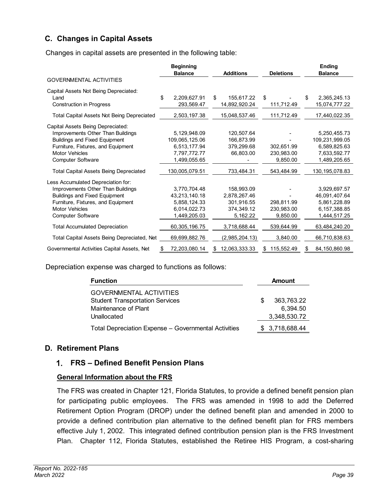#### **C. Changes in Capital Assets**

Changes in capital assets are presented in the following table:

|                                                                                                     | <b>Beginning</b><br><b>Balance</b>             | <b>Additions</b>                      |    | <b>Deletions</b>                     | <b>Ending</b><br><b>Balance</b>                |
|-----------------------------------------------------------------------------------------------------|------------------------------------------------|---------------------------------------|----|--------------------------------------|------------------------------------------------|
| <b>GOVERNMENTAL ACTIVITIES</b>                                                                      |                                                |                                       |    |                                      |                                                |
| Capital Assets Not Being Depreciated:<br>Land<br><b>Construction in Progress</b>                    | \$<br>2,209,627.91<br>293,569.47               | \$<br>155.617.22<br>14,892,920.24     | \$ | 111,712.49                           | \$<br>2,365,245.13<br>15,074,777.22            |
| <b>Total Capital Assets Not Being Depreciated</b>                                                   | 2,503,197.38                                   | 15,048,537.46                         |    | 111,712.49                           | 17,440,022.35                                  |
| Capital Assets Being Depreciated:<br>Improvements Other Than Buildings                              | 5,129,948.09                                   | 120,507.64                            |    |                                      | 5,250,455.73                                   |
| <b>Buildings and Fixed Equipment</b><br>Furniture, Fixtures, and Equipment<br><b>Motor Vehicles</b> | 109,065,125.06<br>6,513,177.94<br>7.797.772.77 | 166,873.99<br>379,299.68<br>66,803.00 |    | 302,651.99<br>230.983.00             | 109,231,999.05<br>6,589,825.63<br>7,633,592.77 |
| <b>Computer Software</b>                                                                            | 1,499,055.65                                   |                                       |    | 9,850.00                             | 1,489,205.65                                   |
| <b>Total Capital Assets Being Depreciated</b>                                                       | 130,005,079.51                                 | 733,484.31                            |    | 543,484.99                           | 130, 195, 078.83                               |
| Less Accumulated Depreciation for:                                                                  |                                                |                                       |    |                                      |                                                |
| Improvements Other Than Buildings<br><b>Buildings and Fixed Equipment</b>                           | 3.770.704.48<br>43,213,140.18                  | 158.993.09<br>2,878,267.46            |    |                                      | 3,929,697.57<br>46,091,407.64                  |
| Furniture, Fixtures, and Equipment<br><b>Motor Vehicles</b><br><b>Computer Software</b>             | 5.858,124.33<br>6.014.022.73<br>1,449,205.03   | 301.916.55<br>374,349.12<br>5,162.22  |    | 298.811.99<br>230,983.00<br>9,850.00 | 5,861,228.89<br>6,157,388.85<br>1,444,517.25   |
| <b>Total Accumulated Depreciation</b>                                                               | 60,305,196.75                                  | 3,718,688.44                          |    | 539,644.99                           | 63,484,240.20                                  |
| Total Capital Assets Being Depreciated, Net                                                         | 69,699,882.76                                  | (2,985,204.13)                        |    | 3,840.00                             | 66,710,838.63                                  |
| Governmental Activities Capital Assets, Net                                                         | \$<br>72,203,080.14                            | \$<br>12,063,333.33                   | S  | 115,552.49                           | \$<br>84,150,860.98                            |

Depreciation expense was charged to functions as follows:

| <b>Function</b>                                      |     | <b>Amount</b>  |  |  |
|------------------------------------------------------|-----|----------------|--|--|
| <b>GOVERNMENTAL ACTIVITIES</b>                       |     |                |  |  |
| <b>Student Transportation Services</b>               | \$. | 363,763.22     |  |  |
| Maintenance of Plant                                 |     | 6.394.50       |  |  |
| Unallocated                                          |     | 3,348,530.72   |  |  |
| Total Depreciation Expense - Governmental Activities |     | \$3,718,688.44 |  |  |

#### **D. Retirement Plans**

#### **FRS – Defined Benefit Pension Plans**

#### **General Information about the FRS**

The FRS was created in Chapter 121, Florida Statutes, to provide a defined benefit pension plan for participating public employees. The FRS was amended in 1998 to add the Deferred Retirement Option Program (DROP) under the defined benefit plan and amended in 2000 to provide a defined contribution plan alternative to the defined benefit plan for FRS members effective July 1, 2002. This integrated defined contribution pension plan is the FRS Investment Plan. Chapter 112, Florida Statutes, established the Retiree HIS Program, a cost-sharing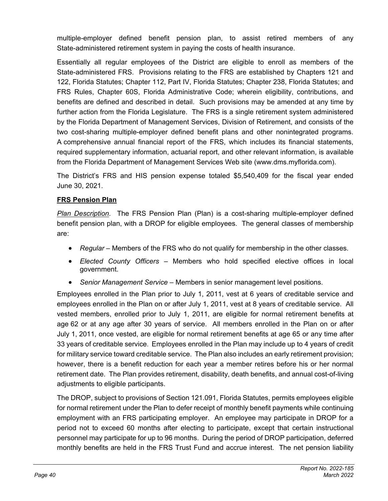multiple-employer defined benefit pension plan, to assist retired members of any State-administered retirement system in paying the costs of health insurance.

Essentially all regular employees of the District are eligible to enroll as members of the State-administered FRS. Provisions relating to the FRS are established by Chapters 121 and 122, Florida Statutes; Chapter 112, Part IV, Florida Statutes; Chapter 238, Florida Statutes; and FRS Rules, Chapter 60S, Florida Administrative Code; wherein eligibility, contributions, and benefits are defined and described in detail. Such provisions may be amended at any time by further action from the Florida Legislature. The FRS is a single retirement system administered by the Florida Department of Management Services, Division of Retirement, and consists of the two cost-sharing multiple-employer defined benefit plans and other nonintegrated programs. A comprehensive annual financial report of the FRS, which includes its financial statements, required supplementary information, actuarial report, and other relevant information, is available from the Florida Department of Management Services Web site (www.dms.myflorida.com).

The District's FRS and HIS pension expense totaled \$5,540,409 for the fiscal year ended June 30, 2021.

#### **FRS Pension Plan**

*Plan Description*. The FRS Pension Plan (Plan) is a cost-sharing multiple-employer defined benefit pension plan, with a DROP for eligible employees. The general classes of membership are:

- *Regular* Members of the FRS who do not qualify for membership in the other classes.
- *Elected County Officers* Members who hold specified elective offices in local government.
- *Senior Management Service*  Members in senior management level positions.

Employees enrolled in the Plan prior to July 1, 2011, vest at 6 years of creditable service and employees enrolled in the Plan on or after July 1, 2011, vest at 8 years of creditable service. All vested members, enrolled prior to July 1, 2011, are eligible for normal retirement benefits at age 62 or at any age after 30 years of service. All members enrolled in the Plan on or after July 1, 2011, once vested, are eligible for normal retirement benefits at age 65 or any time after 33 years of creditable service. Employees enrolled in the Plan may include up to 4 years of credit for military service toward creditable service. The Plan also includes an early retirement provision; however, there is a benefit reduction for each year a member retires before his or her normal retirement date. The Plan provides retirement, disability, death benefits, and annual cost-of-living adjustments to eligible participants.

The DROP, subject to provisions of Section 121.091, Florida Statutes, permits employees eligible for normal retirement under the Plan to defer receipt of monthly benefit payments while continuing employment with an FRS participating employer. An employee may participate in DROP for a period not to exceed 60 months after electing to participate, except that certain instructional personnel may participate for up to 96 months. During the period of DROP participation, deferred monthly benefits are held in the FRS Trust Fund and accrue interest. The net pension liability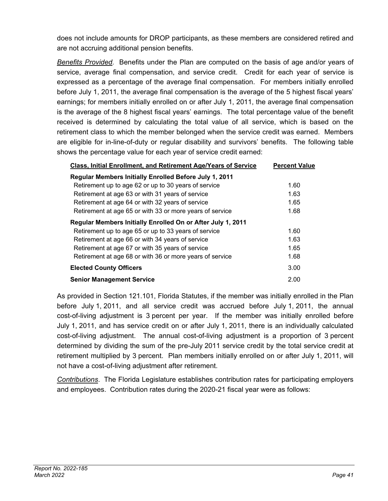does not include amounts for DROP participants, as these members are considered retired and are not accruing additional pension benefits.

*Benefits Provided*. Benefits under the Plan are computed on the basis of age and/or years of service, average final compensation, and service credit. Credit for each year of service is expressed as a percentage of the average final compensation. For members initially enrolled before July 1, 2011, the average final compensation is the average of the 5 highest fiscal years' earnings; for members initially enrolled on or after July 1, 2011, the average final compensation is the average of the 8 highest fiscal years' earnings. The total percentage value of the benefit received is determined by calculating the total value of all service, which is based on the retirement class to which the member belonged when the service credit was earned. Members are eligible for in-line-of-duty or regular disability and survivors' benefits. The following table shows the percentage value for each year of service credit earned:

| Class, Initial Enrollment, and Retirement Age/Years of Service | <b>Percent Value</b> |
|----------------------------------------------------------------|----------------------|
| <b>Regular Members Initially Enrolled Before July 1, 2011</b>  |                      |
| Retirement up to age 62 or up to 30 years of service           | 1.60                 |
| Retirement at age 63 or with 31 years of service               | 1.63                 |
| Retirement at age 64 or with 32 years of service               | 1.65                 |
| Retirement at age 65 or with 33 or more years of service       | 1.68                 |
| Regular Members Initially Enrolled On or After July 1, 2011    |                      |
| Retirement up to age 65 or up to 33 years of service           | 1.60                 |
| Retirement at age 66 or with 34 years of service               | 1.63                 |
| Retirement at age 67 or with 35 years of service               | 1.65                 |
| Retirement at age 68 or with 36 or more years of service       | 1.68                 |
| <b>Elected County Officers</b>                                 | 3.00                 |
| <b>Senior Management Service</b>                               | 2.00                 |
|                                                                |                      |

As provided in Section 121.101, Florida Statutes, if the member was initially enrolled in the Plan before July 1, 2011, and all service credit was accrued before July 1, 2011, the annual cost-of-living adjustment is 3 percent per year. If the member was initially enrolled before July 1, 2011, and has service credit on or after July 1, 2011, there is an individually calculated cost-of-living adjustment. The annual cost-of-living adjustment is a proportion of 3 percent determined by dividing the sum of the pre-July 2011 service credit by the total service credit at retirement multiplied by 3 percent. Plan members initially enrolled on or after July 1, 2011, will not have a cost-of-living adjustment after retirement.

*Contributions*. The Florida Legislature establishes contribution rates for participating employers and employees. Contribution rates during the 2020-21 fiscal year were as follows: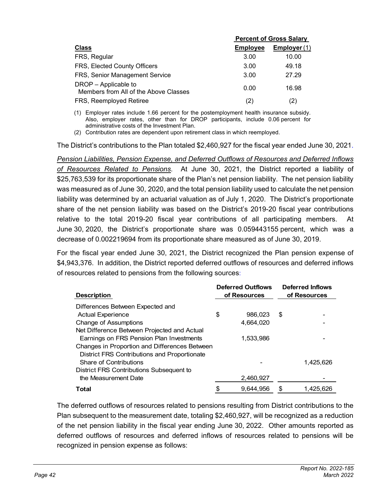|                                                               |                 | <b>Percent of Gross Salary</b> |  |  |  |
|---------------------------------------------------------------|-----------------|--------------------------------|--|--|--|
| <b>Class</b>                                                  | <b>Employee</b> | Emplover(1)                    |  |  |  |
| FRS, Regular                                                  | 3.00            | 10.00                          |  |  |  |
| FRS, Elected County Officers                                  | 3.00            | 49.18                          |  |  |  |
| FRS, Senior Management Service                                | 3.00            | 27.29                          |  |  |  |
| DROP - Applicable to<br>Members from All of the Above Classes | 0.00            | 16.98                          |  |  |  |
| FRS, Reemployed Retiree                                       | (2)             | (2)                            |  |  |  |

(1) Employer rates include 1.66 percent for the postemployment health insurance subsidy. Also, employer rates, other than for DROP participants, include 0.06 percent for administrative costs of the Investment Plan.

(2) Contribution rates are dependent upon retirement class in which reemployed.

The District's contributions to the Plan totaled \$2,460,927 for the fiscal year ended June 30, 2021.

*Pension Liabilities, Pension Expense, and Deferred Outflows of Resources and Deferred Inflows of Resources Related to Pensions*. At June 30, 2021, the District reported a liability of \$25,763,539 for its proportionate share of the Plan's net pension liability. The net pension liability was measured as of June 30, 2020, and the total pension liability used to calculate the net pension liability was determined by an actuarial valuation as of July 1, 2020. The District's proportionate share of the net pension liability was based on the District's 2019-20 fiscal year contributions relative to the total 2019-20 fiscal year contributions of all participating members. At June 30, 2020, the District's proportionate share was 0.059443155 percent, which was a decrease of 0.002219694 from its proportionate share measured as of June 30, 2019.

For the fiscal year ended June 30, 2021, the District recognized the Plan pension expense of \$4,943,376. In addition, the District reported deferred outflows of resources and deferred inflows of resources related to pensions from the following sources:

| <b>Description</b>                            | <b>Deferred Outflows</b><br>of Resources | <b>Deferred Inflows</b><br>of Resources |
|-----------------------------------------------|------------------------------------------|-----------------------------------------|
| Differences Between Expected and              |                                          |                                         |
| <b>Actual Experience</b>                      | \$<br>986,023                            | \$                                      |
| Change of Assumptions                         | 4,664,020                                |                                         |
| Net Difference Between Projected and Actual   |                                          |                                         |
| Earnings on FRS Pension Plan Investments      | 1,533,986                                |                                         |
| Changes in Proportion and Differences Between |                                          |                                         |
| District FRS Contributions and Proportionate  |                                          |                                         |
| <b>Share of Contributions</b>                 |                                          | 1,425,626                               |
| District FRS Contributions Subsequent to      |                                          |                                         |
| the Measurement Date                          | 2,460,927                                |                                         |
| Total                                         | 9.644.956                                | 1.425.626                               |

The deferred outflows of resources related to pensions resulting from District contributions to the Plan subsequent to the measurement date, totaling \$2,460,927, will be recognized as a reduction of the net pension liability in the fiscal year ending June 30, 2022. Other amounts reported as deferred outflows of resources and deferred inflows of resources related to pensions will be recognized in pension expense as follows: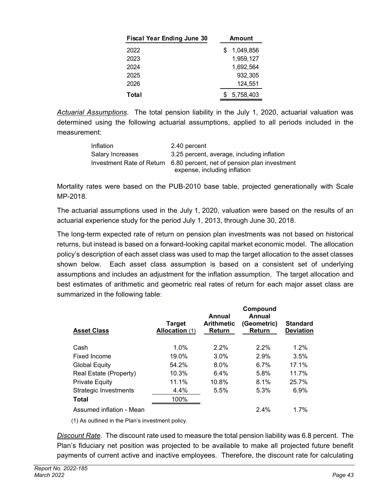| <b>Fiscal Year Ending June 30</b> | <b>Amount</b> |           |
|-----------------------------------|---------------|-----------|
| 2022                              | S             | 1,049,856 |
| 2023                              |               | 1,959,127 |
| 2024                              |               | 1,692,564 |
| 2025                              |               | 932,305   |
| 2026                              |               | 124,551   |
| Total                             |               | 5,758,403 |

*Actuarial Assumptions*. The total pension liability in the July 1, 2020, actuarial valuation was determined using the following actuarial assumptions, applied to all periods included in the measurement:

| Inflation        | 2.40 percent                                                           |
|------------------|------------------------------------------------------------------------|
| Salary Increases | 3.25 percent, average, including inflation                             |
|                  | Investment Rate of Return 6.80 percent, net of pension plan investment |
|                  | expense, including inflation                                           |

Mortality rates were based on the PUB-2010 base table, projected generationally with Scale MP-2018.

The actuarial assumptions used in the July 1, 2020, valuation were based on the results of an actuarial experience study for the period July 1, 2013, through June 30, 2018.

The long-term expected rate of return on pension plan investments was not based on historical returns, but instead is based on a forward-looking capital market economic model. The allocation policy's description of each asset class was used to map the target allocation to the asset classes shown below. Each asset class assumption is based on a consistent set of underlying assumptions and includes an adjustment for the inflation assumption. The target allocation and best estimates of arithmetic and geometric real rates of return for each major asset class are summarized in the following table:

| <b>Asset Class</b>           | <b>Target</b><br>Allocation (1) | Annual<br><b>Arithmetic</b><br>Return | Compound<br>Annual<br>(Geometric)<br>Return | <b>Standard</b><br><b>Deviation</b> |
|------------------------------|---------------------------------|---------------------------------------|---------------------------------------------|-------------------------------------|
| Cash                         | 1.0%                            | $2.2\%$                               | $2.2\%$                                     | 1.2%                                |
| Fixed Income                 | 19.0%                           | $3.0\%$                               | 2.9%                                        | 3.5%                                |
| <b>Global Equity</b>         | 54.2%                           | $8.0\%$                               | 6.7%                                        | 17.1%                               |
| Real Estate (Property)       | 10.3%                           | 6.4%                                  | 5.8%                                        | 11.7%                               |
| <b>Private Equity</b>        | 11.1%                           | 10.8%                                 | 8.1%                                        | 25.7%                               |
| <b>Strategic Investments</b> | 4.4%                            | 5.5%                                  | 5.3%                                        | 6.9%                                |
| <b>Total</b>                 | 100%                            |                                       |                                             |                                     |
| Assumed inflation - Mean     |                                 |                                       | 2.4%                                        | 1.7%                                |

(1) As outlined in the Plan's investment policy.

*Discount Rate*. The discount rate used to measure the total pension liability was 6.8 percent. The Plan's fiduciary net position was projected to be available to make all projected future benefit payments of current active and inactive employees. Therefore, the discount rate for calculating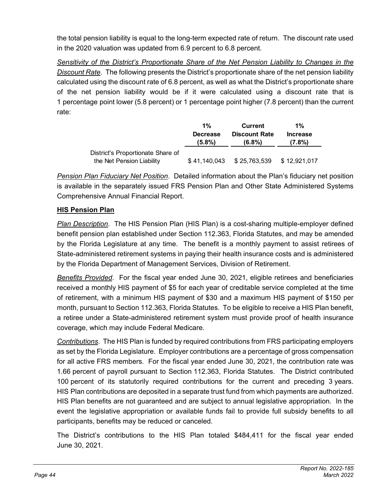the total pension liability is equal to the long-term expected rate of return. The discount rate used in the 2020 valuation was updated from 6.9 percent to 6.8 percent.

*Sensitivity of the District's Proportionate Share of the Net Pension Liability to Changes in the Discount Rate*. The following presents the District's proportionate share of the net pension liability calculated using the discount rate of 6.8 percent, as well as what the District's proportionate share of the net pension liability would be if it were calculated using a discount rate that is 1 percentage point lower (5.8 percent) or 1 percentage point higher (7.8 percent) than the current rate:

|                                   | 1%                           | <b>Current</b>                    | 1%                           |
|-----------------------------------|------------------------------|-----------------------------------|------------------------------|
|                                   | <b>Decrease</b><br>$(5.8\%)$ | <b>Discount Rate</b><br>$(6.8\%)$ | <b>Increase</b><br>$(7.8\%)$ |
| District's Proportionate Share of |                              |                                   |                              |
| the Net Pension Liability         | \$41.140.043                 | \$25,763,539                      | \$12,921,017                 |

*Pension Plan Fiduciary Net Position*. Detailed information about the Plan's fiduciary net position is available in the separately issued FRS Pension Plan and Other State Administered Systems Comprehensive Annual Financial Report.

#### **HIS Pension Plan**

*Plan Description*. The HIS Pension Plan (HIS Plan) is a cost-sharing multiple-employer defined benefit pension plan established under Section 112.363, Florida Statutes, and may be amended by the Florida Legislature at any time. The benefit is a monthly payment to assist retirees of State-administered retirement systems in paying their health insurance costs and is administered by the Florida Department of Management Services, Division of Retirement.

*Benefits Provided*. For the fiscal year ended June 30, 2021, eligible retirees and beneficiaries received a monthly HIS payment of \$5 for each year of creditable service completed at the time of retirement, with a minimum HIS payment of \$30 and a maximum HIS payment of \$150 per month, pursuant to Section 112.363, Florida Statutes. To be eligible to receive a HIS Plan benefit, a retiree under a State-administered retirement system must provide proof of health insurance coverage, which may include Federal Medicare.

*Contributions*. The HIS Plan is funded by required contributions from FRS participating employers as set by the Florida Legislature. Employer contributions are a percentage of gross compensation for all active FRS members. For the fiscal year ended June 30, 2021, the contribution rate was 1.66 percent of payroll pursuant to Section 112.363, Florida Statutes. The District contributed 100 percent of its statutorily required contributions for the current and preceding 3 years. HIS Plan contributions are deposited in a separate trust fund from which payments are authorized. HIS Plan benefits are not guaranteed and are subject to annual legislative appropriation. In the event the legislative appropriation or available funds fail to provide full subsidy benefits to all participants, benefits may be reduced or canceled.

The District's contributions to the HIS Plan totaled \$484,411 for the fiscal year ended June 30, 2021.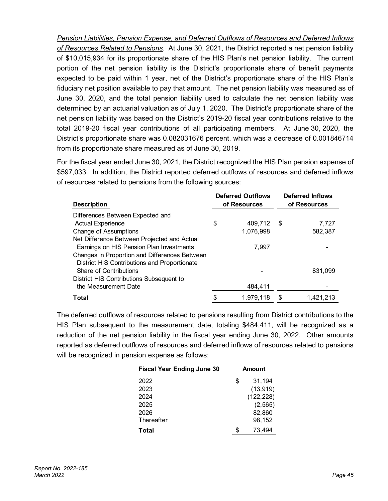*Pension Liabilities, Pension Expense, and Deferred Outflows of Resources and Deferred Inflows of Resources Related to Pensions*. At June 30, 2021, the District reported a net pension liability of \$10,015,934 for its proportionate share of the HIS Plan's net pension liability. The current portion of the net pension liability is the District's proportionate share of benefit payments expected to be paid within 1 year, net of the District's proportionate share of the HIS Plan's fiduciary net position available to pay that amount. The net pension liability was measured as of June 30, 2020, and the total pension liability used to calculate the net pension liability was determined by an actuarial valuation as of July 1, 2020. The District's proportionate share of the net pension liability was based on the District's 2019-20 fiscal year contributions relative to the total 2019-20 fiscal year contributions of all participating members. At June 30, 2020, the District's proportionate share was 0.082031676 percent, which was a decrease of 0.001846714 from its proportionate share measured as of June 30, 2019.

For the fiscal year ended June 30, 2021, the District recognized the HIS Plan pension expense of \$597,033. In addition, the District reported deferred outflows of resources and deferred inflows of resources related to pensions from the following sources:

| <b>Description</b>                            | <b>Deferred Outflows</b><br>of Resources |      | <b>Deferred Inflows</b><br>of Resources |
|-----------------------------------------------|------------------------------------------|------|-----------------------------------------|
|                                               |                                          |      |                                         |
| Differences Between Expected and              |                                          |      |                                         |
| <b>Actual Experience</b>                      | \$<br>409,712                            | - \$ | 7.727                                   |
| Change of Assumptions                         | 1,076,998                                |      | 582,387                                 |
| Net Difference Between Projected and Actual   |                                          |      |                                         |
| Earnings on HIS Pension Plan Investments      | 7.997                                    |      |                                         |
| Changes in Proportion and Differences Between |                                          |      |                                         |
| District HIS Contributions and Proportionate  |                                          |      |                                         |
| <b>Share of Contributions</b>                 |                                          |      | 831,099                                 |
| District HIS Contributions Subsequent to      |                                          |      |                                         |
| the Measurement Date                          | 484,411                                  |      |                                         |
| Total                                         | \$<br>1,979,118                          | S    | 1.421.213                               |

The deferred outflows of resources related to pensions resulting from District contributions to the HIS Plan subsequent to the measurement date, totaling \$484,411, will be recognized as a reduction of the net pension liability in the fiscal year ending June 30, 2022. Other amounts reported as deferred outflows of resources and deferred inflows of resources related to pensions will be recognized in pension expense as follows:

| <b>Fiscal Year Ending June 30</b> |    | <b>Amount</b> |  |  |
|-----------------------------------|----|---------------|--|--|
| 2022                              | \$ | 31,194        |  |  |
| 2023                              |    | (13, 919)     |  |  |
| 2024                              |    | (122, 228)    |  |  |
| 2025                              |    | (2, 565)      |  |  |
| 2026                              |    | 82,860        |  |  |
| Thereafter                        |    | 98,152        |  |  |
| Total                             | \$ | 73.494        |  |  |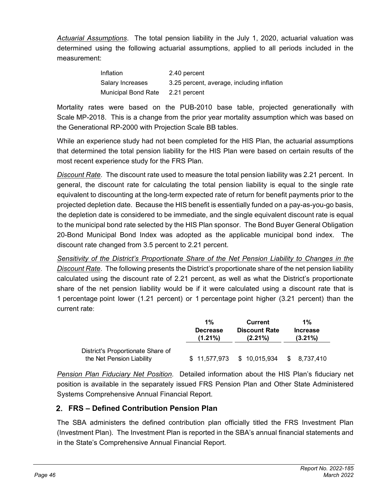*Actuarial Assumptions*. The total pension liability in the July 1, 2020, actuarial valuation was determined using the following actuarial assumptions, applied to all periods included in the measurement:

| Inflation                  | 2.40 percent                               |
|----------------------------|--------------------------------------------|
| Salary Increases           | 3.25 percent, average, including inflation |
| <b>Municipal Bond Rate</b> | 2.21 percent                               |

Mortality rates were based on the PUB-2010 base table, projected generationally with Scale MP-2018. This is a change from the prior year mortality assumption which was based on the Generational RP-2000 with Projection Scale BB tables.

While an experience study had not been completed for the HIS Plan, the actuarial assumptions that determined the total pension liability for the HIS Plan were based on certain results of the most recent experience study for the FRS Plan.

*Discount Rate*. The discount rate used to measure the total pension liability was 2.21 percent. In general, the discount rate for calculating the total pension liability is equal to the single rate equivalent to discounting at the long-term expected rate of return for benefit payments prior to the projected depletion date. Because the HIS benefit is essentially funded on a pay-as-you-go basis, the depletion date is considered to be immediate, and the single equivalent discount rate is equal to the municipal bond rate selected by the HIS Plan sponsor. The Bond Buyer General Obligation 20-Bond Municipal Bond Index was adopted as the applicable municipal bond index. The discount rate changed from 3.5 percent to 2.21 percent.

*Sensitivity of the District's Proportionate Share of the Net Pension Liability to Changes in the Discount Rate*. The following presents the District's proportionate share of the net pension liability calculated using the discount rate of 2.21 percent, as well as what the District's proportionate share of the net pension liability would be if it were calculated using a discount rate that is 1 percentage point lower (1.21 percent) or 1 percentage point higher (3.21 percent) than the current rate:

|                                                                | 1%                            | Current                         | 1%                            |
|----------------------------------------------------------------|-------------------------------|---------------------------------|-------------------------------|
|                                                                | <b>Decrease</b><br>$(1.21\%)$ | <b>Discount Rate</b><br>(2.21%) | <b>Increase</b><br>$(3.21\%)$ |
| District's Proportionate Share of<br>the Net Pension Liability | \$11,577,973                  | \$10,015,934                    | 8,737,410<br>- \$             |

*Pension Plan Fiduciary Net Position*. Detailed information about the HIS Plan's fiduciary net position is available in the separately issued FRS Pension Plan and Other State Administered Systems Comprehensive Annual Financial Report.

## **FRS – Defined Contribution Pension Plan**

The SBA administers the defined contribution plan officially titled the FRS Investment Plan (Investment Plan). The Investment Plan is reported in the SBA's annual financial statements and in the State's Comprehensive Annual Financial Report.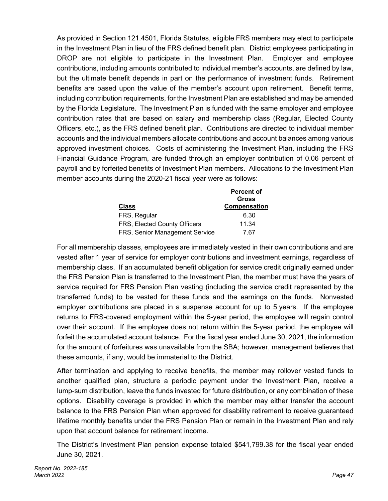As provided in Section 121.4501, Florida Statutes, eligible FRS members may elect to participate in the Investment Plan in lieu of the FRS defined benefit plan. District employees participating in DROP are not eligible to participate in the Investment Plan. Employer and employee contributions, including amounts contributed to individual member's accounts, are defined by law, but the ultimate benefit depends in part on the performance of investment funds. Retirement benefits are based upon the value of the member's account upon retirement. Benefit terms, including contribution requirements, for the Investment Plan are established and may be amended by the Florida Legislature. The Investment Plan is funded with the same employer and employee contribution rates that are based on salary and membership class (Regular, Elected County Officers, etc.), as the FRS defined benefit plan. Contributions are directed to individual member accounts and the individual members allocate contributions and account balances among various approved investment choices. Costs of administering the Investment Plan, including the FRS Financial Guidance Program, are funded through an employer contribution of 0.06 percent of payroll and by forfeited benefits of Investment Plan members. Allocations to the Investment Plan member accounts during the 2020-21 fiscal year were as follows:

|                                | <b>Percent of</b> |
|--------------------------------|-------------------|
|                                | Gross             |
| <b>Class</b>                   | Compensation      |
| FRS, Regular                   | 6.30              |
| FRS, Elected County Officers   | 11.34             |
| FRS, Senior Management Service | 7 67              |

For all membership classes, employees are immediately vested in their own contributions and are vested after 1 year of service for employer contributions and investment earnings, regardless of membership class. If an accumulated benefit obligation for service credit originally earned under the FRS Pension Plan is transferred to the Investment Plan, the member must have the years of service required for FRS Pension Plan vesting (including the service credit represented by the transferred funds) to be vested for these funds and the earnings on the funds. Nonvested employer contributions are placed in a suspense account for up to 5 years. If the employee returns to FRS-covered employment within the 5-year period, the employee will regain control over their account. If the employee does not return within the 5-year period, the employee will forfeit the accumulated account balance. For the fiscal year ended June 30, 2021, the information for the amount of forfeitures was unavailable from the SBA; however, management believes that these amounts, if any, would be immaterial to the District.

After termination and applying to receive benefits, the member may rollover vested funds to another qualified plan, structure a periodic payment under the Investment Plan, receive a lump-sum distribution, leave the funds invested for future distribution, or any combination of these options. Disability coverage is provided in which the member may either transfer the account balance to the FRS Pension Plan when approved for disability retirement to receive guaranteed lifetime monthly benefits under the FRS Pension Plan or remain in the Investment Plan and rely upon that account balance for retirement income.

The District's Investment Plan pension expense totaled \$541,799.38 for the fiscal year ended June 30, 2021.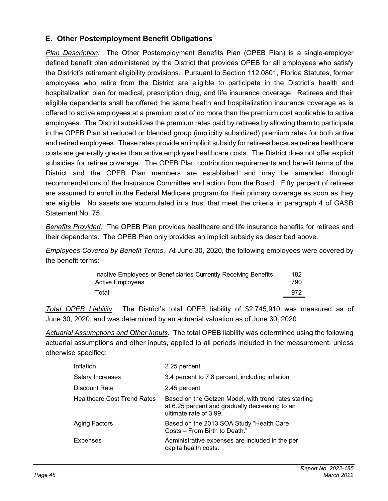#### **E. Other Postemployment Benefit Obligations**

*Plan Description*. The Other Postemployment Benefits Plan (OPEB Plan) is a single-employer defined benefit plan administered by the District that provides OPEB for all employees who satisfy the District's retirement eligibility provisions. Pursuant to Section 112.0801, Florida Statutes, former employees who retire from the District are eligible to participate in the District's health and hospitalization plan for medical, prescription drug, and life insurance coverage. Retirees and their eligible dependents shall be offered the same health and hospitalization insurance coverage as is offered to active employees at a premium cost of no more than the premium cost applicable to active employees. The District subsidizes the premium rates paid by retirees by allowing them to participate in the OPEB Plan at reduced or blended group (implicitly subsidized) premium rates for both active and retired employees. These rates provide an implicit subsidy for retirees because retiree healthcare costs are generally greater than active employee healthcare costs. The District does not offer explicit subsidies for retiree coverage. The OPEB Plan contribution requirements and benefit terms of the District and the OPEB Plan members are established and may be amended through recommendations of the Insurance Committee and action from the Board. Fifty percent of retirees are assumed to enroll in the Federal Medicare program for their primary coverage as soon as they are eligible. No assets are accumulated in a trust that meet the criteria in paragraph 4 of GASB Statement No. 75.

*Benefits Provided*.The OPEB Plan provides healthcare and life insurance benefits for retirees and their dependents. The OPEB Plan only provides an implicit subsidy as described above.

*Employees Covered by Benefit Terms*. At June 30, 2020, the following employees were covered by the benefit terms:

| Inactive Employees or Beneficiaries Currently Receiving Benefits | 182 |
|------------------------------------------------------------------|-----|
| <b>Active Employees</b>                                          | 790 |
| Total                                                            | 972 |

*Total OPEB Liability*. The District's total OPEB liability of \$2,745,910 was measured as of June 30, 2020, and was determined by an actuarial valuation as of June 30, 2020.

*Actuarial Assumptions and Other Inputs*. The total OPEB liability was determined using the following actuarial assumptions and other inputs, applied to all periods included in the measurement, unless otherwise specified:

| Inflation                          | 2.25 percent                                                                                                                     |
|------------------------------------|----------------------------------------------------------------------------------------------------------------------------------|
| Salary Increases                   | 3.4 percent to 7.8 percent, including inflation                                                                                  |
| Discount Rate                      | 2.45 percent                                                                                                                     |
| <b>Healthcare Cost Trend Rates</b> | Based on the Getzen Model, with trend rates starting<br>at 6.25 percent and gradually decreasing to an<br>ultimate rate of 3.99. |
| Aging Factors                      | Based on the 2013 SOA Study "Health Care<br>Costs – From Birth to Death."                                                        |
| Expenses                           | Administrative expenses are included in the per<br>capita health costs.                                                          |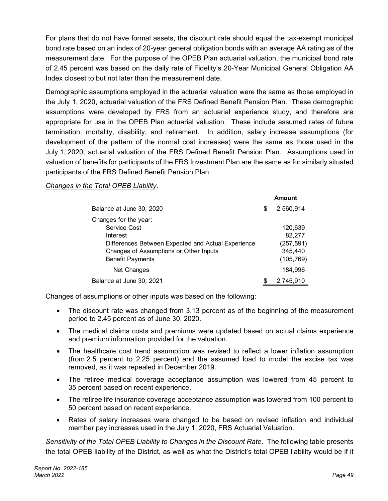For plans that do not have formal assets, the discount rate should equal the tax-exempt municipal bond rate based on an index of 20-year general obligation bonds with an average AA rating as of the measurement date. For the purpose of the OPEB Plan actuarial valuation, the municipal bond rate of 2.45 percent was based on the daily rate of Fidelity's 20-Year Municipal General Obligation AA Index closest to but not later than the measurement date.

Demographic assumptions employed in the actuarial valuation were the same as those employed in the July 1, 2020, actuarial valuation of the FRS Defined Benefit Pension Plan. These demographic assumptions were developed by FRS from an actuarial experience study, and therefore are appropriate for use in the OPEB Plan actuarial valuation. These include assumed rates of future termination, mortality, disability, and retirement. In addition, salary increase assumptions (for development of the pattern of the normal cost increases) were the same as those used in the July 1, 2020, actuarial valuation of the FRS Defined Benefit Pension Plan. Assumptions used in valuation of benefits for participants of the FRS Investment Plan are the same as for similarly situated participants of the FRS Defined Benefit Pension Plan.

#### *Changes in the Total OPEB Liability*.

|                                                    |    | Anount     |
|----------------------------------------------------|----|------------|
| Balance at June 30, 2020                           | S  | 2,560,914  |
| Changes for the year:                              |    |            |
| Service Cost                                       |    | 120,639    |
| Interest                                           |    | 82,277     |
| Differences Between Expected and Actual Experience |    | (257, 591) |
| Changes of Assumptions or Other Inputs             |    | 345,440    |
| <b>Benefit Payments</b>                            |    | (105,769)  |
| Net Changes                                        |    | 184,996    |
| Balance at June 30, 2021                           | \$ | 2.745.910  |

**Amount**

Changes of assumptions or other inputs was based on the following:

- The discount rate was changed from 3.13 percent as of the beginning of the measurement period to 2.45 percent as of June 30, 2020.
- The medical claims costs and premiums were updated based on actual claims experience and premium information provided for the valuation.
- The healthcare cost trend assumption was revised to reflect a lower inflation assumption (from 2.5 percent to 2.25 percent) and the assumed load to model the excise tax was removed, as it was repealed in December 2019.
- The retiree medical coverage acceptance assumption was lowered from 45 percent to 35 percent based on recent experience.
- The retiree life insurance coverage acceptance assumption was lowered from 100 percent to 50 percent based on recent experience.
- Rates of salary increases were changed to be based on revised inflation and individual member pay increases used in the July 1, 2020, FRS Actuarial Valuation.

*Sensitivity of the Total OPEB Liability to Changes in the Discount Rate*. The following table presents the total OPEB liability of the District, as well as what the District's total OPEB liability would be if it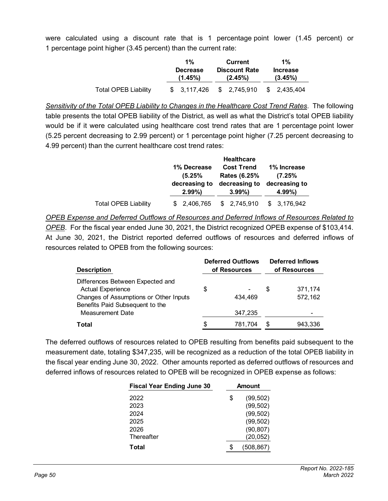were calculated using a discount rate that is 1 percentage point lower (1.45 percent) or 1 percentage point higher (3.45 percent) than the current rate:

|                             | $1\%$           | <b>Current</b>       | $1\%$           |
|-----------------------------|-----------------|----------------------|-----------------|
|                             | <b>Decrease</b> | <b>Discount Rate</b> | <b>Increase</b> |
|                             | (1.45%)         | $(2.45\%)$           | $(3.45\%)$      |
| <b>Total OPEB Liability</b> | \$ 3.117.426    | \$ 2,745,910         | \$ 2,435,404    |

*Sensitivity of the Total OPEB Liability to Changes in the Healthcare Cost Trend Rates*. The following table presents the total OPEB liability of the District, as well as what the District's total OPEB liability would be if it were calculated using healthcare cost trend rates that are 1 percentage point lower (5.25 percent decreasing to 2.99 percent) or 1 percentage point higher (7.25 percent decreasing to 4.99 percent) than the current healthcare cost trend rates:

|                             |                           | <b>Healthcare</b>         |                         |
|-----------------------------|---------------------------|---------------------------|-------------------------|
|                             | 1% Decrease               | <b>Cost Trend</b>         | 1% Increase             |
|                             | (5.25%                    | <b>Rates (6.25%</b>       | (7.25%                  |
|                             | decreasing to<br>$2.99\%$ | decreasing to<br>$3.99\%$ | decreasing to<br>4.99%) |
| <b>Total OPEB Liability</b> | \$ 2,406,765              | \$2,745,910               | \$3,176,942             |

*OPEB Expense and Deferred Outflows of Resources and Deferred Inflows of Resources Related to OPEB*. For the fiscal year ended June 30, 2021, the District recognized OPEB expense of \$103,414. At June 30, 2021, the District reported deferred outflows of resources and deferred inflows of resources related to OPEB from the following sources:

| <b>Description</b>                                                        |    | <b>Deferred Outflows</b><br>of Resources | <b>Deferred Inflows</b><br>of Resources |         |  |
|---------------------------------------------------------------------------|----|------------------------------------------|-----------------------------------------|---------|--|
| Differences Between Expected and<br><b>Actual Experience</b>              | \$ | ۰                                        | S                                       | 371,174 |  |
| Changes of Assumptions or Other Inputs<br>Benefits Paid Subsequent to the |    | 434.469                                  |                                         | 572,162 |  |
| Measurement Date                                                          |    | 347,235                                  |                                         |         |  |
| Total                                                                     | \$ | 781,704                                  | \$                                      | 943,336 |  |

The deferred outflows of resources related to OPEB resulting from benefits paid subsequent to the measurement date, totaling \$347,235, will be recognized as a reduction of the total OPEB liability in the fiscal year ending June 30, 2022. Other amounts reported as deferred outflows of resources and deferred inflows of resources related to OPEB will be recognized in OPEB expense as follows:

| <b>Fiscal Year Ending June 30</b> |    | <b>Amount</b> |  |  |  |
|-----------------------------------|----|---------------|--|--|--|
| 2022                              | \$ | (99, 502)     |  |  |  |
| 2023                              |    | (99, 502)     |  |  |  |
| 2024                              |    | (99, 502)     |  |  |  |
| 2025                              |    | (99, 502)     |  |  |  |
| 2026                              |    | (90, 807)     |  |  |  |
| Thereafter                        |    | (20, 052)     |  |  |  |
| Total                             | S  | (508, 867)    |  |  |  |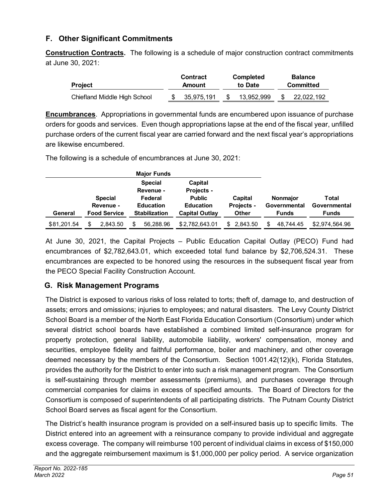## **F. Other Significant Commitments**

**Construction Contracts.** The following is a schedule of major construction contract commitments at June 30, 2021:

| <b>Project</b>               | <b>Completed</b><br><b>Contract</b><br>to Date<br>Amount |  | <b>Balance</b><br>Committed |  |            |
|------------------------------|----------------------------------------------------------|--|-----------------------------|--|------------|
| Chiefland Middle High School | 35.975.191                                               |  | 13.952.999                  |  | 22.022.192 |

**Encumbrances**. Appropriations in governmental funds are encumbered upon issuance of purchase orders for goods and services. Even though appropriations lapse at the end of the fiscal year, unfilled purchase orders of the current fiscal year are carried forward and the next fiscal year's appropriations are likewise encumbered.

The following is a schedule of encumbrances at June 30, 2021:

|             |                     | <b>Major Funds</b>   |                       |               |                 |                |
|-------------|---------------------|----------------------|-----------------------|---------------|-----------------|----------------|
|             |                     | <b>Special</b>       | Capital               |               |                 |                |
|             |                     | Revenue -            | <b>Projects -</b>     |               |                 |                |
|             | <b>Special</b>      | Federal              | <b>Public</b>         | Capital       | <b>Nonmajor</b> | Total          |
|             | Revenue -           | <b>Education</b>     | <b>Education</b>      | Projects -    | Governmental    | Governmental   |
| General     | <b>Food Service</b> | <b>Stabilization</b> | <b>Capital Outlay</b> | <b>Other</b>  | <b>Funds</b>    | <b>Funds</b>   |
| \$81,201.54 | 2.843.50<br>\$      | 56,288.96            | \$2,782,643.01        | 2,843.50<br>S | 48,744.45<br>S. | \$2,974,564.96 |

At June 30, 2021, the Capital Projects – Public Education Capital Outlay (PECO) Fund had encumbrances of \$2,782,643.01, which exceeded total fund balance by \$2,706,524.31. These encumbrances are expected to be honored using the resources in the subsequent fiscal year from the PECO Special Facility Construction Account.

#### **G. Risk Management Programs**

The District is exposed to various risks of loss related to torts; theft of, damage to, and destruction of assets; errors and omissions; injuries to employees; and natural disasters. The Levy County District School Board is a member of the North East Florida Education Consortium (Consortium) under which several district school boards have established a combined limited self-insurance program for property protection, general liability, automobile liability, workers' compensation, money and securities, employee fidelity and faithful performance, boiler and machinery, and other coverage deemed necessary by the members of the Consortium. Section 1001.42(12)(k), Florida Statutes, provides the authority for the District to enter into such a risk management program. The Consortium is self-sustaining through member assessments (premiums), and purchases coverage through commercial companies for claims in excess of specified amounts. The Board of Directors for the Consortium is composed of superintendents of all participating districts. The Putnam County District School Board serves as fiscal agent for the Consortium.

The District's health insurance program is provided on a self-insured basis up to specific limits. The District entered into an agreement with a reinsurance company to provide individual and aggregate excess coverage. The company will reimburse 100 percent of individual claims in excess of \$150,000 and the aggregate reimbursement maximum is \$1,000,000 per policy period. A service organization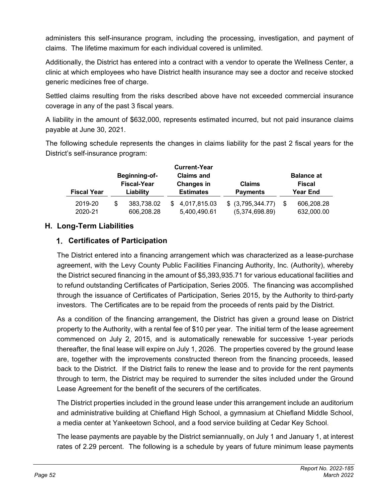administers this self-insurance program, including the processing, investigation, and payment of claims. The lifetime maximum for each individual covered is unlimited.

Additionally, the District has entered into a contract with a vendor to operate the Wellness Center, a clinic at which employees who have District health insurance may see a doctor and receive stocked generic medicines free of charge.

Settled claims resulting from the risks described above have not exceeded commercial insurance coverage in any of the past 3 fiscal years.

A liability in the amount of \$632,000, represents estimated incurred, but not paid insurance claims payable at June 30, 2021.

The following schedule represents the changes in claims liability for the past 2 fiscal years for the District's self-insurance program:

| Beginning-of-<br><b>Fiscal-Year</b><br><b>Fiscal Year</b><br>Liability |   |                          |     | <b>Current-Year</b><br><b>Claims and</b><br><b>Changes in</b><br><b>Estimates</b> |  | <b>Claims</b><br><b>Payments</b>       |  | <b>Balance at</b><br><b>Fiscal</b><br><b>Year End</b> |  |
|------------------------------------------------------------------------|---|--------------------------|-----|-----------------------------------------------------------------------------------|--|----------------------------------------|--|-------------------------------------------------------|--|
| 2019-20<br>2020-21                                                     | S | 383,738.02<br>606,208.28 | \$. | 4,017,815.03<br>5,400,490.61                                                      |  | $$$ $(3,795,344.77)$<br>(5,374,698.89) |  | 606,208.28<br>632,000.00                              |  |

## **H. Long-Term Liabilities**

#### **Certificates of Participation**

The District entered into a financing arrangement which was characterized as a lease-purchase agreement, with the Levy County Public Facilities Financing Authority, Inc. (Authority), whereby the District secured financing in the amount of \$5,393,935.71 for various educational facilities and to refund outstanding Certificates of Participation, Series 2005. The financing was accomplished through the issuance of Certificates of Participation, Series 2015, by the Authority to third-party investors. The Certificates are to be repaid from the proceeds of rents paid by the District.

As a condition of the financing arrangement, the District has given a ground lease on District property to the Authority, with a rental fee of \$10 per year. The initial term of the lease agreement commenced on July 2, 2015, and is automatically renewable for successive 1-year periods thereafter, the final lease will expire on July 1, 2026. The properties covered by the ground lease are, together with the improvements constructed thereon from the financing proceeds, leased back to the District. If the District fails to renew the lease and to provide for the rent payments through to term, the District may be required to surrender the sites included under the Ground Lease Agreement for the benefit of the securers of the certificates.

The District properties included in the ground lease under this arrangement include an auditorium and administrative building at Chiefland High School, a gymnasium at Chiefland Middle School, a media center at Yankeetown School, and a food service building at Cedar Key School.

The lease payments are payable by the District semiannually, on July 1 and January 1, at interest rates of 2.29 percent. The following is a schedule by years of future minimum lease payments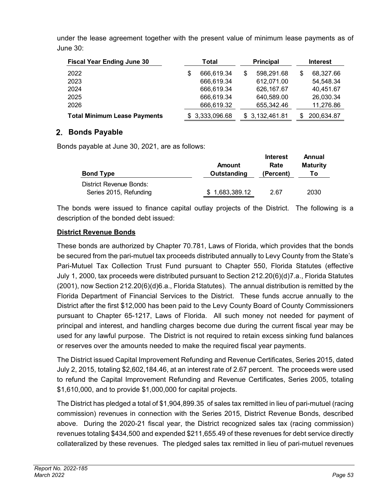under the lease agreement together with the present value of minimum lease payments as of June 30:

| <b>Fiscal Year Ending June 30</b>   |  | Total          |    | <b>Principal</b> |  | <b>Interest</b> |  |
|-------------------------------------|--|----------------|----|------------------|--|-----------------|--|
| 2022                                |  | 666,619.34     | \$ | 598,291.68       |  | 68,327.66       |  |
| 2023                                |  | 666,619.34     |    | 612,071.00       |  | 54,548.34       |  |
| 2024                                |  | 666,619.34     |    | 626, 167.67      |  | 40,451.67       |  |
| 2025                                |  | 666,619.34     |    | 640,589.00       |  | 26,030.34       |  |
| 2026                                |  | 666,619.32     |    | 655,342.46       |  | 11,276.86       |  |
| <b>Total Minimum Lease Payments</b> |  | \$3,333,096.68 |    | \$3,132,461.81   |  | 200,634.87      |  |

#### **Bonds Payable**

Bonds payable at June 30, 2021, are as follows:

| <b>Bond Type</b>                                  | Amount<br>Outstanding | <b>Interest</b><br>Rate<br>(Percent) | Annual<br><b>Maturity</b><br>То |
|---------------------------------------------------|-----------------------|--------------------------------------|---------------------------------|
| District Revenue Bonds:<br>Series 2015, Refunding | 1,683,389.12<br>S.    | 2.67                                 | 2030                            |

The bonds were issued to finance capital outlay projects of the District. The following is a description of the bonded debt issued:

#### **District Revenue Bonds**

These bonds are authorized by Chapter 70.781, Laws of Florida, which provides that the bonds be secured from the pari-mutuel tax proceeds distributed annually to Levy County from the State's Pari-Mutuel Tax Collection Trust Fund pursuant to Chapter 550, Florida Statutes (effective July 1, 2000, tax proceeds were distributed pursuant to Section 212.20(6)(d)7.a., Florida Statutes (2001), now Section 212.20(6)(d)6.a., Florida Statutes). The annual distribution is remitted by the Florida Department of Financial Services to the District. These funds accrue annually to the District after the first \$12,000 has been paid to the Levy County Board of County Commissioners pursuant to Chapter 65-1217, Laws of Florida. All such money not needed for payment of principal and interest, and handling charges become due during the current fiscal year may be used for any lawful purpose. The District is not required to retain excess sinking fund balances or reserves over the amounts needed to make the required fiscal year payments.

The District issued Capital Improvement Refunding and Revenue Certificates, Series 2015, dated July 2, 2015, totaling \$2,602,184.46, at an interest rate of 2.67 percent. The proceeds were used to refund the Capital Improvement Refunding and Revenue Certificates, Series 2005, totaling \$1,610,000, and to provide \$1,000,000 for capital projects.

The District has pledged a total of \$1,904,899.35 of sales tax remitted in lieu of pari-mutuel (racing commission) revenues in connection with the Series 2015, District Revenue Bonds, described above. During the 2020-21 fiscal year, the District recognized sales tax (racing commission) revenues totaling \$434,500 and expended \$211,655.49 of these revenues for debt service directly collateralized by these revenues. The pledged sales tax remitted in lieu of pari-mutuel revenues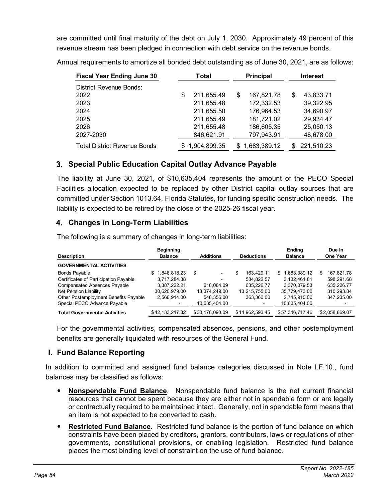are committed until final maturity of the debt on July 1, 2030. Approximately 49 percent of this revenue stream has been pledged in connection with debt service on the revenue bonds.

| <b>Fiscal Year Ending June 30</b> |   | Total        |    | <b>Principal</b> |     | <b>Interest</b> |  |
|-----------------------------------|---|--------------|----|------------------|-----|-----------------|--|
| District Revenue Bonds:           |   |              |    |                  |     |                 |  |
| 2022                              | S | 211,655.49   | \$ | 167,821.78       | \$  | 43,833.71       |  |
| 2023                              |   | 211,655.48   |    | 172,332.53       |     | 39,322.95       |  |
| 2024                              |   | 211,655.50   |    | 176,964.53       |     | 34,690.97       |  |
| 2025                              |   | 211,655.49   |    | 181,721.02       |     | 29,934.47       |  |
| 2026                              |   | 211,655.48   |    | 186,605.35       |     | 25,050.13       |  |
| 2027-2030                         |   | 846,621.91   |    | 797,943.91       |     | 48,678.00       |  |
| Total District Revenue Bonds      |   | 1,904,899.35 | S. | 1,683,389.12     | SS. | 221,510.23      |  |

Annual requirements to amortize all bonded debt outstanding as of June 30, 2021, are as follows:

#### **Special Public Education Capital Outlay Advance Payable**

The liability at June 30, 2021, of \$10,635,404 represents the amount of the PECO Special Facilities allocation expected to be replaced by other District capital outlay sources that are committed under Section 1013.64, Florida Statutes, for funding specific construction needs. The liability is expected to be retired by the close of the 2025-26 fiscal year.

#### **Changes in Long-Term Liabilities**

The following is a summary of changes in long-term liabilities:

| <b>Description</b>                    | <b>Beginning</b><br><b>Balance</b> | <b>Additions</b>     | <b>Deductions</b> | Ending<br><b>Balance</b> | Due In<br>One Year |
|---------------------------------------|------------------------------------|----------------------|-------------------|--------------------------|--------------------|
| <b>GOVERNMENTAL ACTIVITIES</b>        |                                    |                      |                   |                          |                    |
| <b>Bonds Payable</b>                  | 1.846.818.23<br>S.                 | \$<br>$\blacksquare$ | S<br>163.429.11   | \$1.683.389.12           | 167.821.78<br>S    |
| Certificates of Participation Payable | 3,717,284.38                       | $\blacksquare$       | 584.822.57        | 3.132.461.81             | 598.291.68         |
| <b>Compensated Absences Payable</b>   | 3.387.222.21                       | 618.084.09           | 635.226.77        | 3.370.079.53             | 635.226.77         |
| Net Pension Liability                 | 30.620.979.00                      | 18,374,249.00        | 13.215.755.00     | 35.779.473.00            | 310.293.84         |
| Other Postemployment Benefits Payable | 2.560.914.00                       | 548.356.00           | 363.360.00        | 2.745.910.00             | 347.235.00         |
| Special PECO Advance Payable          |                                    | 10,635,404.00        |                   | 10,635,404.00            |                    |
| <b>Total Governmental Activities</b>  | \$42,133,217.82                    | \$30,176,093.09      | \$14,962,593.45   | \$57,346,717.46          | \$2,058,869.07     |

For the governmental activities, compensated absences, pensions, and other postemployment benefits are generally liquidated with resources of the General Fund.

#### **I. Fund Balance Reporting**

In addition to committed and assigned fund balance categories discussed in Note I.F.10., fund balances may be classified as follows:

- **Nonspendable Fund Balance**. Nonspendable fund balance is the net current financial resources that cannot be spent because they are either not in spendable form or are legally or contractually required to be maintained intact. Generally, not in spendable form means that an item is not expected to be converted to cash.
- **Restricted Fund Balance**. Restricted fund balance is the portion of fund balance on which constraints have been placed by creditors, grantors, contributors, laws or regulations of other governments, constitutional provisions, or enabling legislation. Restricted fund balance places the most binding level of constraint on the use of fund balance.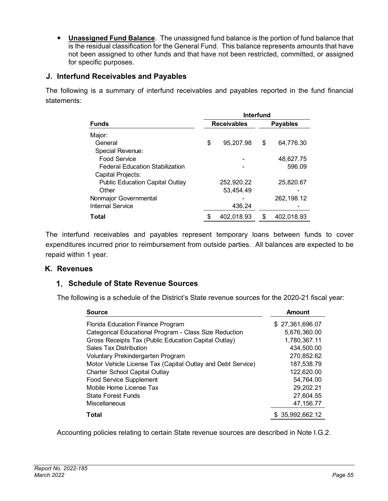**Unassigned Fund Balance**. The unassigned fund balance is the portion of fund balance that is the residual classification for the General Fund. This balance represents amounts that have not been assigned to other funds and that have not been restricted, committed, or assigned for specific purposes.

#### **J. Interfund Receivables and Payables**

The following is a summary of interfund receivables and payables reported in the fund financial statements:

|                                        | <b>Interfund</b> |                    |                 |            |  |
|----------------------------------------|------------------|--------------------|-----------------|------------|--|
| <b>Funds</b>                           |                  | <b>Receivables</b> | <b>Payables</b> |            |  |
| Major:                                 |                  |                    |                 |            |  |
| General                                | \$               | 95,207.98          | \$              | 64,776.30  |  |
| Special Revenue:                       |                  |                    |                 |            |  |
| Food Service                           |                  |                    |                 | 48,627.75  |  |
| <b>Federal Education Stabilization</b> |                  |                    |                 | 596.09     |  |
| Capital Projects:                      |                  |                    |                 |            |  |
| <b>Public Education Capital Outlay</b> |                  | 252,920.22         |                 | 25,820.67  |  |
| Other                                  |                  | 53,454.49          |                 |            |  |
| Nonmajor Governmental                  |                  |                    |                 | 262,198.12 |  |
| <b>Internal Service</b>                |                  | 436.24             |                 |            |  |
| Total                                  | \$               | 402,018.93         | \$              | 402,018.93 |  |

The interfund receivables and payables represent temporary loans between funds to cover expenditures incurred prior to reimbursement from outside parties. All balances are expected to be repaid within 1 year.

#### **K. Revenues**

#### **Schedule of State Revenue Sources**

The following is a schedule of the District's State revenue sources for the 2020-21 fiscal year:

| <b>Source</b>                                               | Amount          |
|-------------------------------------------------------------|-----------------|
| Florida Education Finance Program                           | \$27,361,696.07 |
| Categorical Educational Program - Class Size Reduction      | 5,676,360.00    |
| Gross Receipts Tax (Public Education Capital Outlay)        | 1,780,367.11    |
| <b>Sales Tax Distribution</b>                               | 434,500.00      |
| Voluntary Prekindergarten Program                           | 270,852.62      |
| Motor Vehicle License Tax (Capital Outlay and Debt Service) | 187,538.79      |
| <b>Charter School Capital Outlay</b>                        | 122,620.00      |
| Food Service Supplement                                     | 54,764.00       |
| Mobile Home License Tax                                     | 29,202.21       |
| <b>State Forest Funds</b>                                   | 27,604.55       |
| Miscellaneous                                               | 47,156.77       |
| Total                                                       | \$35,992,662.12 |

Accounting policies relating to certain State revenue sources are described in Note I.G.2.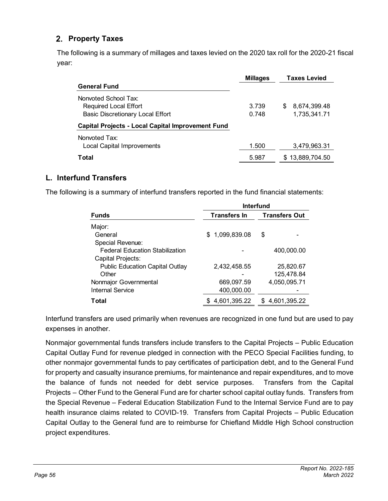## **Property Taxes**

The following is a summary of millages and taxes levied on the 2020 tax roll for the 2020-21 fiscal year:

|                                                          | <b>Millages</b> | <b>Taxes Levied</b> |  |
|----------------------------------------------------------|-----------------|---------------------|--|
| <b>General Fund</b>                                      |                 |                     |  |
| Nonvoted School Tax:                                     |                 |                     |  |
| Required Local Effort                                    | 3.739           | 8,674,399.48<br>S   |  |
| <b>Basic Discretionary Local Effort</b>                  | 0.748           | 1,735,341.71        |  |
| <b>Capital Projects - Local Capital Improvement Fund</b> |                 |                     |  |
| Nonvoted Tax:                                            |                 |                     |  |
| Local Capital Improvements                               | 1.500           | 3,479,963.31        |  |
| Total                                                    | 5.987           | \$13,889,704.50     |  |

#### **L. Interfund Transfers**

The following is a summary of interfund transfers reported in the fund financial statements:

|                                        | <b>Interfund</b>    |                      |  |  |
|----------------------------------------|---------------------|----------------------|--|--|
| <b>Funds</b>                           | <b>Transfers In</b> | <b>Transfers Out</b> |  |  |
| Major:                                 |                     |                      |  |  |
| General                                | \$1,099,839.08      | \$                   |  |  |
| Special Revenue:                       |                     |                      |  |  |
| <b>Federal Education Stabilization</b> |                     | 400,000.00           |  |  |
| Capital Projects:                      |                     |                      |  |  |
| <b>Public Education Capital Outlay</b> | 2,432,458.55        | 25,820.67            |  |  |
| Other                                  |                     | 125,478.84           |  |  |
| Nonmajor Governmental                  | 669,097.59          | 4,050,095.71         |  |  |
| Internal Service                       | 400,000.00          |                      |  |  |
| Total                                  | 4,601,395.22        | 4,601,395.22         |  |  |

Interfund transfers are used primarily when revenues are recognized in one fund but are used to pay expenses in another.

Nonmajor governmental funds transfers include transfers to the Capital Projects – Public Education Capital Outlay Fund for revenue pledged in connection with the PECO Special Facilities funding, to other nonmajor governmental funds to pay certificates of participation debt, and to the General Fund for property and casualty insurance premiums, for maintenance and repair expenditures, and to move the balance of funds not needed for debt service purposes. Transfers from the Capital Projects – Other Fund to the General Fund are for charter school capital outlay funds. Transfers from the Special Revenue – Federal Education Stabilization Fund to the Internal Service Fund are to pay health insurance claims related to COVID-19. Transfers from Capital Projects – Public Education Capital Outlay to the General fund are to reimburse for Chiefland Middle High School construction project expenditures.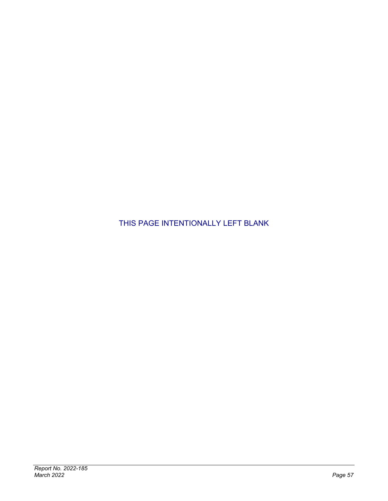THIS PAGE INTENTIONALLY LEFT BLANK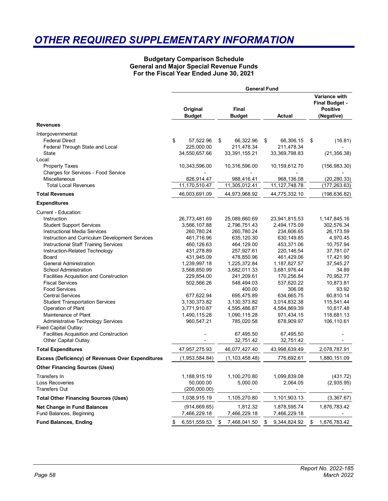# *OTHER REQUIRED SUPPLEMENTARY INFORMATION*

#### **Budgetary Comparison Schedule General and Major Special Revenue Funds For the Fiscal Year Ended June 30, 2021**

|                                                                                                                                                                                                                                                                                                                                                                                                                                                                                                                                                                                                                                                        | <b>General Fund</b>                                                                                                                                                                                                                         |                                                                                                                                                                                                                                                                    |                                                                                                                                                                                                                                                                   |                                                                                                                                                                                                                             |  |  |
|--------------------------------------------------------------------------------------------------------------------------------------------------------------------------------------------------------------------------------------------------------------------------------------------------------------------------------------------------------------------------------------------------------------------------------------------------------------------------------------------------------------------------------------------------------------------------------------------------------------------------------------------------------|---------------------------------------------------------------------------------------------------------------------------------------------------------------------------------------------------------------------------------------------|--------------------------------------------------------------------------------------------------------------------------------------------------------------------------------------------------------------------------------------------------------------------|-------------------------------------------------------------------------------------------------------------------------------------------------------------------------------------------------------------------------------------------------------------------|-----------------------------------------------------------------------------------------------------------------------------------------------------------------------------------------------------------------------------|--|--|
|                                                                                                                                                                                                                                                                                                                                                                                                                                                                                                                                                                                                                                                        | Original<br><b>Budget</b>                                                                                                                                                                                                                   | <b>Final</b><br><b>Budget</b>                                                                                                                                                                                                                                      | Actual                                                                                                                                                                                                                                                            | Variance with<br><b>Final Budget -</b><br><b>Positive</b><br>(Negative)                                                                                                                                                     |  |  |
| <b>Revenues</b>                                                                                                                                                                                                                                                                                                                                                                                                                                                                                                                                                                                                                                        |                                                                                                                                                                                                                                             |                                                                                                                                                                                                                                                                    |                                                                                                                                                                                                                                                                   |                                                                                                                                                                                                                             |  |  |
| Intergovernmental:<br><b>Federal Direct</b><br>Federal Through State and Local<br>State                                                                                                                                                                                                                                                                                                                                                                                                                                                                                                                                                                | \$<br>57,522.96<br>225,000.00<br>34,550,657.66                                                                                                                                                                                              | \$<br>66,322.96<br>211,478.34<br>33,391,155.21                                                                                                                                                                                                                     | \$<br>66,306.15<br>211,478.34<br>33,369,798.83                                                                                                                                                                                                                    | \$<br>(16.81)<br>(21, 356.38)                                                                                                                                                                                               |  |  |
| Local:<br><b>Property Taxes</b><br>Charges for Services - Food Service<br><b>Miscellaneous</b><br><b>Total Local Revenues</b>                                                                                                                                                                                                                                                                                                                                                                                                                                                                                                                          | 10,343,596.00<br>826,914.47<br>11,170,510.47                                                                                                                                                                                                | 10,316,596.00<br>988,416.41<br>11,305,012.41                                                                                                                                                                                                                       | 10,159,612.70<br>968,136.08<br>11, 127, 748.78                                                                                                                                                                                                                    | (156, 983.30)<br>(20, 280.33)<br>(177, 263.63)                                                                                                                                                                              |  |  |
| <b>Total Revenues</b>                                                                                                                                                                                                                                                                                                                                                                                                                                                                                                                                                                                                                                  | 46,003,691.09                                                                                                                                                                                                                               | 44,973,968.92                                                                                                                                                                                                                                                      | 44,775,332.10                                                                                                                                                                                                                                                     | (198, 636.82)                                                                                                                                                                                                               |  |  |
| <b>Expenditures</b>                                                                                                                                                                                                                                                                                                                                                                                                                                                                                                                                                                                                                                    |                                                                                                                                                                                                                                             |                                                                                                                                                                                                                                                                    |                                                                                                                                                                                                                                                                   |                                                                                                                                                                                                                             |  |  |
|                                                                                                                                                                                                                                                                                                                                                                                                                                                                                                                                                                                                                                                        |                                                                                                                                                                                                                                             |                                                                                                                                                                                                                                                                    |                                                                                                                                                                                                                                                                   |                                                                                                                                                                                                                             |  |  |
| Current - Education:<br>Instruction<br><b>Student Support Services</b><br><b>Instructional Media Services</b><br>Instruction and Curriculum Development Services<br>Instructional Staff Training Services<br>Instruction-Related Technology<br>Board<br><b>General Administration</b><br><b>School Administration</b><br>Facilities Acquisition and Construction<br><b>Fiscal Services</b><br><b>Food Services</b><br><b>Central Services</b><br><b>Student Transportation Services</b><br>Operation of Plant<br>Maintenance of Plant<br><b>Administrative Technology Services</b><br>Fixed Capital Outlay:<br>Facilities Acquisition and Construction | 26,773,481.69<br>3,566,107.88<br>260,780.24<br>461,716.96<br>460,126.63<br>431,278.89<br>431,945.09<br>1,239,997.18<br>3,568,850.99<br>229,854.00<br>502,566.26<br>677,622.94<br>3,130,373.82<br>3,771,910.87<br>1,490,115.28<br>960,547.21 | 25,089,660.69<br>2,796,751.43<br>260,780.24<br>635,120.30<br>464,129.00<br>257,927.61<br>478,850.96<br>1,225,372.84<br>3,682,011.33<br>241,209.61<br>548,494.03<br>400.00<br>695,475.89<br>3,130,373.82<br>4,595,486.87<br>1,090,115.28<br>785,020.58<br>67,495.50 | 23,941,815.53<br>2,494,175.09<br>234,606.65<br>630,149.85<br>453,371.06<br>220, 146.54<br>461,429.06<br>1,187,827.57<br>3,681,976.44<br>170,256.84<br>537,620.22<br>306.08<br>634,665.75<br>3,014,832.38<br>4,584,869.39<br>971,434.15<br>678,909.97<br>67,495.50 | 1, 147, 845. 16<br>302,576.34<br>26, 173.59<br>4,970.45<br>10,757.94<br>37,781.07<br>17,421.90<br>37,545.27<br>34.89<br>70,952.77<br>10,873.81<br>93.92<br>60,810.14<br>115,541.44<br>10,617.48<br>118,681.13<br>106,110.61 |  |  |
| Other Capital Outlay                                                                                                                                                                                                                                                                                                                                                                                                                                                                                                                                                                                                                                   |                                                                                                                                                                                                                                             | 32,751.42                                                                                                                                                                                                                                                          | 32,751.42                                                                                                                                                                                                                                                         |                                                                                                                                                                                                                             |  |  |
| <b>Total Expenditures</b>                                                                                                                                                                                                                                                                                                                                                                                                                                                                                                                                                                                                                              | 47,957,275.93                                                                                                                                                                                                                               | 46,077,427.40                                                                                                                                                                                                                                                      | 43,998,639.49                                                                                                                                                                                                                                                     | 2,078,787.91                                                                                                                                                                                                                |  |  |
| <b>Excess (Deficiency) of Revenues Over Expenditures</b>                                                                                                                                                                                                                                                                                                                                                                                                                                                                                                                                                                                               | (1,953,584.84)                                                                                                                                                                                                                              | (1, 103, 458.48)                                                                                                                                                                                                                                                   | 776,692.61                                                                                                                                                                                                                                                        | 1,880,151.09                                                                                                                                                                                                                |  |  |
| <b>Other Financing Sources (Uses)</b>                                                                                                                                                                                                                                                                                                                                                                                                                                                                                                                                                                                                                  |                                                                                                                                                                                                                                             |                                                                                                                                                                                                                                                                    |                                                                                                                                                                                                                                                                   |                                                                                                                                                                                                                             |  |  |
| Transfers In<br><b>Loss Recoveries</b><br><b>Transfers Out</b>                                                                                                                                                                                                                                                                                                                                                                                                                                                                                                                                                                                         | 1,188,915.19<br>50,000.00<br>(200,000.00)                                                                                                                                                                                                   | 1,100,270.80<br>5,000.00<br>$\overline{\phantom{a}}$                                                                                                                                                                                                               | 1,099,839.08<br>2,064.05                                                                                                                                                                                                                                          | (431.72)<br>(2,935.95)<br>-                                                                                                                                                                                                 |  |  |
| <b>Total Other Financing Sources (Uses)</b>                                                                                                                                                                                                                                                                                                                                                                                                                                                                                                                                                                                                            | 1,038,915.19                                                                                                                                                                                                                                | 1,105,270.80                                                                                                                                                                                                                                                       | 1,101,903.13                                                                                                                                                                                                                                                      | (3,367.67)                                                                                                                                                                                                                  |  |  |
| <b>Net Change in Fund Balances</b><br>Fund Balances, Beginning                                                                                                                                                                                                                                                                                                                                                                                                                                                                                                                                                                                         | (914, 669.65)<br>7,466,229.18                                                                                                                                                                                                               | 1,812.32<br>7,466,229.18                                                                                                                                                                                                                                           | 1,878,595.74<br>7,466,229.18                                                                                                                                                                                                                                      | 1,876,783.42                                                                                                                                                                                                                |  |  |
| <b>Fund Balances, Ending</b>                                                                                                                                                                                                                                                                                                                                                                                                                                                                                                                                                                                                                           | 6,551,559.53<br>\$                                                                                                                                                                                                                          | \$<br>7,468,041.50                                                                                                                                                                                                                                                 | 9,344,824.92<br>\$                                                                                                                                                                                                                                                | 1,876,783.42<br>\$                                                                                                                                                                                                          |  |  |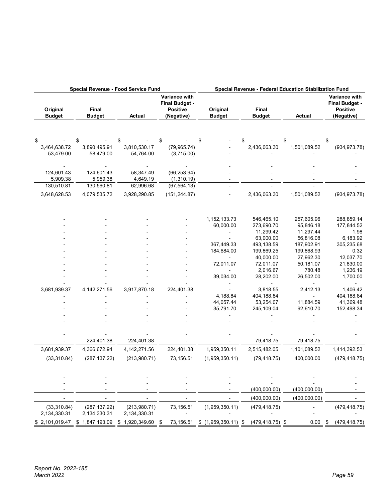|                           |                        | Special Revenue - Food Service Fund |                                                                         | Special Revenue - Federal Education Stabilization Fund |                        |                |                                                                         |
|---------------------------|------------------------|-------------------------------------|-------------------------------------------------------------------------|--------------------------------------------------------|------------------------|----------------|-------------------------------------------------------------------------|
| Original<br><b>Budget</b> | Final<br><b>Budget</b> | <b>Actual</b>                       | Variance with<br><b>Final Budget -</b><br><b>Positive</b><br>(Negative) | Original<br><b>Budget</b>                              | Final<br><b>Budget</b> | <b>Actual</b>  | <b>Variance with</b><br>Final Budget -<br><b>Positive</b><br>(Negative) |
|                           |                        |                                     |                                                                         |                                                        |                        |                |                                                                         |
|                           |                        |                                     |                                                                         |                                                        |                        |                |                                                                         |
| \$                        | \$                     | \$                                  | \$                                                                      | \$                                                     | \$                     | \$             | \$                                                                      |
| 3,464,638.72              | 3,890,495.91           | 3,810,530.17                        | (79,965.74)                                                             |                                                        | 2,436,063.30           | 1,501,089.52   | (934, 973.78)                                                           |
| 53,479.00                 | 58,479.00              | 54,764.00                           | (3,715.00)                                                              |                                                        |                        |                |                                                                         |
|                           |                        |                                     |                                                                         |                                                        |                        |                |                                                                         |
| 124,601.43                | 124,601.43             | 58,347.49                           | (66, 253.94)                                                            |                                                        |                        |                |                                                                         |
| 5,909.38                  | 5,959.38               | 4,649.19                            | (1,310.19)                                                              |                                                        |                        |                |                                                                         |
| 130,510.81                | 130,560.81             | 62,996.68                           | (67, 564.13)                                                            | $\blacksquare$                                         |                        |                |                                                                         |
| 3,648,628.53              | 4,079,535.72           | 3,928,290.85                        | (151, 244.87)                                                           |                                                        | 2,436,063.30           | 1,501,089.52   | (934, 973.78)                                                           |
|                           |                        |                                     |                                                                         |                                                        |                        |                |                                                                         |
|                           |                        |                                     |                                                                         | 1, 152, 133.73                                         | 546,465.10             | 257,605.96     | 288,859.14                                                              |
|                           |                        |                                     |                                                                         | 60,000.00                                              | 273,690.70             | 95,846.18      | 177,844.52                                                              |
|                           |                        |                                     |                                                                         |                                                        | 11,299.42              | 11,297.44      | 1.98                                                                    |
|                           |                        |                                     |                                                                         |                                                        | 63,000.00              | 56,816.08      | 6,183.92                                                                |
|                           |                        |                                     |                                                                         | 367,449.33                                             | 493, 138.59            | 187,902.91     | 305,235.68                                                              |
|                           |                        |                                     |                                                                         | 184,684.00                                             | 199,869.25             | 199,868.93     | 0.32                                                                    |
|                           |                        |                                     |                                                                         |                                                        | 40,000.00              | 27,962.30      | 12,037.70                                                               |
|                           |                        |                                     |                                                                         | 72,011.07                                              | 72,011.07              | 50,181.07      | 21,830.00                                                               |
|                           |                        |                                     |                                                                         |                                                        | 2,016.67               | 780.48         | 1,236.19                                                                |
|                           |                        |                                     |                                                                         | 39,034.00                                              | 28,202.00              | 26,502.00      | 1,700.00                                                                |
| 3,681,939.37              | 4, 142, 271.56         | 3,917,870.18                        | 224,401.38                                                              |                                                        | 3,818.55               | 2,412.13       | 1,406.42                                                                |
|                           |                        |                                     |                                                                         | 4,188.84                                               | 404,188.84             | $\blacksquare$ | 404,188.84                                                              |
|                           |                        |                                     |                                                                         | 44,057.44                                              | 53,254.07              | 11,884.59      | 41,369.48                                                               |
|                           |                        |                                     |                                                                         | 35,791.70                                              | 245,109.04             | 92,610.70      | 152,498.34                                                              |
|                           |                        |                                     |                                                                         |                                                        |                        |                |                                                                         |
|                           |                        |                                     |                                                                         |                                                        |                        |                |                                                                         |
|                           |                        |                                     |                                                                         |                                                        |                        |                |                                                                         |
|                           | 224,401.38             | 224,401.38                          |                                                                         |                                                        | 79,418.75              | 79,418.75      |                                                                         |
| 3,681,939.37              | 4,366,672.94           | 4, 142, 271.56                      | 224,401.38                                                              | 1,959,350.11                                           | 2,515,482.05           | 1,101,089.52   | 1,414,392.53                                                            |
|                           |                        |                                     |                                                                         |                                                        |                        |                |                                                                         |
| (33, 310.84)              | (287, 137.22)          | (213,980.71)                        | 73,156.51                                                               | (1,959,350.11)                                         | (79, 418.75)           | 400,000.00     | (479, 418.75)                                                           |
|                           |                        |                                     |                                                                         |                                                        |                        |                |                                                                         |
|                           |                        |                                     |                                                                         |                                                        |                        |                |                                                                         |
|                           |                        |                                     |                                                                         |                                                        | (400,000.00)           | (400,000.00)   |                                                                         |
|                           |                        |                                     |                                                                         |                                                        | (400,000.00)           | (400,000.00)   |                                                                         |
| (33, 310.84)              | (287, 137.22)          | (213,980.71)                        | 73,156.51                                                               | (1,959,350.11)                                         | (479, 418.75)          |                | (479, 418.75)                                                           |
| 2,134,330.31              | 2,134,330.31           | 2,134,330.31                        |                                                                         |                                                        |                        |                |                                                                         |
| \$2,101,019.47            | \$1,847,193.09         | \$1,920,349.60                      | 73,156.51<br>- \$                                                       | $$(1,959,350.11)$ \\$                                  | $(479, 418.75)$ \$     | 0.00           | (479, 418.75)<br>\$                                                     |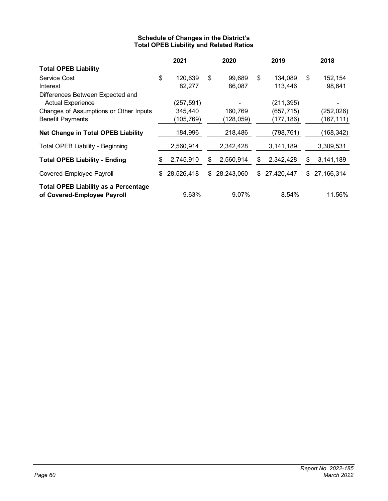#### **Schedule of Changes in the District's Total OPEB Liability and Related Ratios**

|                                                                            |    | 2021       |     | 2020       |    | 2019       |     | 2018       |
|----------------------------------------------------------------------------|----|------------|-----|------------|----|------------|-----|------------|
| <b>Total OPEB Liability</b>                                                |    |            |     |            |    |            |     |            |
| Service Cost                                                               | \$ | 120,639    | \$  | 99,689     | \$ | 134,089    | \$  | 152,154    |
| Interest                                                                   |    | 82,277     |     | 86,087     |    | 113,446    |     | 98,641     |
| Differences Between Expected and                                           |    |            |     |            |    |            |     |            |
| <b>Actual Experience</b>                                                   |    | (257, 591) |     |            |    | (211, 395) |     |            |
| Changes of Assumptions or Other Inputs                                     |    | 345,440    |     | 160,769    |    | (657, 715) |     | (252, 026) |
| <b>Benefit Payments</b>                                                    |    | (105, 769) |     | (128, 059) |    | (177, 186) |     | (167, 111) |
| <b>Net Change in Total OPEB Liability</b>                                  |    | 184,996    |     | 218,486    |    | (798, 761) |     | (168, 342) |
| Total OPEB Liability - Beginning                                           |    | 2,560,914  |     | 2,342,428  |    | 3,141,189  |     | 3,309,531  |
| <b>Total OPEB Liability - Ending</b>                                       | S  | 2,745,910  | S   | 2,560,914  | \$ | 2,342,428  | \$  | 3,141,189  |
| Covered-Employee Payroll                                                   | \$ | 28,526,418 | \$. | 28,243,060 | S. | 27,420,447 | \$. | 27,166,314 |
| <b>Total OPEB Liability as a Percentage</b><br>of Covered-Employee Payroll |    | 9.63%      |     | 9.07%      |    | 8.54%      |     | 11.56%     |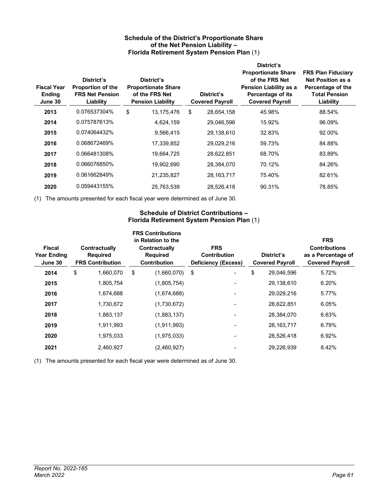#### **Schedule of the District's Proportionate Share of the Net Pension Liability – Florida Retirement System Pension Plan** (1)

| <b>Fiscal Year</b><br><b>Ending</b><br>June 30 | District's<br><b>Proportion of the</b><br><b>FRS Net Pension</b><br>Liability | District's<br><b>Proportionate Share</b><br>of the FRS Net<br><b>Pension Liability</b> | District's<br><b>Covered Payroll</b> | District's<br><b>Proportionate Share</b><br>of the FRS Net<br>Pension Liability as a<br>Percentage of its<br><b>Covered Payroll</b> | <b>FRS Plan Fiduciary</b><br>Net Position as a<br>Percentage of the<br><b>Total Pension</b><br>Liability |
|------------------------------------------------|-------------------------------------------------------------------------------|----------------------------------------------------------------------------------------|--------------------------------------|-------------------------------------------------------------------------------------------------------------------------------------|----------------------------------------------------------------------------------------------------------|
| 2013                                           | 0.076537304%                                                                  | \$<br>13, 175, 476                                                                     | \$<br>28,654,158                     | 45.98%                                                                                                                              | 88.54%                                                                                                   |
| 2014                                           | 0.075787613%                                                                  | 4,624,159                                                                              | 29,046,596                           | 15.92%                                                                                                                              | 96.09%                                                                                                   |
| 2015                                           | 0.074064432%                                                                  | 9,566,415                                                                              | 29.138.610                           | 32.83%                                                                                                                              | 92.00%                                                                                                   |
| 2016                                           | 0.068672469%                                                                  | 17,339,852                                                                             | 29,029,216                           | 59.73%                                                                                                                              | 84.88%                                                                                                   |
| 2017                                           | 0.066481308%                                                                  | 19,664,725                                                                             | 28,622,851                           | 68.70%                                                                                                                              | 83.89%                                                                                                   |
| 2018                                           | 0.066076850%                                                                  | 19,902,690                                                                             | 28,384,070                           | 70.12%                                                                                                                              | 84.26%                                                                                                   |
| 2019                                           | 0.061662849%                                                                  | 21,235,827                                                                             | 28, 163, 717                         | 75.40%                                                                                                                              | 82.61%                                                                                                   |
| 2020                                           | 0.059443155%                                                                  | 25,763,539                                                                             | 28,526,418                           | 90.31%                                                                                                                              | 78.85%                                                                                                   |

(1) The amounts presented for each fiscal year were determined as of June 30.

#### **Schedule of District Contributions – Florida Retirement System Pension Plan** (1)

| <b>Fiscal</b><br><b>Year Ending</b><br>June 30 | Contractually<br><b>Required</b><br><b>FRS Contribution</b> | <b>FRS Contributions</b><br>in Relation to the<br>Contractually<br><b>Required</b><br><b>Contribution</b> |     | <b>FRS</b><br><b>Contribution</b><br><b>Deficiency (Excess)</b> | District's<br><b>Covered Payroll</b> | <b>FRS</b><br><b>Contributions</b><br>as a Percentage of<br><b>Covered Payroll</b> |
|------------------------------------------------|-------------------------------------------------------------|-----------------------------------------------------------------------------------------------------------|-----|-----------------------------------------------------------------|--------------------------------------|------------------------------------------------------------------------------------|
| 2014                                           | \$<br>1,660,070                                             | \$<br>(1,660,070)                                                                                         | -\$ |                                                                 | \$<br>29,046,596                     | 5.72%                                                                              |
| 2015                                           | 1,805,754                                                   | (1,805,754)                                                                                               |     |                                                                 | 29.138.610                           | 6.20%                                                                              |
| 2016                                           | 1,674,688                                                   | (1,674,688)                                                                                               |     |                                                                 | 29,029,216                           | 5.77%                                                                              |
| 2017                                           | 1,730,672                                                   | (1,730,672)                                                                                               |     |                                                                 | 28,622,851                           | 6.05%                                                                              |
| 2018                                           | 1,883,137                                                   | (1,883,137)                                                                                               |     |                                                                 | 28,384,070                           | 6.63%                                                                              |
| 2019                                           | 1,911,993                                                   | (1, 911, 993)                                                                                             |     |                                                                 | 28, 163, 717                         | 6.79%                                                                              |
| 2020                                           | 1,975,033                                                   | (1,975,033)                                                                                               |     |                                                                 | 28,526,418                           | 6.92%                                                                              |
| 2021                                           | 2,460,927                                                   | (2,460,927)                                                                                               |     |                                                                 | 29,226,939                           | 8.42%                                                                              |
|                                                |                                                             |                                                                                                           |     |                                                                 |                                      |                                                                                    |

(1) The amounts presented for each fiscal year were determined as of June 30.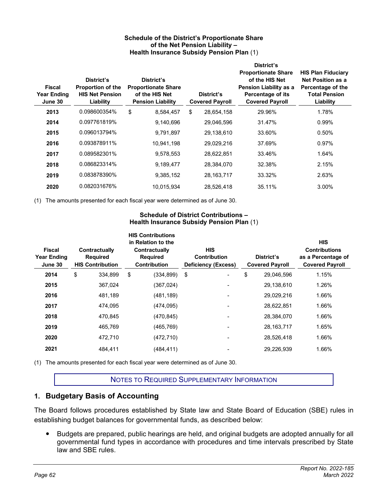#### **Schedule of the District's Proportionate Share of the Net Pension Liability – Health Insurance Subsidy Pension Plan** (1)

| <b>Fiscal</b><br><b>Year Ending</b><br>June 30 | District's<br><b>Proportion of the</b><br><b>HIS Net Pension</b><br>Liability | District's<br><b>Proportionate Share</b><br>of the HIS Net<br><b>Pension Liability</b> |            | District's<br><b>Covered Payroll</b> |              | District's<br><b>Proportionate Share</b><br>of the HIS Net<br>Pension Liability as a<br>Percentage of its<br><b>Covered Payroll</b> | <b>HIS Plan Fiduciary</b><br>Net Position as a<br>Percentage of the<br><b>Total Pension</b><br>Liability |  |
|------------------------------------------------|-------------------------------------------------------------------------------|----------------------------------------------------------------------------------------|------------|--------------------------------------|--------------|-------------------------------------------------------------------------------------------------------------------------------------|----------------------------------------------------------------------------------------------------------|--|
| 2013                                           | 0.098600354%                                                                  | \$                                                                                     | 8,584,457  | \$                                   | 28,654,158   | 29.96%                                                                                                                              | 1.78%                                                                                                    |  |
| 2014                                           | 0.097761819%                                                                  |                                                                                        | 9,140,696  |                                      | 29.046.596   | 31.47%                                                                                                                              | 0.99%                                                                                                    |  |
| 2015                                           | 0.096013794%                                                                  |                                                                                        | 9,791,897  |                                      | 29,138,610   | 33.60%                                                                                                                              | 0.50%                                                                                                    |  |
| 2016                                           | 0.093878911%                                                                  |                                                                                        | 10.941.198 |                                      | 29,029,216   | 37.69%                                                                                                                              | 0.97%                                                                                                    |  |
| 2017                                           | 0.089582301%                                                                  |                                                                                        | 9,578,553  |                                      | 28,622,851   | 33.46%                                                                                                                              | 1.64%                                                                                                    |  |
| 2018                                           | 0.086823314%                                                                  |                                                                                        | 9,189,477  |                                      | 28,384,070   | 32.38%                                                                                                                              | 2.15%                                                                                                    |  |
| 2019                                           | 0.083878390%                                                                  |                                                                                        | 9,385,152  |                                      | 28, 163, 717 | 33.32%                                                                                                                              | 2.63%                                                                                                    |  |
| 2020                                           | 0.082031676%                                                                  |                                                                                        | 10,015,934 |                                      | 28,526,418   | 35.11%                                                                                                                              | 3.00%                                                                                                    |  |

(1) The amounts presented for each fiscal year were determined as of June 30.

#### **Schedule of District Contributions – Health Insurance Subsidy Pension Plan** (1)

| <b>Fiscal</b><br><b>Year Ending</b><br>June 30 | Contractually<br><b>Required</b><br><b>HIS Contribution</b> | <b>HIS Contributions</b><br>in Relation to the<br>Contractually<br><b>Required</b><br><b>Contribution</b> | <b>HIS</b><br><b>Contribution</b><br>Deficiency (Excess) | District's<br><b>Covered Payroll</b> | <b>HIS</b><br><b>Contributions</b><br>as a Percentage of<br><b>Covered Payroll</b> |
|------------------------------------------------|-------------------------------------------------------------|-----------------------------------------------------------------------------------------------------------|----------------------------------------------------------|--------------------------------------|------------------------------------------------------------------------------------|
| 2014                                           | \$<br>334.899                                               | \$<br>(334,899)                                                                                           | -\$                                                      | \$<br>29.046.596                     | 1.15%                                                                              |
| 2015                                           | 367,024                                                     | (367, 024)                                                                                                |                                                          | 29,138,610                           | 1.26%                                                                              |
| 2016                                           | 481.189                                                     | (481, 189)                                                                                                |                                                          | 29,029,216                           | 1.66%                                                                              |
| 2017                                           | 474.095                                                     | (474, 095)                                                                                                |                                                          | 28,622,851                           | 1.66%                                                                              |
| 2018                                           | 470,845                                                     | (470, 845)                                                                                                |                                                          | 28,384,070                           | 1.66%                                                                              |
| 2019                                           | 465.769                                                     | (465, 769)                                                                                                |                                                          | 28, 163, 717                         | 1.65%                                                                              |
| 2020                                           | 472,710                                                     | (472, 710)                                                                                                |                                                          | 28,526,418                           | 1.66%                                                                              |
| 2021                                           | 484,411                                                     | (484, 411)                                                                                                |                                                          | 29,226,939                           | 1.66%                                                                              |
|                                                |                                                             |                                                                                                           |                                                          |                                      |                                                                                    |

(1) The amounts presented for each fiscal year were determined as of June 30.

#### NOTES TO REQUIRED SUPPLEMENTARY INFORMATION

#### **1. Budgetary Basis of Accounting**

The Board follows procedures established by State law and State Board of Education (SBE) rules in establishing budget balances for governmental funds, as described below:

 Budgets are prepared, public hearings are held, and original budgets are adopted annually for all governmental fund types in accordance with procedures and time intervals prescribed by State law and SBE rules.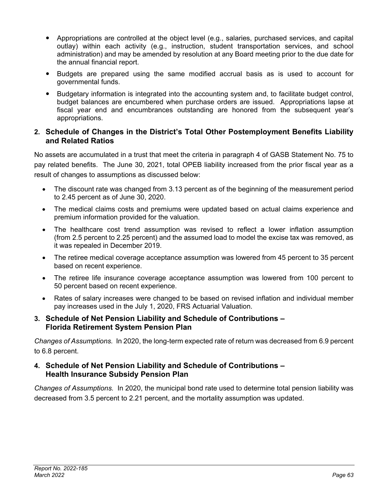- Appropriations are controlled at the object level (e.g., salaries, purchased services, and capital outlay) within each activity (e.g., instruction, student transportation services, and school administration) and may be amended by resolution at any Board meeting prior to the due date for the annual financial report.
- Budgets are prepared using the same modified accrual basis as is used to account for governmental funds.
- Budgetary information is integrated into the accounting system and, to facilitate budget control, budget balances are encumbered when purchase orders are issued. Appropriations lapse at fiscal year end and encumbrances outstanding are honored from the subsequent year's appropriations.

#### **2. Schedule of Changes in the District's Total Other Postemployment Benefits Liability and Related Ratios**

No assets are accumulated in a trust that meet the criteria in paragraph 4 of GASB Statement No. 75 to pay related benefits. The June 30, 2021, total OPEB liability increased from the prior fiscal year as a result of changes to assumptions as discussed below:

- The discount rate was changed from 3.13 percent as of the beginning of the measurement period to 2.45 percent as of June 30, 2020.
- The medical claims costs and premiums were updated based on actual claims experience and premium information provided for the valuation.
- The healthcare cost trend assumption was revised to reflect a lower inflation assumption (from 2.5 percent to 2.25 percent) and the assumed load to model the excise tax was removed, as it was repealed in December 2019.
- The retiree medical coverage acceptance assumption was lowered from 45 percent to 35 percent based on recent experience.
- The retiree life insurance coverage acceptance assumption was lowered from 100 percent to 50 percent based on recent experience.
- Rates of salary increases were changed to be based on revised inflation and individual member pay increases used in the July 1, 2020, FRS Actuarial Valuation.

#### **3. Schedule of Net Pension Liability and Schedule of Contributions – Florida Retirement System Pension Plan**

*Changes of Assumptions.* In 2020, the long-term expected rate of return was decreased from 6.9 percent to 6.8 percent.

#### **4. Schedule of Net Pension Liability and Schedule of Contributions – Health Insurance Subsidy Pension Plan**

*Changes of Assumptions.* In 2020, the municipal bond rate used to determine total pension liability was decreased from 3.5 percent to 2.21 percent, and the mortality assumption was updated.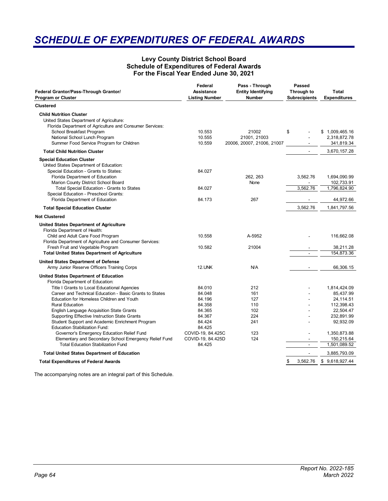## *SCHEDULE OF EXPENDITURES OF FEDERAL AWARDS*

#### **Levy County District School Board Schedule of Expenditures of Federal Awards For the Fiscal Year Ended June 30, 2021**

| <b>Clustered</b>                                                                                                                                                                                                                                                                                                                                                                                                                                                                                                                                                                                                                                                                                                                                |                                                                                                                                            |
|-------------------------------------------------------------------------------------------------------------------------------------------------------------------------------------------------------------------------------------------------------------------------------------------------------------------------------------------------------------------------------------------------------------------------------------------------------------------------------------------------------------------------------------------------------------------------------------------------------------------------------------------------------------------------------------------------------------------------------------------------|--------------------------------------------------------------------------------------------------------------------------------------------|
| <b>Child Nutrition Cluster</b><br>United States Department of Agriculture:<br>Florida Department of Agriculture and Consumer Services:<br>School Breakfast Program<br>21002<br>\$<br>10.553<br>National School Lunch Program<br>10.555<br>21001, 21003<br>Summer Food Service Program for Children<br>10.559<br>20006, 20007, 21006, 21007<br>$\overline{\phantom{a}}$                                                                                                                                                                                                                                                                                                                                                                          | \$1,009,465.16<br>2,318,872.78<br>341,819.34                                                                                               |
| <b>Total Child Nutrition Cluster</b><br>$\overline{\phantom{a}}$                                                                                                                                                                                                                                                                                                                                                                                                                                                                                                                                                                                                                                                                                | 3,670,157.28                                                                                                                               |
| <b>Special Education Cluster</b><br>United States Department of Education:<br>Special Education - Grants to States:<br>84.027<br>Florida Department of Education<br>262, 263<br>3,562.76<br>Marion County District School Board<br>None<br>3,562.76<br>Total Special Education - Grants to States<br>84.027<br>Special Education - Preschool Grants:<br>Florida Department of Education<br>84.173<br>267                                                                                                                                                                                                                                                                                                                                        | 1,694,090.99<br>102,733.91<br>1,796,824.90<br>44,972.66                                                                                    |
| 3,562.76<br><b>Total Special Education Cluster</b>                                                                                                                                                                                                                                                                                                                                                                                                                                                                                                                                                                                                                                                                                              | 1,841,797.56                                                                                                                               |
| <b>Not Clustered</b>                                                                                                                                                                                                                                                                                                                                                                                                                                                                                                                                                                                                                                                                                                                            |                                                                                                                                            |
| <b>United States Department of Agriculture</b>                                                                                                                                                                                                                                                                                                                                                                                                                                                                                                                                                                                                                                                                                                  |                                                                                                                                            |
| Florida Department of Health:<br>10.558<br>A-5952<br>Child and Adult Care Food Program<br>Florida Department of Agriculture and Consumer Services:<br>21004<br>Fresh Fruit and Vegetable Program<br>10.582<br><b>Total United States Department of Agriculture</b><br>$\overline{a}$                                                                                                                                                                                                                                                                                                                                                                                                                                                            | 116,662.08<br>38.211.28<br>154,873.36                                                                                                      |
| <b>United States Department of Defense</b>                                                                                                                                                                                                                                                                                                                                                                                                                                                                                                                                                                                                                                                                                                      |                                                                                                                                            |
| Army Junior Reserve Officers Training Corps<br><b>12.UNK</b><br>N/A                                                                                                                                                                                                                                                                                                                                                                                                                                                                                                                                                                                                                                                                             | 66.306.15                                                                                                                                  |
| <b>United States Department of Education</b><br>Florida Department of Education:                                                                                                                                                                                                                                                                                                                                                                                                                                                                                                                                                                                                                                                                |                                                                                                                                            |
| Title I Grants to Local Educational Agencies<br>84.010<br>212<br>Career and Technical Education - Basic Grants to States<br>84.048<br>161<br>Education for Homeless Children and Youth<br>84.196<br>127<br><b>Rural Education</b><br>84.358<br>110<br><b>English Language Acquisition State Grants</b><br>84.365<br>102<br>Supporting Effective Instruction State Grants<br>84.367<br>224<br>Student Support and Academic Enrichment Program<br>84.424<br>241<br><b>Education Stabilization Fund:</b><br>84.425<br>Governor's Emergency Education Relief Fund<br>COVID-19, 84.425C<br>123<br>124<br>Elementary and Secondary School Emergency Relief Fund<br>COVID-19, 84.425D<br><b>Total Education Stabilization Fund</b><br>84.425<br>$\sim$ | 1,814,424.09<br>85,437.99<br>24,114.51<br>112,398.43<br>22,504.47<br>232,891.99<br>92,932.09<br>1,350,873.88<br>150,215.64<br>1,501,089.52 |
| <b>Total United States Department of Education</b><br>$\blacksquare$                                                                                                                                                                                                                                                                                                                                                                                                                                                                                                                                                                                                                                                                            | 3,885,793.09                                                                                                                               |
| \$<br>3,562.76<br><b>Total Expenditures of Federal Awards</b>                                                                                                                                                                                                                                                                                                                                                                                                                                                                                                                                                                                                                                                                                   | \$9,618,927.44                                                                                                                             |

The accompanying notes are an integral part of this Schedule.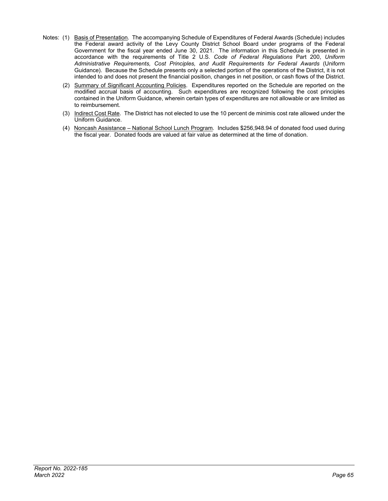- Notes: (1) Basis of Presentation. The accompanying Schedule of Expenditures of Federal Awards (Schedule) includes the Federal award activity of the Levy County District School Board under programs of the Federal Government for the fiscal year ended June 30, 2021. The information in this Schedule is presented in accordance with the requirements of Title 2 U.S. *Code of Federal Regulations* Part 200, *Uniform Administrative Requirements, Cost Principles, and Audit Requirements for Federal Awards* (Uniform Guidance). Because the Schedule presents only a selected portion of the operations of the District, it is not intended to and does not present the financial position, changes in net position, or cash flows of the District.
	- (2) Summary of Significant Accounting Policies. Expenditures reported on the Schedule are reported on the modified accrual basis of accounting. Such expenditures are recognized following the cost principles contained in the Uniform Guidance, wherein certain types of expenditures are not allowable or are limited as to reimbursement.
	- (3) Indirect Cost Rate. The District has not elected to use the 10 percent de minimis cost rate allowed under the Uniform Guidance.
	- (4) Noncash Assistance National School Lunch Program. Includes \$256,948.94 of donated food used during the fiscal year. Donated foods are valued at fair value as determined at the time of donation.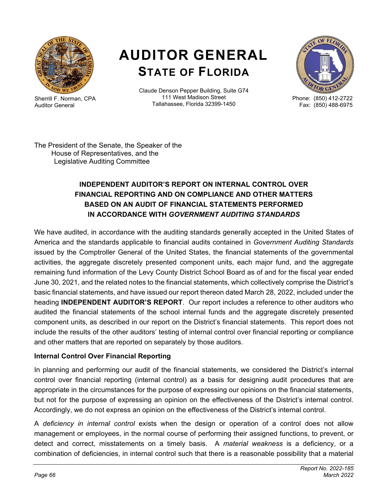

Sherrill F. Norman, CPA Auditor General

# **AUDITOR GENERAL STATE OF FLORIDA**

Claude Denson Pepper Building, Suite G74 111 West Madison Street Tallahassee, Florida 32399-1450



Phone: (850) 412-2722 Fax: (850) 488-6975

The President of the Senate, the Speaker of the House of Representatives, and the Legislative Auditing Committee

## **INDEPENDENT AUDITOR'S REPORT ON INTERNAL CONTROL OVER FINANCIAL REPORTING AND ON COMPLIANCE AND OTHER MATTERS BASED ON AN AUDIT OF FINANCIAL STATEMENTS PERFORMED IN ACCORDANCE WITH** *GOVERNMENT AUDITING STANDARDS*

We have audited, in accordance with the auditing standards generally accepted in the United States of America and the standards applicable to financial audits contained in *Government Auditing Standards* issued by the Comptroller General of the United States, the financial statements of the governmental activities, the aggregate discretely presented component units, each major fund, and the aggregate remaining fund information of the Levy County District School Board as of and for the fiscal year ended June 30, 2021, and the related notes to the financial statements, which collectively comprise the District's basic financial statements, and have issued our report thereon dated March 28, 2022, included under the heading **INDEPENDENT AUDITOR'S REPORT**. Our report includes a reference to other auditors who audited the financial statements of the school internal funds and the aggregate discretely presented component units, as described in our report on the District's financial statements. This report does not include the results of the other auditors' testing of internal control over financial reporting or compliance and other matters that are reported on separately by those auditors.

#### **Internal Control Over Financial Reporting**

In planning and performing our audit of the financial statements, we considered the District's internal control over financial reporting (internal control) as a basis for designing audit procedures that are appropriate in the circumstances for the purpose of expressing our opinions on the financial statements, but not for the purpose of expressing an opinion on the effectiveness of the District's internal control. Accordingly, we do not express an opinion on the effectiveness of the District's internal control.

A *deficiency in internal control* exists when the design or operation of a control does not allow management or employees, in the normal course of performing their assigned functions, to prevent, or detect and correct, misstatements on a timely basis. A *material weakness* is a deficiency, or a combination of deficiencies, in internal control such that there is a reasonable possibility that a material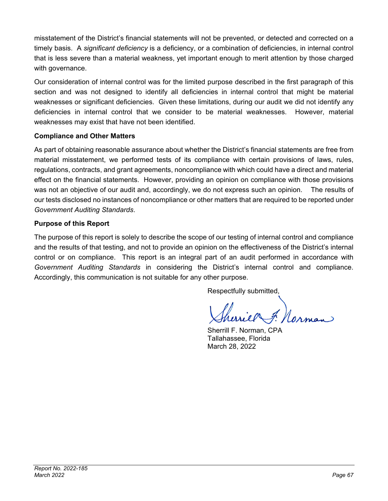misstatement of the District's financial statements will not be prevented, or detected and corrected on a timely basis. A *significant deficiency* is a deficiency, or a combination of deficiencies, in internal control that is less severe than a material weakness, yet important enough to merit attention by those charged with governance.

Our consideration of internal control was for the limited purpose described in the first paragraph of this section and was not designed to identify all deficiencies in internal control that might be material weaknesses or significant deficiencies. Given these limitations, during our audit we did not identify any deficiencies in internal control that we consider to be material weaknesses. However, material weaknesses may exist that have not been identified.

#### **Compliance and Other Matters**

As part of obtaining reasonable assurance about whether the District's financial statements are free from material misstatement, we performed tests of its compliance with certain provisions of laws, rules, regulations, contracts, and grant agreements, noncompliance with which could have a direct and material effect on the financial statements. However, providing an opinion on compliance with those provisions was not an objective of our audit and, accordingly, we do not express such an opinion. The results of our tests disclosed no instances of noncompliance or other matters that are required to be reported under *Government Auditing Standards*.

#### **Purpose of this Report**

The purpose of this report is solely to describe the scope of our testing of internal control and compliance and the results of that testing, and not to provide an opinion on the effectiveness of the District's internal control or on compliance. This report is an integral part of an audit performed in accordance with *Government Auditing Standards* in considering the District's internal control and compliance. Accordingly, this communication is not suitable for any other purpose.

Respectfully submitted,

Sherrill F. Norman, CPA Tallahassee, Florida March 28, 2022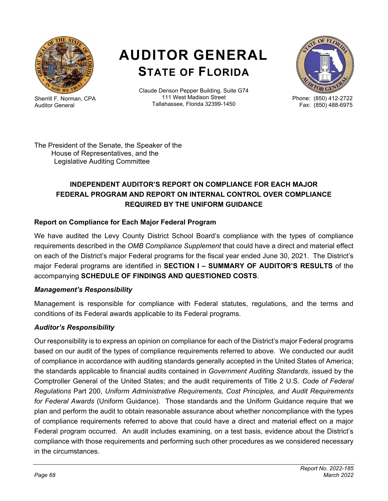

Sherrill F. Norman, CPA Auditor General

# **AUDITOR GENERAL STATE OF FLORIDA**

Claude Denson Pepper Building, Suite G74 111 West Madison Street Tallahassee, Florida 32399-1450



Phone: (850) 412-2722 Fax: (850) 488-6975

The President of the Senate, the Speaker of the House of Representatives, and the Legislative Auditing Committee

### **INDEPENDENT AUDITOR'S REPORT ON COMPLIANCE FOR EACH MAJOR FEDERAL PROGRAM AND REPORT ON INTERNAL CONTROL OVER COMPLIANCE REQUIRED BY THE UNIFORM GUIDANCE**

#### **Report on Compliance for Each Major Federal Program**

We have audited the Levy County District School Board's compliance with the types of compliance requirements described in the *OMB Compliance Supplement* that could have a direct and material effect on each of the District's major Federal programs for the fiscal year ended June 30, 2021. The District's major Federal programs are identified in **SECTION I – SUMMARY OF AUDITOR'S RESULTS** of the accompanying **SCHEDULE OF FINDINGS AND QUESTIONED COSTS**.

#### *Management's Responsibility*

Management is responsible for compliance with Federal statutes, regulations, and the terms and conditions of its Federal awards applicable to its Federal programs.

#### *Auditor's Responsibility*

Our responsibility is to express an opinion on compliance for each of the District's major Federal programs based on our audit of the types of compliance requirements referred to above. We conducted our audit of compliance in accordance with auditing standards generally accepted in the United States of America; the standards applicable to financial audits contained in *Government Auditing Standards*, issued by the Comptroller General of the United States; and the audit requirements of Title 2 U.S. *Code of Federal Regulations* Part 200, *Uniform Administrative Requirements, Cost Principles, and Audit Requirements for Federal Awards* (Uniform Guidance). Those standards and the Uniform Guidance require that we plan and perform the audit to obtain reasonable assurance about whether noncompliance with the types of compliance requirements referred to above that could have a direct and material effect on a major Federal program occurred. An audit includes examining, on a test basis, evidence about the District's compliance with those requirements and performing such other procedures as we considered necessary in the circumstances.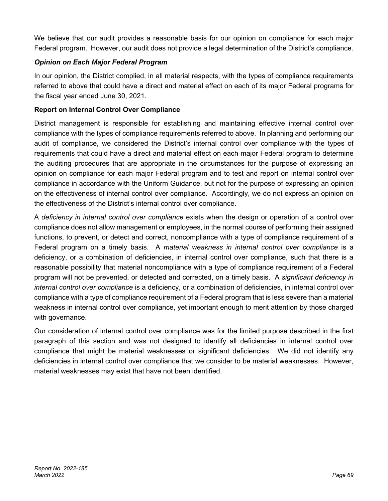We believe that our audit provides a reasonable basis for our opinion on compliance for each major Federal program. However, our audit does not provide a legal determination of the District's compliance.

#### *Opinion on Each Major Federal Program*

In our opinion, the District complied, in all material respects, with the types of compliance requirements referred to above that could have a direct and material effect on each of its major Federal programs for the fiscal year ended June 30, 2021.

#### **Report on Internal Control Over Compliance**

District management is responsible for establishing and maintaining effective internal control over compliance with the types of compliance requirements referred to above. In planning and performing our audit of compliance, we considered the District's internal control over compliance with the types of requirements that could have a direct and material effect on each major Federal program to determine the auditing procedures that are appropriate in the circumstances for the purpose of expressing an opinion on compliance for each major Federal program and to test and report on internal control over compliance in accordance with the Uniform Guidance, but not for the purpose of expressing an opinion on the effectiveness of internal control over compliance. Accordingly, we do not express an opinion on the effectiveness of the District's internal control over compliance.

A *deficiency in internal control over compliance* exists when the design or operation of a control over compliance does not allow management or employees, in the normal course of performing their assigned functions, to prevent, or detect and correct, noncompliance with a type of compliance requirement of a Federal program on a timely basis. A *material weakness in internal control over compliance* is a deficiency, or a combination of deficiencies, in internal control over compliance, such that there is a reasonable possibility that material noncompliance with a type of compliance requirement of a Federal program will not be prevented, or detected and corrected, on a timely basis. A *significant deficiency in internal control over compliance* is a deficiency, or a combination of deficiencies, in internal control over compliance with a type of compliance requirement of a Federal program that is less severe than a material weakness in internal control over compliance, yet important enough to merit attention by those charged with governance.

Our consideration of internal control over compliance was for the limited purpose described in the first paragraph of this section and was not designed to identify all deficiencies in internal control over compliance that might be material weaknesses or significant deficiencies. We did not identify any deficiencies in internal control over compliance that we consider to be material weaknesses. However, material weaknesses may exist that have not been identified.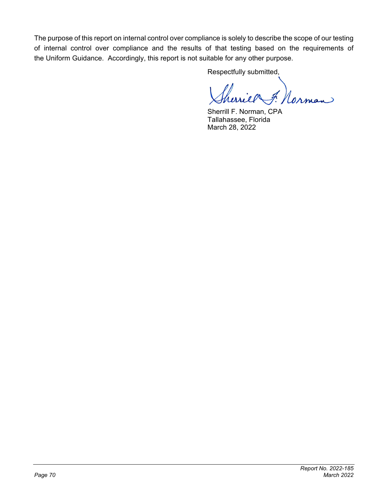The purpose of this report on internal control over compliance is solely to describe the scope of our testing of internal control over compliance and the results of that testing based on the requirements of the Uniform Guidance. Accordingly, this report is not suitable for any other purpose.

Respectfully submitted,

F. Norman

Sherrill F. Norman, CPA Tallahassee, Florida March 28, 2022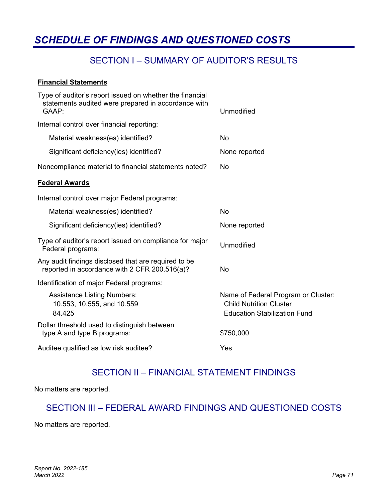# *SCHEDULE OF FINDINGS AND QUESTIONED COSTS*

## SECTION I – SUMMARY OF AUDITOR'S RESULTS

#### **Financial Statements**

| Type of auditor's report issued on whether the financial<br>statements audited were prepared in accordance with<br>GAAP: | Unmodified                                                                                                   |
|--------------------------------------------------------------------------------------------------------------------------|--------------------------------------------------------------------------------------------------------------|
| Internal control over financial reporting:                                                                               |                                                                                                              |
| Material weakness(es) identified?                                                                                        | No                                                                                                           |
| Significant deficiency(ies) identified?                                                                                  | None reported                                                                                                |
| Noncompliance material to financial statements noted?                                                                    | No                                                                                                           |
| <b>Federal Awards</b>                                                                                                    |                                                                                                              |
| Internal control over major Federal programs:                                                                            |                                                                                                              |
| Material weakness(es) identified?                                                                                        | No                                                                                                           |
| Significant deficiency(ies) identified?                                                                                  | None reported                                                                                                |
| Type of auditor's report issued on compliance for major<br>Federal programs:                                             | Unmodified                                                                                                   |
| Any audit findings disclosed that are required to be<br>reported in accordance with 2 CFR 200.516(a)?                    | No                                                                                                           |
| Identification of major Federal programs:                                                                                |                                                                                                              |
| <b>Assistance Listing Numbers:</b><br>10.553, 10.555, and 10.559<br>84.425                                               | Name of Federal Program or Cluster:<br><b>Child Nutrition Cluster</b><br><b>Education Stabilization Fund</b> |
| Dollar threshold used to distinguish between<br>type A and type B programs:                                              | \$750,000                                                                                                    |
| Auditee qualified as low risk auditee?                                                                                   | Yes                                                                                                          |

### SECTION II – FINANCIAL STATEMENT FINDINGS

No matters are reported.

## SECTION III – FEDERAL AWARD FINDINGS AND QUESTIONED COSTS

No matters are reported.